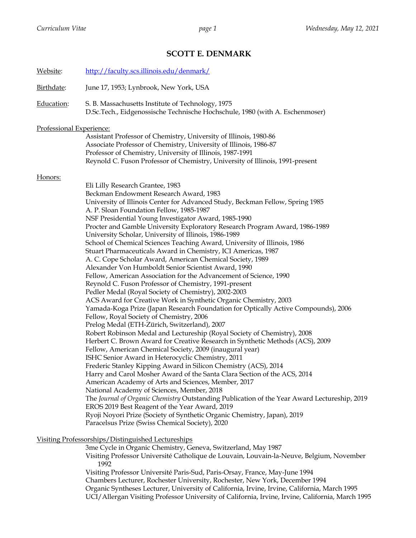# **SCOTT E. DENMARK**

| Website:                 | http://faculty.scs.illinois.edu/denmark/                                                                                                                                                         |  |  |
|--------------------------|--------------------------------------------------------------------------------------------------------------------------------------------------------------------------------------------------|--|--|
| Birthdate:               | June 17, 1953; Lynbrook, New York, USA                                                                                                                                                           |  |  |
| Education:               | S. B. Massachusetts Institute of Technology, 1975<br>D.Sc.Tech., Eidgenossische Technische Hochschule, 1980 (with A. Eschenmoser)                                                                |  |  |
| Professional Experience: |                                                                                                                                                                                                  |  |  |
|                          | Assistant Professor of Chemistry, University of Illinois, 1980-86                                                                                                                                |  |  |
|                          | Associate Professor of Chemistry, University of Illinois, 1986-87                                                                                                                                |  |  |
|                          | Professor of Chemistry, University of Illinois, 1987-1991                                                                                                                                        |  |  |
|                          | Reynold C. Fuson Professor of Chemistry, University of Illinois, 1991-present                                                                                                                    |  |  |
| Honors:                  |                                                                                                                                                                                                  |  |  |
|                          | Eli Lilly Research Grantee, 1983                                                                                                                                                                 |  |  |
|                          | Beckman Endowment Research Award, 1983                                                                                                                                                           |  |  |
|                          | University of Illinois Center for Advanced Study, Beckman Fellow, Spring 1985                                                                                                                    |  |  |
|                          | A. P. Sloan Foundation Fellow, 1985-1987<br>NSF Presidential Young Investigator Award, 1985-1990                                                                                                 |  |  |
|                          | Procter and Gamble University Exploratory Research Program Award, 1986-1989                                                                                                                      |  |  |
|                          | University Scholar, University of Illinois, 1986-1989                                                                                                                                            |  |  |
|                          | School of Chemical Sciences Teaching Award, University of Illinois, 1986                                                                                                                         |  |  |
|                          | Stuart Pharmaceuticals Award in Chemistry, ICI Americas, 1987                                                                                                                                    |  |  |
|                          | A. C. Cope Scholar Award, American Chemical Society, 1989                                                                                                                                        |  |  |
|                          | Alexander Von Humboldt Senior Scientist Award, 1990                                                                                                                                              |  |  |
|                          | Fellow, American Association for the Advancement of Science, 1990                                                                                                                                |  |  |
|                          | Reynold C. Fuson Professor of Chemistry, 1991-present<br>Pedler Medal (Royal Society of Chemistry), 2002-2003                                                                                    |  |  |
|                          | ACS Award for Creative Work in Synthetic Organic Chemistry, 2003                                                                                                                                 |  |  |
|                          | Yamada-Koga Prize (Japan Research Foundation for Optically Active Compounds), 2006                                                                                                               |  |  |
|                          | Fellow, Royal Society of Chemistry, 2006                                                                                                                                                         |  |  |
|                          | Prelog Medal (ETH-Zürich, Switzerland), 2007                                                                                                                                                     |  |  |
|                          | Robert Robinson Medal and Lectureship (Royal Society of Chemistry), 2008                                                                                                                         |  |  |
|                          | Herbert C. Brown Award for Creative Research in Synthetic Methods (ACS), 2009                                                                                                                    |  |  |
|                          | Fellow, American Chemical Society, 2009 (inaugural year)                                                                                                                                         |  |  |
|                          | ISHC Senior Award in Heterocyclic Chemistry, 2011<br>Frederic Stanley Kipping Award in Silicon Chemistry (ACS), 2014                                                                             |  |  |
|                          | Harry and Carol Mosher Award of the Santa Clara Section of the ACS, 2014                                                                                                                         |  |  |
|                          | American Academy of Arts and Sciences, Member, 2017                                                                                                                                              |  |  |
|                          | National Academy of Sciences, Member, 2018                                                                                                                                                       |  |  |
|                          | The Journal of Organic Chemistry Outstanding Publication of the Year Award Lectureship, 2019                                                                                                     |  |  |
|                          | EROS 2019 Best Reagent of the Year Award, 2019                                                                                                                                                   |  |  |
|                          | Ryoji Noyori Prize (Society of Synthetic Organic Chemistry, Japan), 2019                                                                                                                         |  |  |
|                          | Paracelsus Prize (Swiss Chemical Society), 2020                                                                                                                                                  |  |  |
|                          | Visiting Professorships/Distinguished Lectureships                                                                                                                                               |  |  |
|                          | 3me Cycle in Organic Chemistry, Geneva, Switzerland, May 1987                                                                                                                                    |  |  |
|                          | Visiting Professor Université Catholique de Louvain, Louvain-la-Neuve, Belgium, November<br>1992                                                                                                 |  |  |
|                          | Visiting Professor Université Paris-Sud, Paris-Orsay, France, May-June 1994                                                                                                                      |  |  |
|                          | Chambers Lecturer, Rochester University, Rochester, New York, December 1994                                                                                                                      |  |  |
|                          | Organic Syntheses Lecturer, University of California, Irvine, Irvine, California, March 1995<br>UCI/Allergan Visiting Professor University of California, Irvine, Irvine, California, March 1995 |  |  |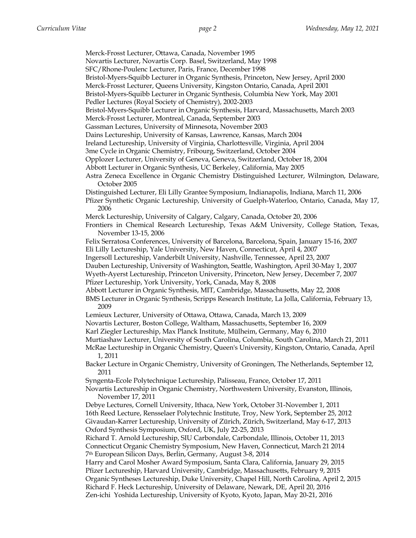Merck-Frosst Lecturer, Ottawa, Canada, November 1995 Novartis Lecturer, Novartis Corp. Basel, Switzerland, May 1998 SFC/Rhone-Poulenc Lecturer, Paris, France, December 1998 Bristol-Myers-Squibb Lecturer in Organic Synthesis, Princeton, New Jersey, April 2000 Merck-Frosst Lecturer, Queens University, Kingston Ontario, Canada, April 2001 Bristol-Myers-Squibb Lecturer in Organic Synthesis, Columbia New York, May 2001 Pedler Lectures (Royal Society of Chemistry), 2002-2003 Bristol-Myers-Squibb Lecturer in Organic Synthesis, Harvard, Massachusetts, March 2003 Merck-Frosst Lecturer, Montreal, Canada, September 2003 Gassman Lectures, University of Minnesota, November 2003 Dains Lectureship, University of Kansas, Lawrence, Kansas, March 2004 Ireland Lectureship, University of Virginia, Charlottesville, Virginia, April 2004 3me Cycle in Organic Chemistry, Fribourg, Switzerland, October 2004 Opplozer Lecturer, University of Geneva, Geneva, Switzerland, October 18, 2004 Abbott Lecturer in Organic Synthesis, UC Berkeley, California, May 2005 Astra Zeneca Excellence in Organic Chemistry Distinguished Lecturer, Wilmington, Delaware, October 2005 Distinguished Lecturer, Eli Lilly Grantee Symposium, Indianapolis, Indiana, March 11, 2006 Pfizer Synthetic Organic Lectureship, University of Guelph-Waterloo, Ontario, Canada, May 17, 2006 Merck Lectureship, University of Calgary, Calgary, Canada, October 20, 2006 Frontiers in Chemical Research Lectureship, Texas A&M University, College Station, Texas, November 13-15, 2006 Felix Serratosa Conferences, University of Barcelona, Barcelona, Spain, January 15-16, 2007 Eli Lilly Lectureship, Yale University, New Haven, Connecticut, April 4, 2007 Ingersoll Lectureship, Vanderbilt University, Nashville, Tennessee, April 23, 2007 Dauben Lectureship, University of Washington, Seattle, Washington, April 30-May 1, 2007 Wyeth-Ayerst Lectureship, Princeton University, Princeton, New Jersey, December 7, 2007 Pfizer Lectureship, York University, York, Canada, May 8, 2008 Abbott Lecturer in Organic Synthesis, MIT, Cambridge, Massachusetts, May 22, 2008 BMS Lecturer in Organic Synthesis, Scripps Research Institute, La Jolla, California, February 13, 2009 Lemieux Lecturer, University of Ottawa, Ottawa, Canada, March 13, 2009 Novartis Lecturer, Boston College, Waltham, Massachusetts, September 16, 2009 Karl Ziegler Lectureship, Max Planck Institute, Mülheim, Germany, May 6, 2010 Murtiashaw Lecturer, University of South Carolina, Columbia, South Carolina, March 21, 2011 McRae Lectureship in Organic Chemistry, Queen's University, Kingston, Ontario, Canada, April 1, 2011 Backer Lecture in Organic Chemistry, University of Groningen, The Netherlands, September 12, 2011 Syngenta-Ecole Polytechnique Lectureship, Palisseau, France, October 17, 2011 Novartis Lectureship in Organic Chemistry, Northwestern University, Evanston, Illinois, November 17, 2011 Debye Lectures, Cornell University, Ithaca, New York, October 31-November 1, 2011 16th Reed Lecture, Rensselaer Polytechnic Institute, Troy, New York, September 25, 2012 Givaudan-Karrer Lectureship, University of Zürich, Zürich, Switzerland, May 6-17, 2013 Oxford Synthesis Symposium, Oxford, UK, July 22-25, 2013 Richard T. Arnold Lectureship, SIU Carbondale, Carbondale, Illinois, October 11, 2013 Connecticut Organic Chemistry Symposium, New Haven, Connecticut, March 21 2014 7th European Silicon Days, Berlin, Germany, August 3-8, 2014 Harry and Carol Mosher Award Symposium, Santa Clara, California, January 29, 2015 Pfizer Lectureship, Harvard University, Cambridge, Massachusetts, February 9, 2015 Organic Syntheses Lectureship, Duke University, Chapel Hill, North Carolina, April 2, 2015 Richard F. Heck Lectureship, University of Delaware, Newark, DE, April 20, 2016 Zen-ichi Yoshida Lectureship, University of Kyoto, Kyoto, Japan, May 20-21, 2016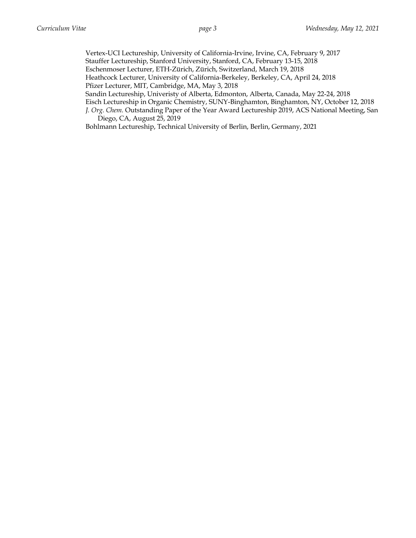Vertex-UCI Lectureship, University of California-Irvine, Irvine, CA, February 9, 2017 Stauffer Lectureship, Stanford University, Stanford, CA, February 13-15, 2018 Eschenmoser Lecturer, ETH-Zürich, Zürich, Switzerland, March 19, 2018 Heathcock Lecturer, University of California-Berkeley, Berkeley, CA, April 24, 2018 Pfizer Lecturer, MIT, Cambridge, MA, May 3, 2018 Sandin Lectureship, Univeristy of Alberta, Edmonton, Alberta, Canada, May 22-24, 2018 Eisch Lectureship in Organic Chemistry, SUNY-Binghamton, Binghamton, NY, October 12, 2018 *J. Org. Chem.* Outstanding Paper of the Year Award Lectureship 2019, ACS National Meeting, San Diego, CA, August 25, 2019

Bohlmann Lectureship, Technical University of Berlin, Berlin, Germany, 2021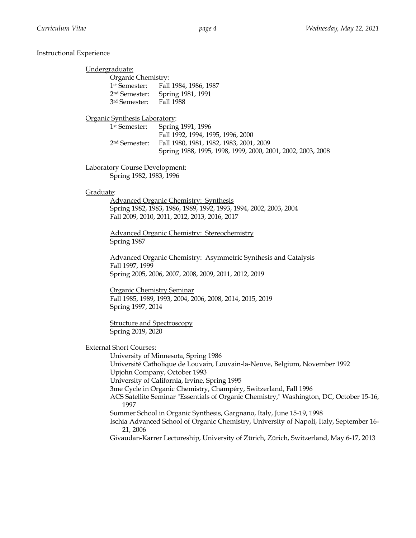# Instructional Experience

|           | Undergraduate:                                         |                                                                                                                                                             |
|-----------|--------------------------------------------------------|-------------------------------------------------------------------------------------------------------------------------------------------------------------|
|           | Organic Chemistry:                                     |                                                                                                                                                             |
|           | 1 <sup>st</sup> Semester:                              | Fall 1984, 1986, 1987                                                                                                                                       |
|           | 2 <sup>nd</sup> Semester:                              | Spring 1981, 1991                                                                                                                                           |
|           | 3 <sup>rd</sup> Semester:                              | Fall 1988                                                                                                                                                   |
|           | Organic Synthesis Laboratory:                          |                                                                                                                                                             |
|           | 1 <sup>st</sup> Semester:                              | Spring 1991, 1996                                                                                                                                           |
|           |                                                        | Fall 1992, 1994, 1995, 1996, 2000                                                                                                                           |
|           | 2 <sup>nd</sup> Semester:                              | Fall 1980, 1981, 1982, 1983, 2001, 2009                                                                                                                     |
|           |                                                        | Spring 1988, 1995, 1998, 1999, 2000, 2001, 2002, 2003, 2008                                                                                                 |
|           | <b>Laboratory Course Development:</b>                  |                                                                                                                                                             |
|           | Spring 1982, 1983, 1996                                |                                                                                                                                                             |
| Graduate: |                                                        |                                                                                                                                                             |
|           |                                                        | <b>Advanced Organic Chemistry: Synthesis</b>                                                                                                                |
|           |                                                        | Spring 1982, 1983, 1986, 1989, 1992, 1993, 1994, 2002, 2003, 2004                                                                                           |
|           |                                                        | Fall 2009, 2010, 2011, 2012, 2013, 2016, 2017                                                                                                               |
|           |                                                        |                                                                                                                                                             |
|           | Spring 1987                                            | <b>Advanced Organic Chemistry: Stereochemistry</b>                                                                                                          |
|           |                                                        |                                                                                                                                                             |
|           |                                                        | Advanced Organic Chemistry: Asymmetric Synthesis and Catalysis                                                                                              |
|           | Fall 1997, 1999                                        |                                                                                                                                                             |
|           |                                                        | Spring 2005, 2006, 2007, 2008, 2009, 2011, 2012, 2019                                                                                                       |
|           | <b>Organic Chemistry Seminar</b>                       |                                                                                                                                                             |
|           |                                                        | Fall 1985, 1989, 1993, 2004, 2006, 2008, 2014, 2015, 2019                                                                                                   |
|           | Spring 1997, 2014                                      |                                                                                                                                                             |
|           |                                                        |                                                                                                                                                             |
|           | <b>Structure and Spectroscopy</b><br>Spring 2019, 2020 |                                                                                                                                                             |
|           |                                                        |                                                                                                                                                             |
|           | <b>External Short Courses:</b>                         |                                                                                                                                                             |
|           |                                                        | University of Minnesota, Spring 1986                                                                                                                        |
|           |                                                        | Université Catholique de Louvain, Louvain-la-Neuve, Belgium, November 1992                                                                                  |
|           |                                                        | Upjohn Company, October 1993                                                                                                                                |
|           |                                                        | University of California, Irvine, Spring 1995                                                                                                               |
|           |                                                        | 3me Cycle in Organic Chemistry, Champéry, Switzerland, Fall 1996<br>ACS Satellite Seminar "Essentials of Organic Chemistry," Washington, DC, October 15-16, |
|           | 1997                                                   |                                                                                                                                                             |
|           |                                                        | Summer School in Organic Synthesis, Gargnano, Italy, June 15-19, 1998                                                                                       |
|           | 21, 2006                                               | Ischia Advanced School of Organic Chemistry, University of Napoli, Italy, September 16-                                                                     |
|           |                                                        | Givaudan-Karrer Lectureship, University of Zürich, Zürich, Switzerland, May 6-17, 2013                                                                      |
|           |                                                        |                                                                                                                                                             |
|           |                                                        |                                                                                                                                                             |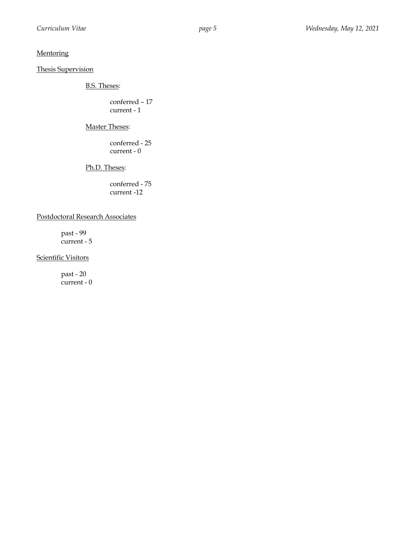# **Mentoring**

## Thesis Supervision

B.S. Theses:

conferred – 17 current - 1

Master Theses:

conferred - 25 current - 0

Ph.D. Theses:

conferred - 75 current -12

## Postdoctoral Research Associates

past - 99 current - 5

Scientific Visitors

past - 20 current - 0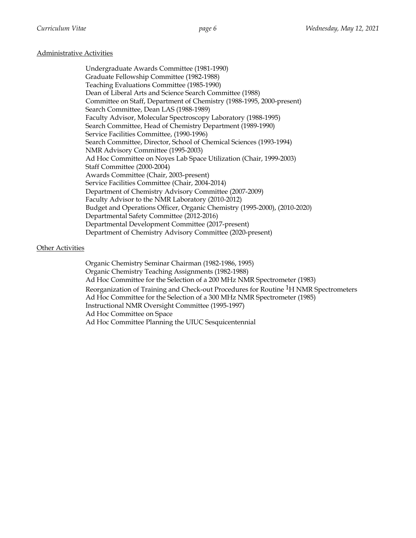## Administrative Activities

Undergraduate Awards Committee (1981-1990) Graduate Fellowship Committee (1982-1988) Teaching Evaluations Committee (1985-1990) Dean of Liberal Arts and Science Search Committee (1988) Committee on Staff, Department of Chemistry (1988-1995, 2000-present) Search Committee, Dean LAS (1988-1989) Faculty Advisor, Molecular Spectroscopy Laboratory (1988-1995) Search Committee, Head of Chemistry Department (1989-1990) Service Facilities Committee, (1990-1996) Search Committee, Director, School of Chemical Sciences (1993-1994) NMR Advisory Committee (1995-2003) Ad Hoc Committee on Noyes Lab Space Utilization (Chair, 1999-2003) Staff Committee (2000-2004) Awards Committee (Chair, 2003-present) Service Facilities Committee (Chair, 2004-2014) Department of Chemistry Advisory Committee (2007-2009) Faculty Advisor to the NMR Laboratory (2010-2012) Budget and Operations Officer, Organic Chemistry (1995-2000), (2010-2020) Departmental Safety Committee (2012-2016) Departmental Development Committee (2017-present) Department of Chemistry Advisory Committee (2020-present)

# Other Activities

Organic Chemistry Seminar Chairman (1982-1986, 1995) Organic Chemistry Teaching Assignments (1982-1988) Ad Hoc Committee for the Selection of a 200 MHz NMR Spectrometer (1983) Reorganization of Training and Check-out Procedures for Routine <sup>1</sup>H NMR Spectrometers Ad Hoc Committee for the Selection of a 300 MHz NMR Spectrometer (1985) Instructional NMR Oversight Committee (1995-1997) Ad Hoc Committee on Space Ad Hoc Committee Planning the UIUC Sesquicentennial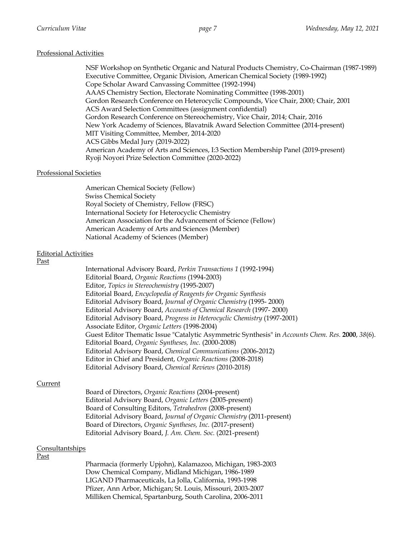## Professional Activities

NSF Workshop on Synthetic Organic and Natural Products Chemistry, Co-Chairman (1987-1989) Executive Committee, Organic Division, American Chemical Society (1989-1992) Cope Scholar Award Canvassing Committee (1992-1994) AAAS Chemistry Section, Electorate Nominating Committee (1998-2001) Gordon Research Conference on Heterocyclic Compounds, Vice Chair, 2000; Chair, 2001 ACS Award Selection Committees (assignment confidential) Gordon Research Conference on Stereochemistry, Vice Chair, 2014; Chair, 2016 New York Academy of Sciences, Blavatnik Award Selection Committee (2014-present) MIT Visiting Committee, Member, 2014-2020 ACS Gibbs Medal Jury (2019-2022) American Academy of Arts and Sciences, I:3 Section Membership Panel (2019-present) Ryoji Noyori Prize Selection Committee (2020-2022)

## Professional Societies

American Chemical Society (Fellow) Swiss Chemical Society Royal Society of Chemistry, Fellow (FRSC) International Society for Heterocyclic Chemistry American Association for the Advancement of Science (Fellow) American Academy of Arts and Sciences (Member) National Academy of Sciences (Member)

## Editorial Activities

#### Past

| International Advisory Board, Perkin Transactions 1 (1992-1994)                                  |
|--------------------------------------------------------------------------------------------------|
| Editorial Board, Organic Reactions (1994-2003)                                                   |
| Editor, Topics in Stereochemistry (1995-2007)                                                    |
| Editorial Board, Encyclopedia of Reagents for Organic Synthesis                                  |
| Editorial Advisory Board, Journal of Organic Chemistry (1995-2000)                               |
| Editorial Advisory Board, Accounts of Chemical Research (1997-2000)                              |
| Editorial Advisory Board, Progress in Heterocyclic Chemistry (1997-2001)                         |
| Associate Editor, Organic Letters (1998-2004)                                                    |
| Guest Editor Thematic Issue "Catalytic Asymmetric Synthesis" in Accounts Chem. Res. 2000, 38(6). |
| Editorial Board, Organic Syntheses, Inc. (2000-2008)                                             |
| Editorial Advisory Board, Chemical Communications (2006-2012)                                    |
| Editor in Chief and President, Organic Reactions (2008-2018)                                     |
| Editorial Advisory Board, Chemical Reviews (2010-2018)                                           |

#### Current

| Board of Directors, Organic Reactions (2004-present)                  |
|-----------------------------------------------------------------------|
| Editorial Advisory Board, Organic Letters (2005-present)              |
| Board of Consulting Editors, Tetrahedron (2008-present)               |
| Editorial Advisory Board, Journal of Organic Chemistry (2011-present) |
| Board of Directors, Organic Syntheses, Inc. (2017-present)            |
| Editorial Advisory Board, J. Am. Chem. Soc. (2021-present)            |
|                                                                       |

#### Consultantships

# Past

Pharmacia (formerly Upjohn), Kalamazoo, Michigan, 1983-2003 Dow Chemical Company, Midland Michigan, 1986-1989 LIGAND Pharmaceuticals, La Jolla, California, 1993-1998 Pfizer, Ann Arbor, Michigan; St. Louis, Missouri, 2003-2007 Milliken Chemical, Spartanburg, South Carolina, 2006-2011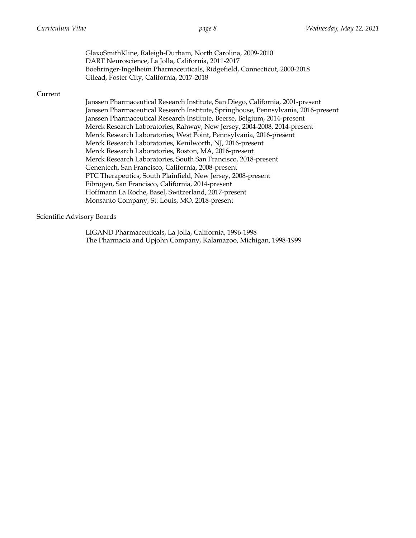GlaxoSmithKline, Raleigh-Durham, North Carolina, 2009-2010 DART Neuroscience, La Jolla, California, 2011-2017 Boehringer-Ingelheim Pharmaceuticals, Ridgefield, Connecticut, 2000-2018 Gilead, Foster City, California, 2017-2018

## Current

Janssen Pharmaceutical Research Institute, San Diego, California, 2001-present Janssen Pharmaceutical Research Institute, Springhouse, Pennsylvania, 2016-present Janssen Pharmaceutical Research Institute, Beerse, Belgium, 2014-present Merck Research Laboratories, Rahway, New Jersey, 2004-2008, 2014-present Merck Research Laboratories, West Point, Pennsylvania, 2016-present Merck Research Laboratories, Kenilworth, NJ, 2016-present Merck Research Laboratories, Boston, MA, 2016-present Merck Research Laboratories, South San Francisco, 2018-present Genentech, San Francisco, California, 2008-present PTC Therapeutics, South Plainfield, New Jersey, 2008-present Fibrogen, San Francisco, California, 2014-present Hoffmann La Roche, Basel, Switzerland, 2017-present Monsanto Company, St. Louis, MO, 2018-present

## Scientific Advisory Boards

LIGAND Pharmaceuticals, La Jolla, California, 1996-1998 The Pharmacia and Upjohn Company, Kalamazoo, Michigan, 1998-1999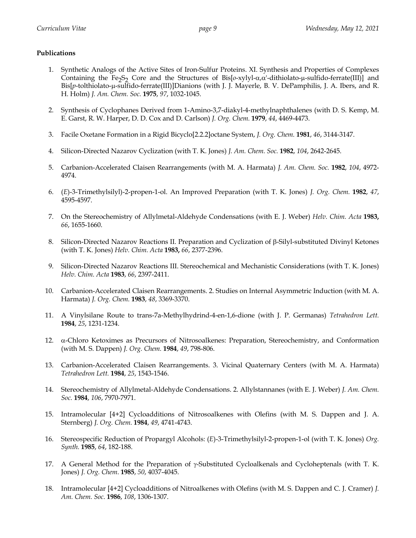# **Publications**

- 1. Synthetic Analogs of the Active Sites of Iron-Sulfur Proteins. XI. Synthesis and Properties of Complexes Containing the Fe<sub>2</sub>S<sub>2</sub> Core and the Structures of Bis $[0-xy]yL\alpha,\alpha'$ -dithiolato- $\mu$ -sulfido-ferrate(III)] and Bis[*p*-tolthiolato-µ-sulfido-ferrate(III)]Dianions (with J. J. Mayerle, B. V. DePamphilis, J. A. Ibers, and R. H. Holm) *J. Am. Chem. Soc.* **1975**, *97*, 1032-1045.
- 2. Synthesis of Cyclophanes Derived from 1-Amino-3,7-diakyl-4-methylnaphthalenes (with D. S. Kemp, M. E. Garst, R. W. Harper, D. D. Cox and D. Carlson) *J. Org. Chem.* **1979**, *44*, 4469-4473.
- 3. Facile Oxetane Formation in a Rigid Bicyclo[2.2.2]octane System, *J. Org. Chem.* **1981**, *46*, 3144-3147.
- 4. Silicon-Directed Nazarov Cyclization (with T. K. Jones) *J. Am. Chem. Soc.* **1982**, *104*, 2642-2645.
- 5. Carbanion-Accelerated Claisen Rearrangements (with M. A. Harmata) *J. Am. Chem. Soc.* **1982**, *104*, 4972- 4974.
- 6. (*E*)-3-Trimethylsilyl)-2-propen-1-ol. An Improved Preparation (with T. K. Jones) *J. Org. Chem.* **1982**, *47*, 4595-4597.
- 7. On the Stereochemistry of Allylmetal-Aldehyde Condensations (with E. J. Weber) *Helv. Chim. Acta* **1983,**  *66*, 1655-1660.
- 8. Silicon-Directed Nazarov Reactions II. Preparation and Cyclization of b-Silyl-substituted Divinyl Ketones (with T. K. Jones) *Helv. Chim. Acta* **1983,** *66*, 2377-2396.
- 9. Silicon-Directed Nazarov Reactions III. Stereochemical and Mechanistic Considerations (with T. K. Jones) *Helv. Chim. Acta* **1983**, *66*, 2397-2411.
- 10. Carbanion-Accelerated Claisen Rearrangements. 2. Studies on Internal Asymmetric Induction (with M. A. Harmata) *J. Org. Chem.* **1983**, *48*, 3369-3370.
- 11. A Vinylsilane Route to trans-7a-Methylhydrind-4-en-1,6-dione (with J. P. Germanas) *Tetrahedron Lett.* **1984**, *25*, 1231-1234.
- 12.  $\alpha$ -Chloro Ketoximes as Precursors of Nitrosoalkenes: Preparation, Stereochemistry, and Conformation (with M. S. Dappen) *J. Org. Chem.* **1984**, *49*, 798-806.
- 13. Carbanion-Accelerated Claisen Rearrangements. 3. Vicinal Quaternary Centers (with M. A. Harmata) *Tetrahedron Lett.* **1984**, *25*, 1543-1546.
- 14. Stereochemistry of Allylmetal-Aldehyde Condensations. 2. Allylstannanes (with E. J. Weber) *J. Am. Chem. Soc.* **1984**, *106*, 7970-7971.
- 15. Intramolecular [4+2] Cycloadditions of Nitrosoalkenes with Olefins (with M. S. Dappen and J. A. Sternberg) *J. Org. Chem.* **1984**, *49*, 4741-4743.
- 16. Stereospecific Reduction of Propargyl Alcohols: (*E*)-3-Trimethylsilyl-2-propen-1-ol (with T. K. Jones) *Org. Synth.* **1985**, *64*, 182-188.
- 17. A General Method for the Preparation of  $\gamma$ -Substituted Cycloalkenals and Cycloheptenals (with T.K. Jones) *J. Org. Chem*. **1985**, *50*, 4037-4045.
- 18. Intramolecular [4+2] Cycloadditions of Nitroalkenes with Olefins (with M. S. Dappen and C. J. Cramer) *J. Am. Chem. Soc*. **1986**, *108*, 1306-1307.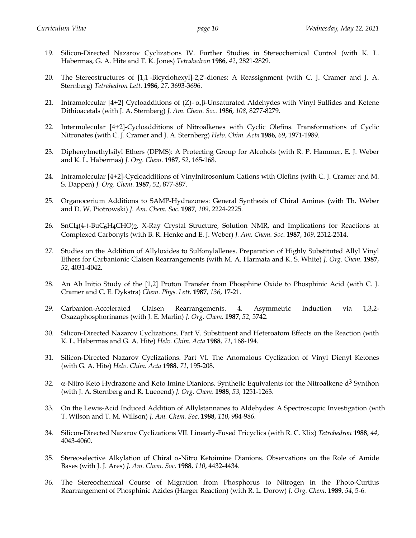- 19. Silicon-Directed Nazarov Cyclizations IV. Further Studies in Stereochemical Control (with K. L. Habermas, G. A. Hite and T. K. Jones) *Tetrahedron* **1986**, *42*, 2821-2829.
- 20. The Stereostructures of [1,1'-Bicyclohexyl]-2,2'-diones: A Reassignment (with C. J. Cramer and J. A. Sternberg) *Tetrahedron Lett*. **1986**, *27*, 3693-3696.
- 21. Intramolecular [4+2] Cycloadditions of (*Z*)- α<sub>*f*</sub>β-Unsaturated Aldehydes with Vinyl Sulfides and Ketene Dithioacetals (with J. A. Sternberg) *J. Am. Chem. Soc*. **1986**, *108*, 8277-8279.
- 22. Intermolecular [4+2]-Cycloadditions of Nitroalkenes with Cyclic Olefins. Transformations of Cyclic Nitronates (with C. J. Cramer and J. A. Sternberg) *Helv. Chim. Acta* **1986**, *69*, 1971-1989.
- 23. Diphenylmethylsilyl Ethers (DPMS): A Protecting Group for Alcohols (with R. P. Hammer, E. J. Weber and K. L. Habermas) *J. Org. Chem*. **1987**, *52*, 165-168.
- 24. Intramolecular [4+2]-Cycloadditions of Vinylnitrosonium Cations with Olefins (with C. J. Cramer and M. S. Dappen) *J. Org. Chem*. **1987**, *52*, 877-887.
- 25. Organocerium Additions to SAMP-Hydrazones: General Synthesis of Chiral Amines (with Th. Weber and D. W. Piotrowski) *J. Am. Chem. Soc*. **1987**, *109*, 2224-2225.
- 26. SnCl4(4-*t*-BuC6H4CHO)2. X-Ray Crystal Structure, Solution NMR, and Implications for Reactions at Complexed Carbonyls (with B. R. Henke and E. J. Weber) *J. Am. Chem. Soc*. **1987**, *109*, 2512-2514.
- 27. Studies on the Addition of Allyloxides to Sulfonylallenes. Preparation of Highly Substituted Allyl Vinyl Ethers for Carbanionic Claisen Rearrangements (with M. A. Harmata and K. S. White) *J. Org. Chem*. **1987**, *52*, 4031-4042.
- 28. An Ab Initio Study of the [1,2] Proton Transfer from Phosphine Oxide to Phosphinic Acid (with C. J. Cramer and C. E. Dykstra) *Chem. Phys. Lett*. **1987**, *136*, 17-21.
- 29. Carbanion-Accelerated Claisen Rearrangements. 4. Asymmetric Induction via 1,3,2- Oxazaphosphorinanes (with J. E. Marlin) *J. Org. Chem*. **1987**, *52*, 5742.
- 30. Silicon-Directed Nazarov Cyclizations. Part V. Substituent and Heteroatom Effects on the Reaction (with K. L. Habermas and G. A. Hite) *Helv. Chim. Acta* **1988**, *71*, 168-194.
- 31. Silicon-Directed Nazarov Cyclizations. Part VI. The Anomalous Cyclization of Vinyl Dienyl Ketones (with G. A. Hite) *Helv. Chim. Acta* **1988**, *71*, 195-208.
- 32.  $\alpha$ -Nitro Keto Hydrazone and Keto Imine Dianions. Synthetic Equivalents for the Nitroalkene  $d^3$  Synthon (with J. A. Sternberg and R. Lueoend) *J. Org. Chem*. **1988**, *53,* 1251-1263.
- 33. On the Lewis-Acid Induced Addition of Allylstannanes to Aldehydes: A Spectroscopic Investigation (with T. Wilson and T. M. Willson) *J. Am. Chem. Soc*. **1988**, *110*, 984-986.
- 34. Silicon-Directed Nazarov Cyclizations VII. Linearly-Fused Tricyclics (with R. C. Klix) *Tetrahedron* **1988**, *44*, 4043-4060.
- 35. Stereoselective Alkylation of Chiral  $\alpha$ -Nitro Ketoimine Dianions. Observations on the Role of Amide Bases (with J. J. Ares) *J. Am. Chem. Soc*. **1988**, *110*, 4432-4434.
- 36. The Stereochemical Course of Migration from Phosphorus to Nitrogen in the Photo-Curtius Rearrangement of Phosphinic Azides (Harger Reaction) (with R. L. Dorow) *J. Org. Chem*. **1989**, *54*, 5-6.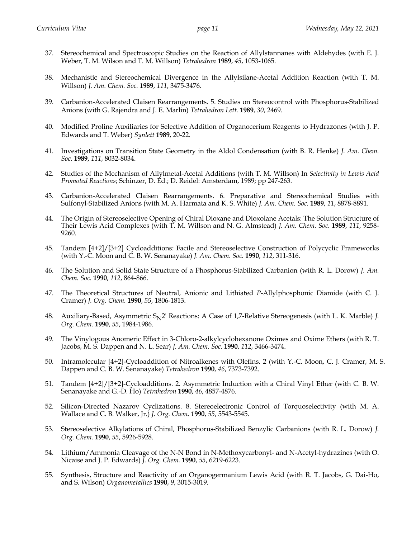- 37. Stereochemical and Spectroscopic Studies on the Reaction of Allylstannanes with Aldehydes (with E. J. Weber, T. M. Wilson and T. M. Willson) *Tetrahedron* **1989**, *45*, 1053-1065.
- 38. Mechanistic and Stereochemical Divergence in the Allylsilane-Acetal Addition Reaction (with T. M. Willson) *J. Am. Chem. Soc.* **1989**, *111*, 3475-3476.
- 39. Carbanion-Accelerated Claisen Rearrangements. 5. Studies on Stereocontrol with Phosphorus-Stabilized Anions (with G. Rajendra and J. E. Marlin) *Tetrahedron Lett.* **1989**, *30*, 2469.
- 40. Modified Proline Auxiliaries for Selective Addition of Organocerium Reagents to Hydrazones (with J. P. Edwards and T. Weber) *Synlett* **1989**, 20-22.
- 41. Investigations on Transition State Geometry in the Aldol Condensation (with B. R. Henke) *J. Am. Chem. Soc.* **1989**, *111*, 8032-8034.
- 42. Studies of the Mechanism of Allylmetal-Acetal Additions (with T. M. Willson) In *Selectivity in Lewis Acid Promoted Reactions*; Schinzer, D. Ed.; D. Reidel: Amsterdam, 1989; pp 247-263.
- 43. Carbanion-Accelerated Claisen Rearrangements. 6. Preparative and Stereochemical Studies with Sulfonyl-Stabilized Anions (with M. A. Harmata and K. S. White) *J. Am. Chem. Soc.* **1989**, *11*, 8878-8891.
- 44. The Origin of Stereoselective Opening of Chiral Dioxane and Dioxolane Acetals: The Solution Structure of Their Lewis Acid Complexes (with T. M. Willson and N. G. Almstead) *J. Am. Chem. Soc.* **1989**, *111*, 9258- 9260.
- 45. Tandem [4+2]/[3+2] Cycloadditions: Facile and Stereoselective Construction of Polycyclic Frameworks (with Y.-C. Moon and C. B. W. Senanayake) *J. Am. Chem. Soc.* **1990**, *112*, 311-316.
- 46. The Solution and Solid State Structure of a Phosphorus-Stabilized Carbanion (with R. L. Dorow) *J. Am. Chem. Soc.* **1990**, *112*, 864-866.
- 47. The Theoretical Structures of Neutral, Anionic and Lithiated *P*-Allylphosphonic Diamide (with C. J. Cramer) *J. Org. Chem.* **1990**, *55*, 1806-1813.
- 48. Auxiliary-Based, Asymmetric S<sub>N</sub>2' Reactions: A Case of 1,7-Relative Stereogenesis (with L. K. Marble) *J. Org. Chem.* **1990**, *55*, 1984-1986.
- 49. The Vinylogous Anomeric Effect in 3-Chloro-2-alkylcyclohexanone Oximes and Oxime Ethers (with R. T. Jacobs, M. S. Dappen and N. L. Sear) *J. Am. Chem. Soc.* **1990**, *112*, 3466-3474.
- 50. Intramolecular [4+2]-Cycloaddition of Nitroalkenes with Olefins. 2 (with Y.-C. Moon, C. J. Cramer, M. S. Dappen and C. B. W. Senanayake) *Tetrahedron* **1990**, *46*, 7373-7392.
- 51. Tandem [4+2]/[3+2]-Cycloadditions. 2. Asymmetric Induction with a Chiral Vinyl Ether (with C. B. W. Senanayake and G.-D. Ho) *Tetrahedron* **1990**, *46*, 4857-4876.
- 52. Silicon-Directed Nazarov Cyclizations. 8. Stereoelectronic Control of Torquoselectivity (with M. A. Wallace and C. B. Walker, Jr.) *J. Org. Chem.* **1990**, *55*, 5543-5545.
- 53. Stereoselective Alkylations of Chiral, Phosphorus-Stabilized Benzylic Carbanions (with R. L. Dorow) *J. Org. Chem.* **1990**, *55*, 5926-5928.
- 54. Lithium/Ammonia Cleavage of the N-N Bond in N-Methoxycarbonyl- and N-Acetyl-hydrazines (with O. Nicaise and J. P. Edwards) *J. Org. Chem.* **1990**, *55*, 6219-6223.
- 55. Synthesis, Structure and Reactivity of an Organogermanium Lewis Acid (with R. T. Jacobs, G. Dai-Ho, and S. Wilson) *Organometallics* **1990**, *9*, 3015-3019.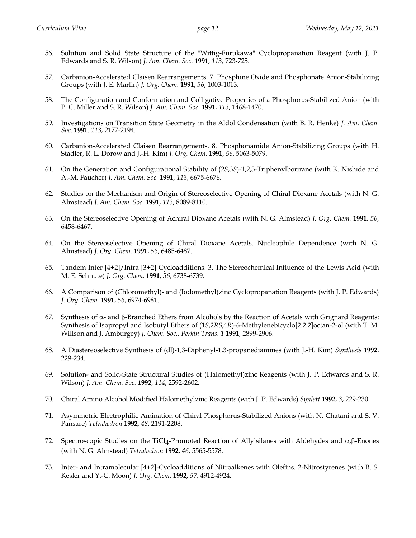- 56. Solution and Solid State Structure of the "Wittig-Furukawa" Cyclopropanation Reagent (with J. P. Edwards and S. R. Wilson) *J. Am. Chem. Soc.* **1991**, *113*, 723-725.
- 57. Carbanion-Accelerated Claisen Rearrangements. 7. Phosphine Oxide and Phosphonate Anion-Stabilizing Groups (with J. E. Marlin) *J. Org. Chem.* **1991**, *56*, 1003-1013.
- 58. The Configuration and Conformation and Colligative Properties of a Phosphorus-Stabilized Anion (with P. C. Miller and S. R. Wilson) *J. Am. Chem. Soc.* **1991**, *113*, 1468-1470.
- 59. Investigations on Transition State Geometry in the Aldol Condensation (with B. R. Henke) *J. Am. Chem. Soc.* **1991***, 113*, 2177-2194.
- 60. Carbanion-Accelerated Claisen Rearrangements. 8. Phosphonamide Anion-Stabilizing Groups (with H. Stadler, R. L. Dorow and J.-H. Kim) *J. Org. Chem.* **1991**, *56*, 5063-5079.
- 61. On the Generation and Configurational Stability of (2*S*,3*S*)-1,2,3-Triphenylborirane (with K. Nishide and A.-M. Faucher) *J. Am. Chem. Soc.* **1991**, *113*, 6675-6676.
- 62. Studies on the Mechanism and Origin of Stereoselective Opening of Chiral Dioxane Acetals (with N. G. Almstead) *J. Am. Chem. Soc.* **1991**, *113*, 8089-8110.
- 63. On the Stereoselective Opening of Achiral Dioxane Acetals (with N. G. Almstead) *J. Org. Chem.* **1991***, 56*, 6458-6467.
- 64. On the Stereoselective Opening of Chiral Dioxane Acetals. Nucleophile Dependence (with N. G. Almstead) *J. Org. Chem.* **1991**, *56*, 6485-6487.
- 65. Tandem Inter [4+2]/Intra [3+2] Cycloadditions. 3. The Stereochemical Influence of the Lewis Acid (with M. E. Schnute) *J. Org. Chem.* **1991**, *56*, 6738-6739.
- 66. A Comparison of (Chloromethyl)- and (Iodomethyl)zinc Cyclopropanation Reagents (with J. P. Edwards) *J. Org. Chem.* **1991**, *56*, 6974-6981.
- 67. Synthesis of  $\alpha$  and  $\beta$ -Branched Ethers from Alcohols by the Reaction of Acetals with Grignard Reagents: Synthesis of Isopropyl and Isobutyl Ethers of (1*S*,2*RS*,4*R*)-6-Methylenebicyclo[2.2.2]octan-2-ol (with T. M. Willson and J. Amburgey) *J. Chem. Soc., Perkin Trans. 1* **1991**, 2899-2906.
- 68. A Diastereoselective Synthesis of (dl)-1,3-Diphenyl-1,3-propanediamines (with J.-H. Kim) *Synthesis* **1992**, 229-234.
- 69. Solution- and Solid-State Structural Studies of (Halomethyl)zinc Reagents (with J. P. Edwards and S. R. Wilson) *J. Am. Chem. Soc.* **1992**, *114*, 2592-2602.
- 70. Chiral Amino Alcohol Modified Halomethylzinc Reagents (with J. P. Edwards) *Synlett* **1992**, *3*, 229-230.
- 71. Asymmetric Electrophilic Amination of Chiral Phosphorus-Stabilized Anions (with N. Chatani and S. V. Pansare) *Tetrahedron* **1992**, *48*, 2191-2208.
- 72. Spectroscopic Studies on the  $TiCl<sub>4</sub>$ -Promoted Reaction of Allylsilanes with Aldehydes and  $\alpha$ , $\beta$ -Enones (with N. G. Almstead) *Tetrahedron* **1992,** *46*, 5565-5578.
- 73. Inter- and Intramolecular [4+2]-Cycloadditions of Nitroalkenes with Olefins. 2-Nitrostyrenes (with B. S. Kesler and Y.-C. Moon) *J. Org. Chem.* **1992,** *57*, 4912-4924.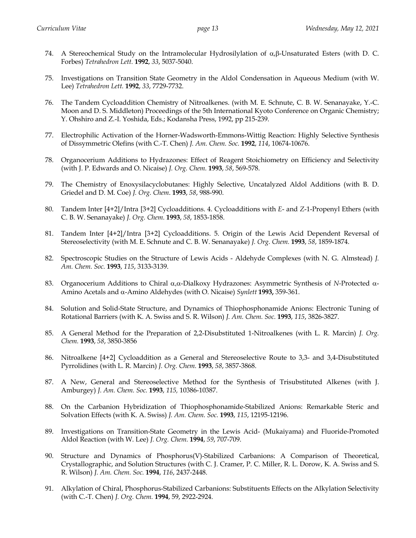- 74. A Stereochemical Study on the Intramolecular Hydrosilylation of  $\alpha$ ,  $\beta$ -Unsaturated Esters (with D. C. Forbes) *Tetrahedron Lett.* **1992**, *33*, 5037-5040.
- 75. Investigations on Transition State Geometry in the Aldol Condensation in Aqueous Medium (with W. Lee) *Tetrahedron Lett.* **1992**, *33*, 7729-7732.
- 76. The Tandem Cycloaddition Chemistry of Nitroalkenes. (with M. E. Schnute, C. B. W. Senanayake, Y.-C. Moon and D. S. Middleton) Proceedings of the 5th International Kyoto Conference on Organic Chemistry; Y. Ohshiro and Z.-I. Yoshida, Eds.; Kodansha Press, 1992, pp 215-239.
- 77. Electrophilic Activation of the Horner-Wadsworth-Emmons-Wittig Reaction: Highly Selective Synthesis of Dissymmetric Olefins (with C.-T. Chen) *J. Am. Chem. Soc.* **1992**, *114*, 10674-10676.
- 78. Organocerium Additions to Hydrazones: Effect of Reagent Stoichiometry on Efficiency and Selectivity (with J. P. Edwards and O. Nicaise) *J. Org. Chem.* **1993**, *58*, 569-578.
- 79. The Chemistry of Enoxysilacyclobutanes: Highly Selective, Uncatalyzed Aldol Additions (with B. D. Griedel and D. M. Coe) *J. Org. Chem*. **1993**, *58*, 988-990.
- 80. Tandem Inter [4+2]/Intra [3+2] Cycloadditions. 4. Cycloadditions with *E* and *Z*-1-Propenyl Ethers (with C. B. W. Senanayake) *J. Org. Chem.* **1993**, *58*, 1853-1858.
- 81. Tandem Inter [4+2]/Intra [3+2] Cycloadditions. 5. Origin of the Lewis Acid Dependent Reversal of Stereoselectivity (with M. E. Schnute and C. B. W. Senanayake) *J. Org. Chem.* **1993**, *58*, 1859-1874.
- 82. Spectroscopic Studies on the Structure of Lewis Acids Aldehyde Complexes (with N. G. Almstead) *J. Am. Chem. Soc.* **1993**, *115*, 3133-3139.
- 83. Organocerium Additions to Chiral α, α-Dialkoxy Hydrazones: Asymmetric Synthesis of *N*-Protected α-Amino Acetals and a-Amino Aldehydes (with O. Nicaise) *Synlett* **1993,** 359-361.
- 84. Solution and Solid-State Structure, and Dynamics of Thiophosphonamide Anions: Electronic Tuning of Rotational Barriers (with K. A. Swiss and S. R. Wilson) *J. Am. Chem. Soc.* **1993**, *115*, 3826-3827.
- 85. A General Method for the Preparation of 2,2-Disubstituted 1-Nitroalkenes (with L. R. Marcin) *J. Org. Chem.* **1993**, *58*, 3850-3856
- 86. Nitroalkene [4+2] Cycloaddition as a General and Stereoselective Route to 3,3- and 3,4-Disubstituted Pyrrolidines (with L. R. Marcin) *J. Org. Chem.* **1993**, *58*, 3857-3868.
- 87. A New, General and Stereoselective Method for the Synthesis of Trisubstituted Alkenes (with J. Amburgey) *J. Am. Chem. Soc.* **1993**, *115,* 10386-10387.
- 88. On the Carbanion Hybridization of Thiophosphonamide-Stabilized Anions: Remarkable Steric and Solvation Effects (with K. A. Swiss) *J. Am. Chem. Soc.* **1993**, *115*, 12195-12196.
- 89. Investigations on Transition-State Geometry in the Lewis Acid- (Mukaiyama) and Fluoride-Promoted Aldol Reaction (with W. Lee) *J. Org. Chem.* **1994**, *59*, 707-709.
- 90. Structure and Dynamics of Phosphorus(V)-Stabilized Carbanions: A Comparison of Theoretical, Crystallographic, and Solution Structures (with C. J. Cramer, P. C. Miller, R. L. Dorow, K. A. Swiss and S. R. Wilson) *J. Am. Chem. Soc.* **1994**, *116*, 2437-2448.
- 91. Alkylation of Chiral, Phosphorus-Stabilized Carbanions: Substituents Effects on the Alkylation Selectivity (with C.-T. Chen) *J. Org. Chem.* **1994**, 59, 2922-2924.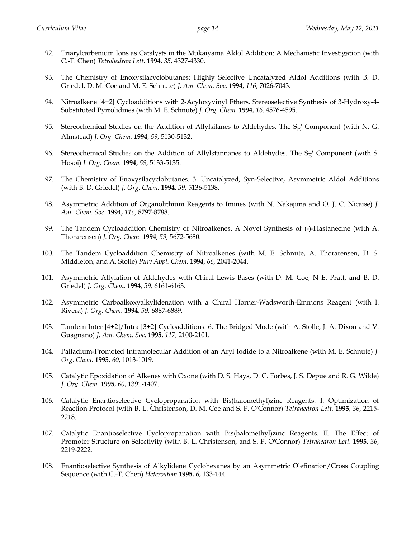- 92. Triarylcarbenium Ions as Catalysts in the Mukaiyama Aldol Addition: A Mechanistic Investigation (with C.-T. Chen) *Tetrahedron Lett.* **1994**, *35*, 4327-4330.
- 93. The Chemistry of Enoxysilacyclobutanes: Highly Selective Uncatalyzed Aldol Additions (with B. D. Griedel, D. M. Coe and M. E. Schnute) *J. Am. Chem. Soc.* **1994**, *116*, 7026-7043.
- 94. Nitroalkene [4+2] Cycloadditions with 2-Acyloxyvinyl Ethers. Stereoselective Synthesis of 3-Hydroxy-4- Substituted Pyrrolidines (with M. E. Schnute) *J. Org. Chem.* **1994**, *16,* 4576-4595.
- 95. Stereochemical Studies on the Addition of Allylsilanes to Aldehydes. The  $S_F'$  Component (with N. G. Almstead) *J. Org. Chem.* **1994**, *59,* 5130-5132.
- 96. Stereochemical Studies on the Addition of Allylstannanes to Aldehydes. The  $S_E$ ' Component (with S. Hosoi) *J. Org. Chem.* **1994**, *59,* 5133-5135.
- 97. The Chemistry of Enoxysilacyclobutanes. 3. Uncatalyzed, Syn-Selective, Asymmetric Aldol Additions (with B. D. Griedel) *J. Org. Chem.* **1994**, *59,* 5136-5138.
- 98. Asymmetric Addition of Organolithium Reagents to Imines (with N. Nakajima and O. J. C. Nicaise) *J. Am. Chem. Soc*. **1994**, *116,* 8797-8788.
- 99. The Tandem Cycloaddition Chemistry of Nitroalkenes. A Novel Synthesis of (-)-Hastanecine (with A. Thorarensen) *J. Org. Chem.* **1994**, *59,* 5672-5680.
- 100. The Tandem Cycloaddition Chemistry of Nitroalkenes (with M. E. Schnute, A. Thorarensen, D. S. Middleton, and A. Stolle) *Pure Appl. Chem.* **1994**, *66,* 2041-2044.
- 101. Asymmetric Allylation of Aldehydes with Chiral Lewis Bases (with D. M. Coe, N E. Pratt, and B. D. Griedel) *J. Org. Chem.* **1994**, *59,* 6161-6163.
- 102. Asymmetric Carboalkoxyalkylidenation with a Chiral Horner-Wadsworth-Emmons Reagent (with I. Rivera) *J. Org. Chem.* **1994**, *59,* 6887-6889.
- 103. Tandem Inter [4+2]/Intra [3+2] Cycloadditions. 6. The Bridged Mode (with A. Stolle, J. A. Dixon and V. Guagnano) *J. Am. Chem. Soc.* **1995**, *117*, 2100-2101.
- 104. Palladium-Promoted Intramolecular Addition of an Aryl Iodide to a Nitroalkene (with M. E. Schnute) *J. Org. Chem.* **1995**, *60*, 1013-1019.
- 105. Catalytic Epoxidation of Alkenes with Oxone (with D. S. Hays, D. C. Forbes, J. S. Depue and R. G. Wilde) *J. Org. Chem.* **1995**, *60*, 1391-1407.
- 106. Catalytic Enantioselective Cyclopropanation with Bis(halomethyl)zinc Reagents. I. Optimization of Reaction Protocol (with B. L. Christenson, D. M. Coe and S. P. O'Connor) *Tetrahedron Lett.* **1995**, *36*, 2215- 2218.
- 107. Catalytic Enantioselective Cyclopropanation with Bis(halomethyl)zinc Reagents. II. The Effect of Promoter Structure on Selectivity (with B. L. Christenson, and S. P. O'Connor) *Tetrahedron Lett.* **1995**, *36*, 2219-2222.
- 108. Enantioselective Synthesis of Alkylidene Cyclohexanes by an Asymmetric Olefination/Cross Coupling Sequence (with C.-T. Chen) *Heteroatom* **1995**, *6*, 133-144.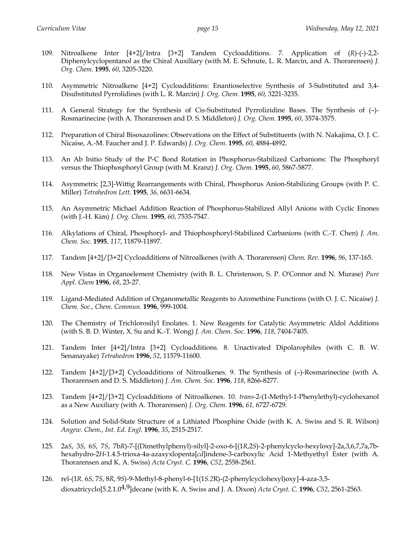- 109. Nitroalkene Inter [4+2]/Intra [3+2] Tandem Cycloadditions. 7. Application of (*R*)-(-)-2,2- Diphenylcyclopentanol as the Chiral Auxiliary (with M. E. Schnute, L. R. Marcin, and A. Thorarensen) *J. Org. Chem.* **1995**, *60*, 3205-3220.
- 110. Asymmetric Nitroalkene [4+2] Cycloadditions: Enantioselective Synthesis of 3-Substituted and 3,4- Disubstituted Pyrrolidines (with L. R. Marcin) *J. Org. Chem.* **1995**, *60*, 3221-3235.
- 111. A General Strategy for the Synthesis of Cis-Substituted Pyrrolizidine Bases. The Synthesis of (–)- Rosmarinecine (with A. Thorarensen and D. S. Middleton) *J. Org. Chem.* **1995**, *60*, 3574-3575.
- 112. Preparation of Chiral Bisoxazolines: Observations on the Effect of Substituents (with N. Nakajima, O. J. C. Nicaise, A.-M. Faucher and J. P. Edwards) *J. Org. Chem.* **1995**, *60*, 4884-4892.
- 113. An Ab Initio Study of the P-C Bond Rotation in Phosphorus-Stabilized Carbanions: The Phosphoryl versus the Thiophosphoryl Group (with M. Kranz) *J. Org. Chem.* **1995**, *60*, 5867-5877.
- 114. Asymmetric [2,3]-Wittig Rearrangements with Chiral, Phosphorus Anion-Stabilizing Groups (with P. C. Miller) *Tetrahedron Lett.* **1995**, *36,* 6631-6634.
- 115. An Asymmetric Michael Addition Reaction of Phosphorus-Stabilized Allyl Anions with Cyclic Enones (with J.-H. Kim) *J. Org. Chem.* **1995**, *60*, 7535-7547.
- 116. Alkylations of Chiral, Phosphoryl- and Thiophosphoryl-Stabilized Carbanions (with C.-T. Chen) *J. Am. Chem. Soc.* **1995**, *117*, 11879-11897.
- 117. Tandem [4+2]/[3+2] Cycloadditions of Nitroalkenes (with A. Thorarensen) *Chem. Rev.* **1996**, *96*, 137-165.
- 118. New Vistas in Organoelement Chemistry (with B. L. Christenson, S. P. O'Connor and N. Murase) *Pure Appl. Chem* **1996**, *68*, 23-27.
- 119. Ligand-Mediated Addition of Organometallic Reagents to Azomethine Functions (with O. J. C. Nicaise) *J. Chem. Soc., Chem. Commun.* **1996**, 999-1004.
- 120. The Chemistry of Trichlorosilyl Enolates. 1. New Reagents for Catalytic Asymmetric Aldol Additions (with S. B. D. Winter, X. Su and K.-T. Wong) *J. Am. Chem. Soc.* **1996**, *118*, 7404-7405.
- 121. Tandem Inter [4+2]/Intra [3+2] Cycloadditions. 8. Unactivated Dipolarophiles (with C. B. W. Senanayake) *Tetrahedron* **1996**, *52*, 11579-11600.
- 122. Tandem [4+2]/[3+2] Cycloadditions of Nitroalkenes. 9. The Synthesis of (–)-Rosmarinecine (with A. Thorarensen and D. S. Middleton) *J. Am. Chem. Soc.* **1996**, *118*, 8266-8277.
- 123. Tandem [4+2]/[3+2] Cycloadditions of Nitroalkenes. 10. *trans*-2-(1-Methyl-1-Phenylethyl)-cyclohexanol as a New Auxiliary (with A. Thorarensen) *J. Org. Chem.* **1996**, *61,* 6727-6729.
- 124. Solution and Solid-State Structure of a Lithiated Phosphine Oxide (with K. A. Swiss and S. R. Wilson) *Angew. Chem., Int. Ed. Engl.* **1996**, *35*, 2515-2517.
- 125. 2a*S*, 3*S*, 6*S*, 7*S*, 7b*R*)-7-[(Dimethylphenyl)-silyl]-2-oxo-6-[(1*R*,2*S*)-2-phenylcyclo-hexyloxy]-2a,3,6,7,7a,7bhexahydro-2*H*-1.4.5-trioxa-4a-azaxyxlopenta[*cd*]indene-3-carboxylic Acid 1-Methyethyl Ester (with A. Thorarensen and K. A. Swiss) *Acta Cryst. C.* **1996**, *C52*, 2558-2561.
- 126. rel-(1*R*. 6*S*, 7*S*, 8*R*, 9*S*)-9-Methyl-8-phenyl-6-[1(1*S.2*R)-(2-phenylcyclohexyl)oxy]-4-aza-3,5 dioxatricyclo[5.2.1.04,9]decane (with K. A. Swiss and J. A. Dixon) *Acta Cryst. C.* **1996**, *C52*, 2561-2563.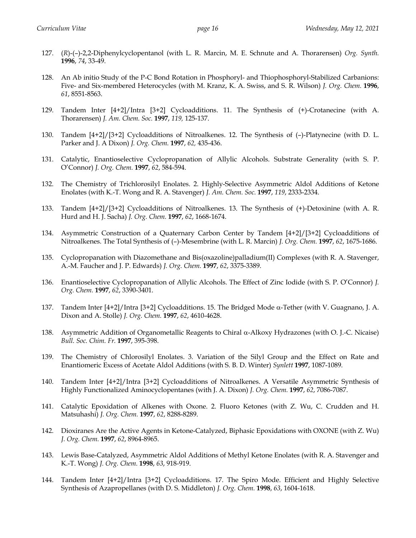- 127. (*R*)-(–)-2,2-Diphenylcyclopentanol (with L. R. Marcin, M. E. Schnute and A. Thorarensen) *Org. Synth.*  **1996**, *74*, 33-49.
- 128. An Ab initio Study of the P-C Bond Rotation in Phosphoryl- and Thiophosphoryl-Stabilized Carbanions: Five- and Six-membered Heterocycles (with M. Kranz, K. A. Swiss, and S. R. Wilson) *J. Org. Chem.* **1996**, *61*, 8551-8563.
- 129. Tandem Inter [4+2]/Intra [3+2] Cycloadditions. 11. The Synthesis of (+)-Crotanecine (with A. Thorarensen) *J. Am. Chem. Soc.* **1997**, *119,* 125-137.
- 130. Tandem [4+2]/[3+2] Cycloadditions of Nitroalkenes. 12. The Synthesis of (–)-Platynecine (with D. L. Parker and J. A Dixon) *J. Org. Chem.* **1997**, *62,* 435-436.
- 131. Catalytic, Enantioselective Cyclopropanation of Allylic Alcohols. Substrate Generality (with S. P. O'Connor) *J. Org. Chem.* **1997**, *62*, 584-594.
- 132. The Chemistry of Trichlorosilyl Enolates. 2. Highly-Selective Asymmetric Aldol Additions of Ketone Enolates (with K.-T. Wong and R. A. Stavenger) *J. Am. Chem. Soc.* **1997**, *119*, 2333-2334.
- 133. Tandem [4+2]/[3+2] Cycloadditions of Nitroalkenes. 13. The Synthesis of (+)-Detoxinine (with A. R. Hurd and H. J. Sacha) *J. Org. Chem.* **1997**, *62*, 1668-1674.
- 134. Asymmetric Construction of a Quaternary Carbon Center by Tandem [4+2]/[3+2] Cycloadditions of Nitroalkenes. The Total Synthesis of (–)-Mesembrine (with L. R. Marcin) *J. Org. Chem.* **1997**, *62*, 1675-1686.
- 135. Cyclopropanation with Diazomethane and Bis(oxazoline)palladium(II) Complexes (with R. A. Stavenger, A.-M. Faucher and J. P. Edwards) *J. Org. Chem.* **1997**, *62*, 3375-3389.
- 136. Enantioselective Cyclopropanation of Allylic Alcohols. The Effect of Zinc Iodide (with S. P. O'Connor) *J. Org. Chem.* **1997**, *62*, 3390-3401.
- 137. Tandem Inter  $[4+2]/$ Intra  $[3+2]$  Cycloadditions. 15. The Bridged Mode  $\alpha$ -Tether (with V. Guagnano, J. A. Dixon and A. Stolle) *J. Org. Chem.* **1997**, *62*, 4610-4628.
- 138. Asymmetric Addition of Organometallic Reagents to Chiral a-Alkoxy Hydrazones (with O. J.-C. Nicaise) *Bull. Soc. Chim. Fr.* **1997**, 395-398.
- 139. The Chemistry of Chlorosilyl Enolates. 3. Variation of the Silyl Group and the Effect on Rate and Enantiomeric Excess of Acetate Aldol Additions (with S. B. D. Winter) *Synlett* **1997**, 1087-1089.
- 140. Tandem Inter [4+2]/Intra [3+2] Cycloadditions of Nitroalkenes. A Versatile Asymmetric Synthesis of Highly Functionalized Aminocyclopentanes (with J. A. Dixon) *J. Org. Chem.* **1997**, *62*, 7086-7087.
- 141. Catalytic Epoxidation of Alkenes with Oxone. 2. Fluoro Ketones (with Z. Wu, C. Crudden and H. Matsuhashi) *J. Org. Chem.* **1997**, *62*, 8288-8289.
- 142. Dioxiranes Are the Active Agents in Ketone-Catalyzed, Biphasic Epoxidations with OXONE (with Z. Wu) *J. Org. Chem.* **1997**, *62*, 8964-8965.
- 143. Lewis Base-Catalyzed, Asymmetric Aldol Additions of Methyl Ketone Enolates (with R. A. Stavenger and K.-T. Wong) *J. Org. Chem.* **1998**, *63*, 918-919.
- 144. Tandem Inter [4+2]/Intra [3+2] Cycloadditions. 17. The Spiro Mode. Efficient and Highly Selective Synthesis of Azapropellanes (with D. S. Middleton) *J. Org. Chem.* **1998**, *63*, 1604-1618.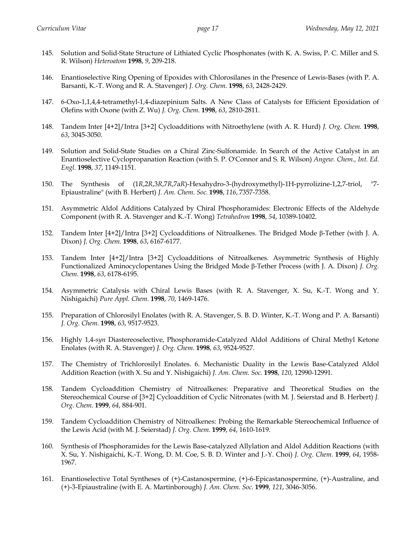- 145. Solution and Solid-State Structure of Lithiated Cyclic Phosphonates (with K. A. Swiss, P. C. Miller and S. R. Wilson) *Heteroatom* **1998**, *9*, 209-218.
- 146. Enantioselective Ring Opening of Epoxides with Chlorosilanes in the Presence of Lewis-Bases (with P. A. Barsanti, K.-T. Wong and R. A. Stavenger) *J. Org. Chem.* **1998**, *63*, 2428-2429.
- 147. 6-Oxo-1,1,4,4-tetramethyl-1,4-diazepinium Salts. A New Class of Catalysts for Efficient Epoxidation of Olefins with Oxone (with Z. Wu) *J. Org. Chem.* **1998**, *63*, 2810-2811.
- 148. Tandem Inter [4+2]/Intra [3+2] Cycloadditions with Nitroethylene (with A. R. Hurd) *J. Org. Chem.* **1998**, *63*, 3045-3050.
- 149. Solution and Solid-State Studies on a Chiral Zinc-Sulfonamide. In Search of the Active Catalyst in an Enantioselective Cyclopropanation Reaction (with S. P. O'Connor and S. R. Wilson) *Angew. Chem., Int. Ed. Engl.* **1998**, *37*, 1149-1151.
- 150. The Synthesis of (1*R*,2*R*,3*R*,7*R*,7a*R*)-Hexahydro-3-(hydroxymethyl)-1H-pyrrolizine-1,2,7-triol, "7- Epiaustraline" (with B. Herbert) *J. Am. Chem. Soc.* **1998**, *116*, 7357-7358.
- 151. Asymmetric Aldol Additions Catalyzed by Chiral Phosphoramides: Electronic Effects of the Aldehyde Component (with R. A. Stavenger and K.-T. Wong) *Tetrahedron* **1998**, *54*, 10389-10402.
- 152. Tandem Inter [4+2]/Intra [3+2] Cycloadditions of Nitroalkenes. The Bridged Mode β-Tether (with J. A. Dixon) *J. Org. Chem.* **1998**, *63*, 6167-6177.
- 153. Tandem Inter [4+2]/Intra [3+2] Cycloadditions of Nitroalkenes. Asymmetric Synthesis of Highly Functionalized Aminocyclopentanes Using the Bridged Mode β-Tether Process (with J. A. Dixon) *J. Org. Chem.* **1998**, *63*, 6178-6195.
- 154. Asymmetric Catalysis with Chiral Lewis Bases (with R. A. Stavenger, X. Su, K.-T. Wong and Y. Nishigaichi) *Pure Appl. Chem.* **1998**, *70*, 1469-1476.
- 155. Preparation of Chlorosilyl Enolates (with R. A. Stavenger, S. B. D. Winter, K.-T. Wong and P. A. Barsanti) *J. Org. Chem.* **1998**, *63*, 9517-9523.
- 156. Highly 1,4-*syn* Diastereoselective, Phosphoramide-Catalyzed Aldol Additions of Chiral Methyl Ketone Enolates (with R. A. Stavenger) *J. Org. Chem.* **1998**, *63*, 9524-9527.
- 157. The Chemistry of Trichlorosilyl Enolates. 6. Mechanistic Duality in the Lewis Base-Catalyzed Aldol Addition Reaction (with X. Su and Y. Nishigaichi) *J. Am. Chem. Soc.* **1998**, *120*, 12990-12991.
- 158. Tandem Cycloaddition Chemistry of Nitroalkenes: Preparative and Theoretical Studies on the Stereochemical Course of [3+2] Cycloaddition of Cyclic Nitronates (with M. J. Seierstad and B. Herbert) *J. Org. Chem.* **1999**, *64*, 884-901.
- 159. Tandem Cycloaddition Chemistry of Nitroalkenes: Probing the Remarkable Stereochemical Influence of the Lewis Acid (with M. J. Seierstad) *J. Org. Chem.* **1999**, *64*, 1610-1619.
- 160. Synthesis of Phosphoramides for the Lewis Base-catalyzed Allylation and Aldol Addition Reactions (with X. Su, Y. Nishigaichi, K.-T. Wong, D. M. Coe, S. B. D. Winter and J.-Y. Choi) *J. Org. Chem.* **1999**, *64*, 1958- 1967.
- 161. Enantioselective Total Syntheses of (+)-Castanospermine, (+)-6-Epicastanospermine, (+)-Australine, and (+)-3-Epiaustraline (with E. A. Martinborough) *J. Am. Chem. Soc.* **1999**, *121*, 3046-3056.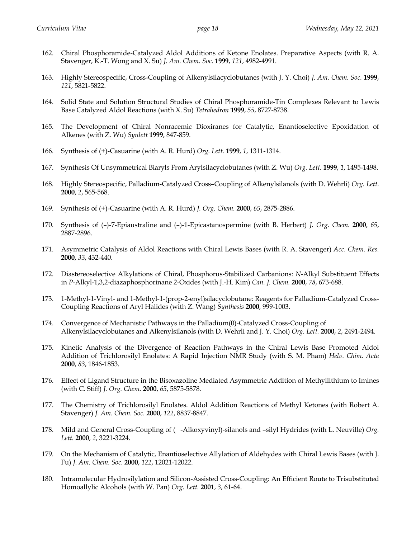- 162. Chiral Phosphoramide-Catalyzed Aldol Additions of Ketone Enolates. Preparative Aspects (with R. A. Stavenger, K.-T. Wong and X. Su) *J. Am. Chem. Soc.* **1999**, *121*, 4982-4991.
- 163. Highly Stereospecific, Cross-Coupling of Alkenylsilacyclobutanes (with J. Y. Choi) *J. Am. Chem. Soc.* **1999**, *121*, 5821-5822.
- 164. Solid State and Solution Structural Studies of Chiral Phosphoramide-Tin Complexes Relevant to Lewis Base Catalyzed Aldol Reactions (with X. Su) *Tetrahedron* **1999**, *55*, 8727-8738.
- 165. The Development of Chiral Nonracemic Dioxiranes for Catalytic, Enantioselective Epoxidation of Alkenes (with Z. Wu) *Synlett* **1999**, 847-859.
- 166. Synthesis of (+)-Casuarine (with A. R. Hurd) *Org. Lett.* **1999**, *1*, 1311-1314.
- 167. Synthesis Of Unsymmetrical Biaryls From Arylsilacyclobutanes (with Z. Wu) *Org. Lett.* **1999**, *1*, 1495-1498.
- 168. Highly Stereospecific, Palladium-Catalyzed Cross–Coupling of Alkenylsilanols (with D. Wehrli) *Org. Lett*. **2000**, *2*, 565-568.
- 169. Synthesis of (+)-Casuarine (with A. R. Hurd) *J. Org. Chem.* **2000**, *65*, 2875-2886.
- 170. Synthesis of (–)-7-Epiaustraline and (–)-1-Epicastanospermine (with B. Herbert) *J. Org. Chem.* **2000**, *65*, 2887-2896.
- 171. Asymmetric Catalysis of Aldol Reactions with Chiral Lewis Bases (with R. A. Stavenger) *Acc. Chem. Res.* **2000**, *33*, 432-440.
- 172. Diastereoselective Alkylations of Chiral, Phosphorus-Stabilized Carbanions: *N*-Alkyl Substituent Effects in *P*-Alkyl-1,3,2-diazaphosphorinane 2-Oxides (with J.-H. Kim) *Can. J. Chem.* **2000**, *78*, 673-688.
- 173. 1-Methyl-1-Vinyl- and 1-Methyl-1-(prop-2-enyl)silacyclobutane: Reagents for Palladium-Catalyzed Cross-Coupling Reactions of Aryl Halides (with Z. Wang) *Synthesis* **2000**, 999-1003.
- 174. Convergence of Mechanistic Pathways in the Palladium(0)-Catalyzed Cross-Coupling of Alkenylsilacyclobutanes and Alkenylsilanols (with D. Wehrli and J. Y. Choi) *Org. Lett.* **2000**, *2*, 2491-2494.
- 175. Kinetic Analysis of the Divergence of Reaction Pathways in the Chiral Lewis Base Promoted Aldol Addition of Trichlorosilyl Enolates: A Rapid Injection NMR Study (with S. M. Pham) *Helv. Chim. Acta* **2000**, *83*, 1846-1853.
- 176. Effect of Ligand Structure in the Bisoxazoline Mediated Asymmetric Addition of Methyllithium to Imines (with C. Stiff) *J. Org. Chem.* **2000**, *65*, 5875-5878.
- 177. The Chemistry of Trichlorosilyl Enolates. Aldol Addition Reactions of Methyl Ketones (with Robert A. Stavenger) *J. Am. Chem. Soc.* **2000**, *122*, 8837-8847.
- 178. Mild and General Cross-Coupling of (-Alkoxyvinyl)-silanols and –silyl Hydrides (with L. Neuville) *Org. Lett.* **2000**, *2*, 3221-3224.
- 179. On the Mechanism of Catalytic, Enantioselective Allylation of Aldehydes with Chiral Lewis Bases (with J. Fu) *J. Am. Chem. Soc*. **2000**, *122*, 12021-12022.
- 180. Intramolecular Hydrosilylation and Silicon-Assisted Cross-Coupling: An Efficient Route to Trisubstituted Homoallylic Alcohols (with W. Pan) *Org. Lett.* **2001**, *3*, 61-64.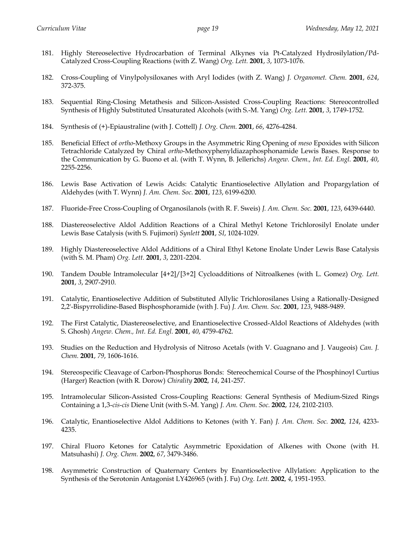- 181. Highly Stereoselective Hydrocarbation of Terminal Alkynes via Pt-Catalyzed Hydrosilylation/Pd-Catalyzed Cross-Coupling Reactions (with Z. Wang) *Org. Lett.* **2001**, *3*, 1073-1076.
- 182. Cross-Coupling of Vinylpolysiloxanes with Aryl Iodides (with Z. Wang) *J. Organomet. Chem.* **2001**, *624*, 372-375.
- 183. Sequential Ring-Closing Metathesis and Silicon-Assisted Cross-Coupling Reactions: Stereocontrolled Synthesis of Highly Substituted Unsaturated Alcohols (with S.-M. Yang) *Org. Lett.* **2001**, *3*, 1749-1752.
- 184. Synthesis of (+)-Epiaustraline (with J. Cottell) *J. Org. Chem.* **2001**, *66*, 4276-4284.
- 185. Beneficial Effect of *ortho*-Methoxy Groups in the Asymmetric Ring Opening of *meso* Epoxides with Silicon Tetrachloride Catalyzed by Chiral *ortho*-Methoxyphenyldiazaphosphonamide Lewis Bases. Response to the Communication by G. Buono et al. (with T. Wynn, B. Jellerichs) *Angew. Chem., Int. Ed. Engl.* **2001**, *40*, 2255-2256.
- 186. Lewis Base Activation of Lewis Acids: Catalytic Enantioselective Allylation and Propargylation of Aldehydes (with T. Wynn) *J. Am. Chem. Soc.* **2001**, *123*, 6199-6200.
- 187. Fluoride-Free Cross-Coupling of Organosilanols (with R. F. Sweis) *J. Am. Chem. Soc.* **2001**, *123*, 6439-6440.
- 188. Diastereoselective Aldol Addition Reactions of a Chiral Methyl Ketone Trichlorosilyl Enolate under Lewis Base Catalysis (with S. Fujimori) *Synlett* **2001**, *SI*, 1024-1029.
- 189. Highly Diastereoselective Aldol Additions of a Chiral Ethyl Ketone Enolate Under Lewis Base Catalysis (with S. M. Pham) *Org. Lett.* **2001**, *3*, 2201-2204.
- 190. Tandem Double Intramolecular [4+2]/[3+2] Cycloadditions of Nitroalkenes (with L. Gomez) *Org. Lett.* **2001**, *3*, 2907-2910.
- 191. Catalytic, Enantioselective Addition of Substituted Allylic Trichlorosilanes Using a Rationally-Designed 2,2'-Bispyrrolidine-Based Bisphosphoramide (with J. Fu) *J. Am. Chem. Soc.* **2001**, *123*, 9488-9489.
- 192. The First Catalytic, Diastereoselective, and Enantioselective Crossed-Aldol Reactions of Aldehydes (with S. Ghosh) *Angew. Chem., Int. Ed. Engl.* **2001**, *40*, 4759-4762.
- 193. Studies on the Reduction and Hydrolysis of Nitroso Acetals (with V. Guagnano and J. Vaugeois) *Can. J. Chem.* **2001**, *79*, 1606-1616.
- 194. Stereospecific Cleavage of Carbon-Phosphorus Bonds: Stereochemical Course of the Phosphinoyl Curtius (Harger) Reaction (with R. Dorow) *Chirality* **2002**, *14*, 241-257.
- 195. Intramolecular Silicon-Assisted Cross-Coupling Reactions: General Synthesis of Medium-Sized Rings Containing a 1,3-*cis*-*cis* Diene Unit (with S.-M. Yang) *J. Am. Chem. Soc.* **2002**, *124*, 2102-2103.
- 196. Catalytic, Enantioselective Aldol Additions to Ketones (with Y. Fan) *J. Am. Chem. Soc.* **2002**, *124*, 4233- 4235.
- 197. Chiral Fluoro Ketones for Catalytic Asymmetric Epoxidation of Alkenes with Oxone (with H. Matsuhashi) *J. Org. Chem.* **2002**, *67*, 3479-3486.
- 198. Asymmetric Construction of Quaternary Centers by Enantioselective Allylation: Application to the Synthesis of the Serotonin Antagonist LY426965 (with J. Fu) *Org. Lett.* **2002**, *4*, 1951-1953.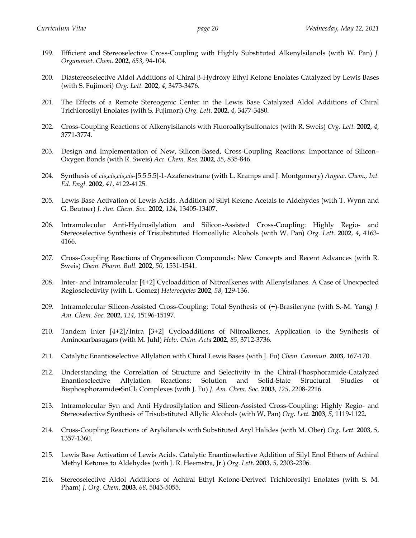- 199. Efficient and Stereoselective Cross-Coupling with Highly Substituted Alkenylsilanols (with W. Pan) *J. Organomet. Chem.* **2002**, *653*, 94-104.
- 200. Diastereoselective Aldol Additions of Chiral β-Hydroxy Ethyl Ketone Enolates Catalyzed by Lewis Bases (with S. Fujimori) *Org. Lett.* **2002**, *4*, 3473-3476.
- 201. The Effects of a Remote Stereogenic Center in the Lewis Base Catalyzed Aldol Additions of Chiral Trichlorosilyl Enolates (with S. Fujimori) *Org. Lett.* **2002**, *4*, 3477-3480.
- 202. Cross-Coupling Reactions of Alkenylsilanols with Fluoroalkylsulfonates (with R. Sweis) *Org. Lett.* **2002**, *4*, 3771-3774.
- 203. Design and Implementation of New, Silicon-Based, Cross-Coupling Reactions: Importance of Silicon– Oxygen Bonds (with R. Sweis) *Acc. Chem. Res.* **2002**, *35*, 835-846.
- 204. Synthesis of *cis*,*cis*,*cis*,*cis*-[5.5.5.5]-1-Azafenestrane (with L. Kramps and J. Montgomery) *Angew. Chem., Int. Ed. Engl.* **2002**, *41*, 4122-4125.
- 205. Lewis Base Activation of Lewis Acids. Addition of Silyl Ketene Acetals to Aldehydes (with T. Wynn and G. Beutner) *J. Am. Chem. Soc.* **2002**, *124*, 13405-13407.
- 206. Intramolecular Anti-Hydrosilylation and Silicon-Assisted Cross-Coupling: Highly Regio- and Stereoselective Synthesis of Trisubstituted Homoallylic Alcohols (with W. Pan) *Org. Lett.* **2002**, *4*, 4163- 4166.
- 207. Cross-Coupling Reactions of Organosilicon Compounds: New Concepts and Recent Advances (with R. Sweis) *Chem. Pharm. Bull.* **2002**, *50*, 1531-1541.
- 208. Inter- and Intramolecular [4+2] Cycloaddition of Nitroalkenes with Allenylsilanes. A Case of Unexpected Regioselectivity (with L. Gomez) *Heterocycles* **2002**, *58*, 129-136.
- 209. Intramolecular Silicon-Assisted Cross-Coupling: Total Synthesis of (+)-Brasilenyne (with S.-M. Yang) *J. Am. Chem. Soc.* **2002**, *124*, 15196-15197.
- 210. Tandem Inter [4+2]/Intra [3+2] Cycloadditions of Nitroalkenes. Application to the Synthesis of Aminocarbasugars (with M. Juhl) *Helv. Chim. Acta* **2002**, *85*, 3712-3736.
- 211. Catalytic Enantioselective Allylation with Chiral Lewis Bases (with J. Fu) *Chem. Commun.* **2003**, 167-170.
- 212. Understanding the Correlation of Structure and Selectivity in the Chiral-Phosphoramide-Catalyzed Enantioselective Allylation Reactions: Solution and Solid-State Structural Studies of Bisphosphoramide•SnCl4 Complexes (with J. Fu) *J. Am. Chem. Soc.* **2003**, *125*, 2208-2216.
- 213. Intramolecular Syn and Anti Hydrosilylation and Silicon-Assisted Cross-Coupling: Highly Regio- and Stereoselective Synthesis of Trisubstituted Allylic Alcohols (with W. Pan) *Org. Lett*. **2003**, *5*, 1119-1122.
- 214. Cross-Coupling Reactions of Arylsilanols with Substituted Aryl Halides (with M. Ober) *Org. Lett*. **2003**, *5*, 1357-1360.
- 215. Lewis Base Activation of Lewis Acids. Catalytic Enantioselective Addition of Silyl Enol Ethers of Achiral Methyl Ketones to Aldehydes (with J. R. Heemstra, Jr.) *Org. Lett*. **2003**, *5*, 2303-2306.
- 216. Stereoselective Aldol Additions of Achiral Ethyl Ketone-Derived Trichlorosilyl Enolates (with S. M. Pham) *J. Org. Chem*. **2003**, *68*, 5045-5055.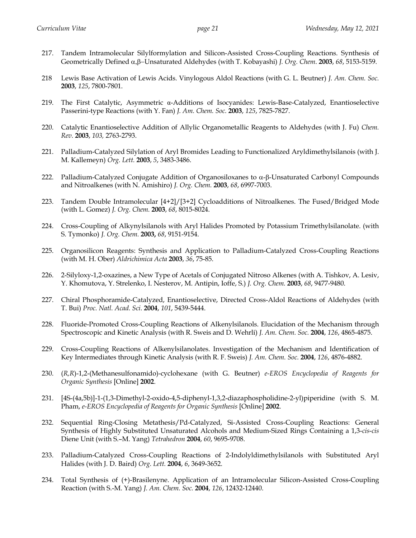- 217. Tandem Intramolecular Silylformylation and Silicon-Assisted Cross-Coupling Reactions. Synthesis of Geometrically Defined α,β-Unsaturated Aldehydes (with T. Kobayashi) *J. Org. Chem.* **2003**, 68, 5153-5159.
- 218 Lewis Base Activation of Lewis Acids. Vinylogous Aldol Reactions (with G. L. Beutner) *J. Am. Chem. Soc.* **2003**, *125*, 7800-7801.
- 219. The First Catalytic, Asymmetric α-Additions of Isocyanides: Lewis-Base-Catalyzed, Enantioselective Passerini-type Reactions (with Y. Fan) *J. Am. Chem. Soc.* **2003**, *125*, 7825-7827.
- 220. Catalytic Enantioselective Addition of Allylic Organometallic Reagents to Aldehydes (with J. Fu) *Chem. Rev.* **2003**, *103,* 2763-2793.
- 221. Palladium-Catalyzed Silylation of Aryl Bromides Leading to Functionalized Aryldimethylsilanois (with J. M. Kallemeyn) *Org. Lett.* **2003**, *5*, 3483-3486.
- 222. Palladium-Catalyzed Conjugate Addition of Organosiloxanes to  $\alpha$ - $\beta$ -Unsaturated Carbonyl Compounds and Nitroalkenes (with N. Amishiro) *J. Org. Chem.* **2003**, *68*, 6997-7003.
- 223. Tandem Double Intramolecular [4+2]/[3+2] Cycloadditions of Nitroalkenes. The Fused/Bridged Mode (with L. Gomez) *J. Org. Chem.* **2003**, *68*, 8015-8024.
- 224. Cross-Coupling of Alkynylsilanols with Aryl Halides Promoted by Potassium Trimethylsilanolate. (with S. Tymonko) *J. Org. Chem.* **2003,** *68*, 9151-9154.
- 225. Organosilicon Reagents: Synthesis and Application to Palladium-Catalyzed Cross-Coupling Reactions (with M. H. Ober) *Aldrichimica Acta* **2003**, *36*, 75-85.
- 226. 2-Silyloxy-1,2-oxazines, a New Type of Acetals of Conjugated Nitroso Alkenes (with A. Tishkov, A. Lesiv, Y. Khomutova, Y. Strelenko, I. Nesterov, M. Antipin, Ioffe, S.) *J. Org. Chem.* **2003**, *68*, 9477-9480.
- 227. Chiral Phosphoramide-Catalyzed, Enantioselective, Directed Cross-Aldol Reactions of Aldehydes (with T. Bui) *Proc. Natl. Acad. Sci.* **2004**, *101*, 5439-5444.
- 228. Fluoride-Promoted Cross-Coupling Reactions of Alkenylsilanols. Elucidation of the Mechanism through Spectroscopic and Kinetic Analysis (with R. Sweis and D. Wehrli) *J. Am. Chem. Soc.* **2004**, *126*, 4865-4875.
- 229. Cross-Coupling Reactions of Alkenylsilanolates. Investigation of the Mechanism and Identification of Key Intermediates through Kinetic Analysis (with R. F. Sweis) *J. Am. Chem. Soc.* **2004**, *126*, 4876-4882.
- 230. (*R,R*)-1,2-(Methanesulfonamido)-cyclohexane (with G. Beutner) *e-EROS Encyclopedia of Reagents for Organic Synthesis* [Online] **2002**.
- 231. [4S-(4a,5b)]-1-(1,3-Dimethyl-2-oxido-4,5-diphenyl-1,3,2-diazaphospholidine-2-yl)piperidine (with S. M. Pham, *e-EROS Encyclopedia of Reagents for Organic Synthesis* [Online] **2002**.
- 232. Sequential Ring-Closing Metathesis/Pd-Catalyzed, Si-Assisted Cross-Coupling Reactions: General Synthesis of Highly Substituted Unsaturated Alcohols and Medium-Sized Rings Containing a 1,3-*cis*-*cis* Diene Unit (with S.–M. Yang) *Tetrahedron* **2004**, *60*, 9695-9708.
- 233. Palladium-Catalyzed Cross-Coupling Reactions of 2-Indolyldimethylsilanols with Substituted Aryl Halides (with J. D. Baird) *Org. Lett.* **2004**, *6*, 3649-3652.
- 234. Total Synthesis of (+)-Brasilenyne. Application of an Intramolecular Silicon-Assisted Cross-Coupling Reaction (with S.-M. Yang) *J. Am. Chem. Soc.* **2004**, *126*, 12432-12440.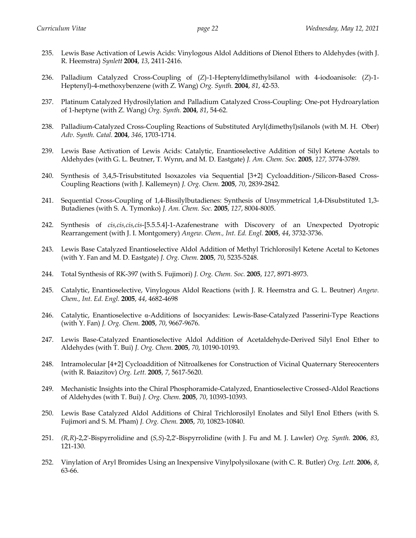- 235. Lewis Base Activation of Lewis Acids: Vinylogous Aldol Additions of Dienol Ethers to Aldehydes (with J. R. Heemstra) *Synlett* **2004**, *13*, 2411-2416.
- 236. Palladium Catalyzed Cross-Coupling of (*Z*)-1-Heptenyldimethylsilanol with 4-iodoanisole: (*Z*)-1- Heptenyl)-4-methoxybenzene (with Z. Wang) *Org. Synth.* **2004**, *81*, 42-53.
- 237. Platinum Catalyzed Hydrosilylation and Palladium Catalyzed Cross-Coupling: One-pot Hydroarylation of 1-heptyne (with Z. Wang) *Org. Synth.* **2004**, *81*, 54-62.
- 238. Palladium-Catalyzed Cross-Coupling Reactions of Substituted Aryl(dimethyl)silanols (with M. H. Ober) *Adv. Synth. Catal.* **2004**, *346*, 1703-1714.
- 239. Lewis Base Activation of Lewis Acids: Catalytic, Enantioselective Addition of Silyl Ketene Acetals to Aldehydes (with G. L. Beutner, T. Wynn, and M. D. Eastgate) *J. Am. Chem. Soc.* **2005**, *127,* 3774-3789.
- 240. Synthesis of 3,4,5-Trisubstituted Isoxazoles via Sequential [3+2} Cycloaddition-/Silicon-Based Cross-Coupling Reactions (with J. Kallemeyn) *J. Org. Chem.* **2005**, *70*, 2839-2842.
- 241. Sequential Cross-Coupling of 1,4-Bissilylbutadienes: Synthesis of Unsymmetrical 1,4-Disubstituted 1,3- Butadienes (with S. A. Tymonko) *J. Am. Chem. Soc.* **2005**, *127*, 8004-8005.
- 242. Synthesis of *cis,cis,cis,cis*-[5.5.5.4]-1-Azafenestrane with Discovery of an Unexpected Dyotropic Rearrangement (with J. I. Montgomery) *Angew. Chem., Int. Ed. Engl.* **2005**, *44*, 3732-3736.
- 243. Lewis Base Catalyzed Enantioselective Aldol Addition of Methyl Trichlorosilyl Ketene Acetal to Ketones (with Y. Fan and M. D. Eastgate) *J. Org. Chem.* **2005**, *70*, 5235-5248.
- 244. Total Synthesis of RK-397 (with S. Fujimori) *J. Org. Chem. Soc.* **2005**, *127*, 8971-8973.
- 245. Catalytic, Enantioselective, Vinylogous Aldol Reactions (with J. R. Heemstra and G. L. Beutner) *Angew. Chem., Int. Ed. Engl.* **2005**, *44*, 4682-4698
- 246. Catalytic, Enantioselective α-Additions of Isocyanides: Lewis-Base-Catalyzed Passerini-Type Reactions (with Y. Fan) *J. Org. Chem*. **2005**, *70*, 9667-9676.
- 247. Lewis Base-Catalyzed Enantioselective Aldol Addition of Acetaldehyde-Derived Silyl Enol Ether to Aldehydes (with T. Bui) *J. Org. Chem*. **2005**, *70*, 10190-10193.
- 248. Intramolecular [4+2] Cycloaddition of Nitroalkenes for Construction of Vicinal Quaternary Stereocenters (with R. Baiazitov) *Org. Lett.* **2005**, *7*, 5617-5620.
- 249. Mechanistic Insights into the Chiral Phosphoramide-Catalyzed, Enantioselective Crossed-Aldol Reactions of Aldehydes (with T. Bui) *J. Org. Chem*. **2005**, *70*, 10393-10393.
- 250. Lewis Base Catalyzed Aldol Additions of Chiral Trichlorosilyl Enolates and Silyl Enol Ethers (with S. Fujimori and S. M. Pham) *J. Org. Chem.* **2005**, *70*, 10823-10840.
- 251. *(R,R*)-2,2'-Bispyrrolidine and (*S,S*)-2,2'-Bispyrrolidine (with J. Fu and M. J. Lawler) *Org. Synth.* **2006**, *83*, 121-130.
- 252. Vinylation of Aryl Bromides Using an Inexpensive Vinylpolysiloxane (with C. R. Butler) *Org. Lett.* **2006**, *8*, 63-66.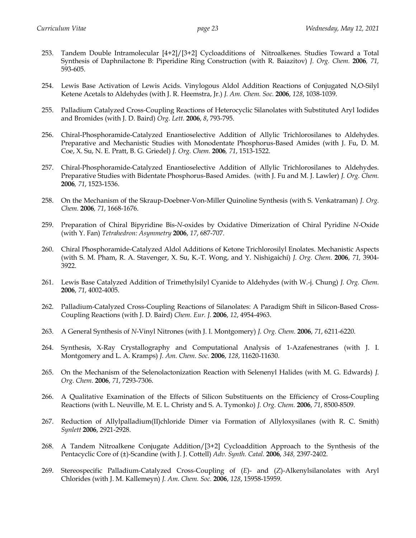- 253. Tandem Double Intramolecular [4+2]/[3+2] Cycloadditions of Nitroalkenes. Studies Toward a Total Synthesis of Daphnilactone B: Piperidine Ring Construction (with R. Baiazitov) *J. Org. Chem.* **2006***, 71,*  593-605.
- 254. Lewis Base Activation of Lewis Acids. Vinylogous Aldol Addition Reactions of Conjugated N,O-Silyl Ketene Acetals to Aldehydes (with J. R. Heemstra, Jr.) *J. Am. Chem. Soc.* **2006**, *128*, 1038-1039.
- 255. Palladium Catalyzed Cross-Coupling Reactions of Heterocyclic Silanolates with Substituted Aryl Iodides and Bromides (with J. D. Baird) *Org. Lett.* **2006**, *8*, 793-795.
- 256. Chiral-Phosphoramide-Catalyzed Enantioselective Addition of Allylic Trichlorosilanes to Aldehydes. Preparative and Mechanistic Studies with Monodentate Phosphorus-Based Amides (with J. Fu, D. M. Coe, X. Su, N. E. Pratt, B. G. Griedel) *J. Org. Chem.* **2006***, 71*, 1513-1522.
- 257. Chiral-Phosphoramide-Catalyzed Enantioselective Addition of Allylic Trichlorosilanes to Aldehydes. Preparative Studies with Bidentate Phosphorus-Based Amides. (with J. Fu and M. J. Lawler) *J. Org. Chem.*  **2006***, 71*, 1523-1536.
- 258. On the Mechanism of the Skraup-Doebner-Von-Miller Quinoline Synthesis (with S. Venkatraman) *J. Org. Chem.* **2006***, 71*, 1668-1676.
- 259. Preparation of Chiral Bipyridine Bis-*N*-oxides by Oxidative Dimerization of Chiral Pyridine *N*-Oxide (with Y. Fan) *Tetrahedron: Asymmetry* **2006**, *17*, 687-707.
- 260. Chiral Phosphoramide-Catalyzed Aldol Additions of Ketone Trichlorosilyl Enolates. Mechanistic Aspects (with S. M. Pham, R. A. Stavenger, X. Su, K.-T. Wong, and Y. Nishigaichi) *J. Org. Chem.* **2006**, *71,* 3904- 3922.
- 261. Lewis Base Catalyzed Addition of Trimethylsilyl Cyanide to Aldehydes (with W.-j. Chung) *J. Org. Chem.*  **2006**, *71*, 4002-4005.
- 262. Palladium-Catalyzed Cross-Coupling Reactions of Silanolates: A Paradigm Shift in Silicon-Based Cross-Coupling Reactions (with J. D. Baird) *Chem. Eur. J.* **2006**, *12*, 4954-4963.
- 263. A General Synthesis of *N*-Vinyl Nitrones (with J. I. Montgomery) *J. Org. Chem.* **2006**, *71*, 6211-6220.
- 264. Synthesis, X-Ray Crystallography and Computational Analysis of 1-Azafenestranes (with J. I. Montgomery and L. A. Kramps) *J. Am. Chem. Soc.* **2006**, *128*, 11620-11630.
- 265. On the Mechanism of the Selenolactonization Reaction with Selenenyl Halides (with M. G. Edwards) *J. Org. Chem.* **2006**, *71*, 7293-7306.
- 266. A Qualitative Examination of the Effects of Silicon Substituents on the Efficiency of Cross-Coupling Reactions (with L. Neuville, M. E. L. Christy and S. A. Tymonko) *J. Org. Chem.* **2006**, *71*, 8500-8509.
- 267. Reduction of Allylpalladium(II)chloride Dimer via Formation of Allyloxysilanes (with R. C. Smith) *Synlett* **2006**, 2921-2928.
- 268. A Tandem Nitroalkene Conjugate Addition/[3+2] Cycloaddition Approach to the Synthesis of the Pentacyclic Core of (±)-Scandine (with J. J. Cottell) *Adv. Synth. Catal.* **2006**, *348,* 2397-2402.
- 269. Stereospecific Palladium-Catalyzed Cross-Coupling of (*E*)- and (*Z*)-Alkenylsilanolates with Aryl Chlorides (with J. M. Kallemeyn) *J. Am. Chem. Soc.* **2006**, *128*, 15958-15959.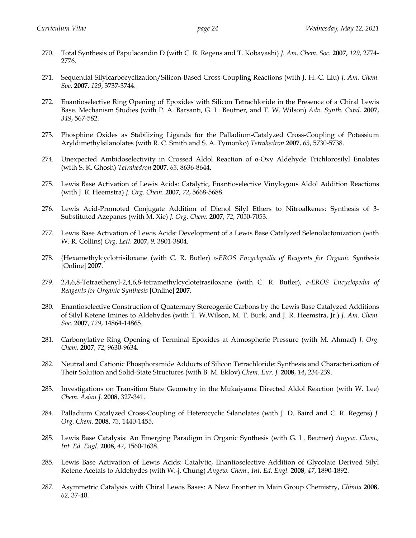- 270. Total Synthesis of Papulacandin D (with C. R. Regens and T. Kobayashi) *J. Am. Chem. Soc.* **2007**, *129*, 2774- 2776.
- 271. Sequential Silylcarbocyclization/Silicon-Based Cross-Coupling Reactions (with J. H.-C. Liu) *J. Am. Chem. Soc.* **2007**, *129*, 3737-3744.
- 272. Enantioselective Ring Opening of Epoxides with Silicon Tetrachloride in the Presence of a Chiral Lewis Base. Mechanism Studies (with P. A. Barsanti, G. L. Beutner, and T. W. Wilson) *Adv. Synth. Catal.* **2007**, *349*, 567-582.
- 273. Phosphine Oxides as Stabilizing Ligands for the Palladium-Catalyzed Cross-Coupling of Potassium Aryldimethylsilanolates (with R. C. Smith and S. A. Tymonko) *Tetrahedron* **2007**, *63*, 5730-5738.
- 274. Unexpected Ambidoselectivity in Crossed Aldol Reaction of α-Oxy Aldehyde Trichlorosilyl Enolates (with S. K. Ghosh) *Tetrahedron* **2007**, *63*, 8636-8644.
- 275. Lewis Base Activation of Lewis Acids: Catalytic, Enantioselective Vinylogous Aldol Addition Reactions (with J. R. Heemstra) *J. Org. Chem.* **2007**, *72*, 5668-5688.
- 276. Lewis Acid-Promoted Conjugate Addition of Dienol Silyl Ethers to Nitroalkenes: Synthesis of 3- Substituted Azepanes (with M. Xie) *J. Org. Chem.* **2007**, *72*, 7050-7053.
- 277. Lewis Base Activation of Lewis Acids: Development of a Lewis Base Catalyzed Selenolactonization (with W. R. Collins) *Org. Lett.* **2007**, *9*, 3801-3804.
- 278. (Hexamethylcyclotrisiloxane (with C. R. Butler) *e-EROS Encyclopedia of Reagents for Organic Synthesis*  [Online] **2007**.
- 279. 2,4,6,8-Tetraethenyl-2,4,6,8-tetramethylcyclotetrasiloxane (with C. R. Butler), *e-EROS Encyclopedia of Reagents for Organic Synthesis* [Online] **2007**.
- 280. Enantioselective Construction of Quaternary Stereogenic Carbons by the Lewis Base Catalyzed Additions of Silyl Ketene Imines to Aldehydes (with T. W.Wilson, M. T. Burk, and J. R. Heemstra, Jr.) *J. Am. Chem. Soc.* **2007**, *129*, 14864-14865.
- 281. Carbonylative Ring Opening of Terminal Epoxides at Atmospheric Pressure (with M. Ahmad) *J. Org. Chem.* **2007**, *72*, 9630-9634.
- 282. Neutral and Cationic Phosphoramide Adducts of Silicon Tetrachloride: Synthesis and Characterization of Their Solution and Solid-State Structures (with B. M. Eklov) *Chem. Eur. J.* **2008**, *14*, 234-239.
- 283. Investigations on Transition State Geometry in the Mukaiyama Directed Aldol Reaction (with W. Lee) *Chem. Asian J.* **2008**, 327-341.
- 284. Palladium Catalyzed Cross-Coupling of Heterocyclic Silanolates (with J. D. Baird and C. R. Regens) *J. Org. Chem.* **2008**, *73*, 1440-1455.
- 285. Lewis Base Catalysis: An Emerging Paradigm in Organic Synthesis (with G. L. Beutner) *Angew. Chem., Int. Ed. Engl.* **2008**, *47*, 1560-1638.
- 285. Lewis Base Activation of Lewis Acids: Catalytic, Enantioselective Addition of Glycolate Derived Silyl Ketene Acetals to Aldehydes (with W.-j. Chung) *Angew. Chem., Int. Ed. Engl.* **2008**, *47*, 1890-1892.
- 287. Asymmetric Catalysis with Chiral Lewis Bases: A New Frontier in Main Group Chemistry, *Chimia* **2008**, *62,* 37-40.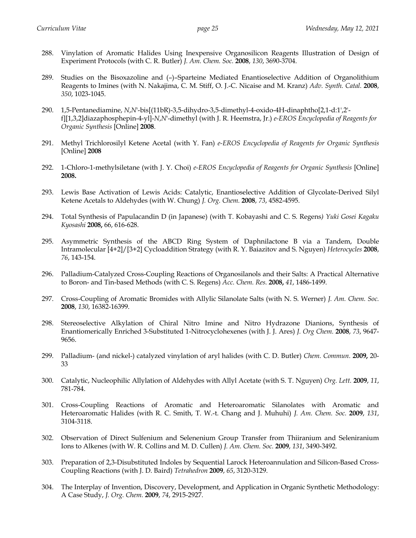- 288. Vinylation of Aromatic Halides Using Inexpensive Organosilicon Reagents Illustration of Design of Experiment Protocols (with C. R. Butler) *J. Am. Chem. Soc.* **2008**, *130*, 3690-3704.
- 289. Studies on the Bisoxazoline and (–)–Sparteine Mediated Enantioselective Addition of Organolithium Reagents to Imines (with N. Nakajima, C. M. Stiff, O. J.-C. Nicaise and M. Kranz) *Adv. Synth. Catal.* **2008**, *350*, 1023-1045.
- 290. 1,5-Pentanediamine, *N*,*N*'-bis[(11bR)-3,5-dihydro-3,5-dimethyl-4-oxido-4H-dinaphtho[2,1-d:1',2' f][1,3,2]diazaphosphepin-4-yl]-*N*,*N*'-dimethyl (with J. R. Heemstra, Jr.) *e-EROS Encyclopedia of Reagents for Organic Synthesis* [Online] **2008**.
- 291. Methyl Trichlorosilyl Ketene Acetal (with Y. Fan) *e-EROS Encyclopedia of Reagents for Organic Synthesis*  [Online] **2008**
- 292. 1-Chloro-1-methylsiletane (with J. Y. Choi) *e-EROS Encyclopedia of Reagents for Organic Synthesis* [Online] **2008.**
- 293. Lewis Base Activation of Lewis Acids: Catalytic, Enantioselective Addition of Glycolate-Derived Silyl Ketene Acetals to Aldehydes (with W. Chung) *J. Org. Chem.* **2008**, *73*, 4582-4595.
- 294. Total Synthesis of Papulacandin D (in Japanese) (with T. Kobayashi and C. S. Regens*) Yuki Gosei Kagaku Kyosashi* **2008,** 66, 616-628.
- 295. Asymmetric Synthesis of the ABCD Ring System of Daphnilactone B via a Tandem, Double Intramolecular [4+2]/[3+2] Cycloaddition Strategy (with R. Y. Baiazitov and S. Nguyen) *Heterocycles* **2008**, *76*, 143-154.
- 296. Palladium-Catalyzed Cross-Coupling Reactions of Organosilanols and their Salts: A Practical Alternative to Boron- and Tin-based Methods (with C. S. Regens) *Acc. Chem. Res.* **2008,** *41*, 1486-1499.
- 297. Cross-Coupling of Aromatic Bromides with Allylic Silanolate Salts (with N. S. Werner) *J. Am. Chem. Soc.* **2008**, *130*, 16382-16399.
- 298. Stereoselective Alkylation of Chiral Nitro Imine and Nitro Hydrazone Dianions, Synthesis of Enantiomerically Enriched 3-Substituted 1-Nitrocyclohexenes (with J. J. Ares) *J. Org Chem.* **2008**, *73*, 9647- 9656.
- 299. Palladium- (and nickel-) catalyzed vinylation of aryl halides (with C. D. Butler) *Chem. Commun.* **2009,** 20- 33
- 300. Catalytic, Nucleophilic Allylation of Aldehydes with Allyl Acetate (with S. T. Nguyen) *Org. Lett.* **2009**, *11*, 781-784.
- 301. Cross-Coupling Reactions of Aromatic and Heteroaromatic Silanolates with Aromatic and Heteroaromatic Halides (with R. C. Smith, T. W.-t. Chang and J. Muhuhi) *J. Am. Chem. Soc.* **2009**, *131*, 3104-3118.
- 302. Observation of Direct Sulfenium and Selenenium Group Transfer from Thiiranium and Seleniranium Ions to Alkenes (with W. R. Collins and M. D. Cullen) *J. Am. Chem. Soc.* **2009**, *131*, 3490-3492.
- 303. Preparation of 2,3-Disubstituted Indoles by Sequential Larock Heteroannulation and Silicon-Based Cross-Coupling Reactions (with J. D. Baird) *Tetrahedron* **2009**, *65*, 3120-3129.
- 304. The Interplay of Invention, Discovery, Development, and Application in Organic Synthetic Methodology: A Case Study, *J. Org. Chem.* **2009**, *74*, 2915-2927.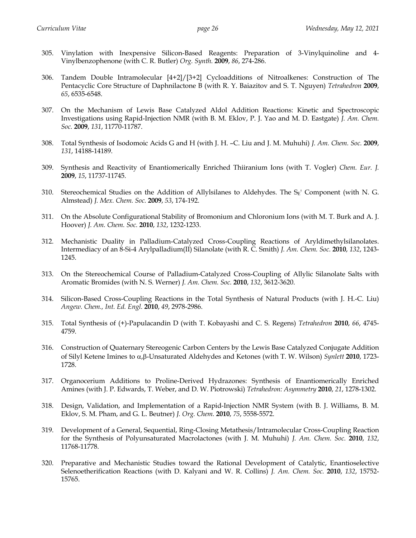- 305. Vinylation with Inexpensive Silicon-Based Reagents: Preparation of 3-Vinylquinoline and 4- Vinylbenzophenone (with C. R. Butler) *Org. Synth.* **2009**, *86*, 274-286.
- 306. Tandem Double Intramolecular [4+2]/[3+2] Cycloadditions of Nitroalkenes: Construction of The Pentacyclic Core Structure of Daphnilactone B (with R. Y. Baiazitov and S. T. Nguyen) *Tetrahedron* **2009**, *65*, 6535-6548.
- 307. On the Mechanism of Lewis Base Catalyzed Aldol Addition Reactions: Kinetic and Spectroscopic Investigations using Rapid-Injection NMR (with B. M. Eklov, P. J. Yao and M. D. Eastgate) *J. Am. Chem. Soc.* **2009**, *131*, 11770-11787.
- 308. Total Synthesis of Isodomoic Acids G and H (with J. H. –C. Liu and J. M. Muhuhi) *J. Am. Chem. Soc.* **2009**, *131*, 14188-14189.
- 309. Synthesis and Reactivity of Enantiomerically Enriched Thiiranium Ions (with T. Vogler) *Chem. Eur. J.* **2009**, *15*, 11737-11745.
- 310. Stereochemical Studies on the Addition of Allylsilanes to Aldehydes. The  $S_E'$  Component (with N. G. Almstead) *J. Mex. Chem. Soc.* **2009**, *53*, 174-192.
- 311. On the Absolute Configurational Stability of Bromonium and Chloronium Ions (with M. T. Burk and A. J. Hoover) *J. Am. Chem. Soc.* **2010**, *132*, 1232-1233.
- 312. Mechanistic Duality in Palladium-Catalyzed Cross-Coupling Reactions of Aryldimethylsilanolates. Intermediacy of an 8-Si-4 Arylpalladium(II) Silanolate (with R. C. Smith) *J. Am. Chem. Soc.* **2010**, *132*, 1243- 1245.
- 313. On the Stereochemical Course of Palladium-Catalyzed Cross-Coupling of Allylic Silanolate Salts with Aromatic Bromides (with N. S. Werner) *J. Am. Chem. Soc.* **2010**, *132*, 3612-3620.
- 314. Silicon-Based Cross-Coupling Reactions in the Total Synthesis of Natural Products (with J. H.-C. Liu) *Angew. Chem., Int. Ed. Engl.* **2010**, *49*, 2978-2986.
- 315. Total Synthesis of (+)-Papulacandin D (with T. Kobayashi and C. S. Regens) *Tetrahedron* **2010**, *66*, 4745- 4759.
- 316. Construction of Quaternary Stereogenic Carbon Centers by the Lewis Base Catalyzed Conjugate Addition of Silyl Ketene Imines to a,b-Unsaturated Aldehydes and Ketones (with T. W. Wilson) *Synlett* **2010**, 1723- 1728.
- 317. Organocerium Additions to Proline-Derived Hydrazones: Synthesis of Enantiomerically Enriched Amines (with J. P. Edwards, T. Weber, and D. W. Piotrowski) *Tetrahedron: Asymmetry* **2010**, *21*, 1278-1302.
- 318. Design, Validation, and Implementation of a Rapid-Injection NMR System (with B. J. Williams, B. M. Eklov, S. M. Pham, and G. L. Beutner) *J. Org. Chem.* **2010**, *75*, 5558-5572.
- 319. Development of a General, Sequential, Ring-Closing Metathesis/Intramolecular Cross-Coupling Reaction for the Synthesis of Polyunsaturated Macrolactones (with J. M. Muhuhi) *J. Am. Chem. Soc.* **2010**, *132*, 11768-11778.
- 320. Preparative and Mechanistic Studies toward the Rational Development of Catalytic, Enantioselective Selenoetherification Reactions (with D. Kalyani and W. R. Collins) *J. Am. Chem. Soc.* **2010**, *132*, 15752- 15765.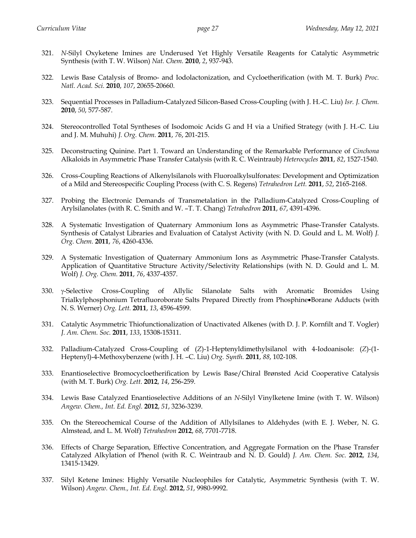- 321. *N*-Silyl Oxyketene Imines are Underused Yet Highly Versatile Reagents for Catalytic Asymmetric Synthesis (with T. W. Wilson) *Nat. Chem.* **2010**, *2*, 937-943.
- 322. Lewis Base Catalysis of Bromo- and Iodolactonization, and Cycloetherification (with M. T. Burk) *Proc. Natl. Acad. Sci.* **2010**, *107*, 20655-20660.
- 323. Sequential Processes in Palladium-Catalyzed Silicon-Based Cross-Coupling (with J. H.-C. Liu) *Isr. J. Chem.* **2010**, *50*, 577-587.
- 324. Stereocontrolled Total Syntheses of Isodomoic Acids G and H via a Unified Strategy (with J. H.-C. Liu and J. M. Muhuhi) *J. Org. Chem.* **2011**, *76*, 201-215.
- 325. Deconstructing Quinine. Part 1. Toward an Understanding of the Remarkable Performance of *Cinchona* Alkaloids in Asymmetric Phase Transfer Catalysis (with R. C. Weintraub) *Heterocycles* **2011**, *82*, 1527-1540.
- 326. Cross-Coupling Reactions of Alkenylsilanols with Fluoroalkylsulfonates: Development and Optimization of a Mild and Stereospecific Coupling Process (with C. S. Regens) *Tetrahedron Lett.* **2011**, *52*, 2165-2168.
- 327. Probing the Electronic Demands of Transmetalation in the Palladium-Catalyzed Cross-Coupling of Arylsilanolates (with R. C. Smith and W. –T. T. Chang) *Tetrahedron* **2011**, *67*, 4391-4396.
- 328. A Systematic Investigation of Quaternary Ammonium Ions as Asymmetric Phase-Transfer Catalysts. Synthesis of Catalyst Libraries and Evaluation of Catalyst Activity (with N. D. Gould and L. M. Wolf) *J. Org. Chem.* **2011**, *76*, 4260-4336.
- 329. A Systematic Investigation of Quaternary Ammonium Ions as Asymmetric Phase-Transfer Catalysts. Application of Quantitative Structure Activity/Selectivity Relationships (with N. D. Gould and L. M. Wolf) *J. Org. Chem.* **2011**, *76*, 4337-4357.
- 330. y-Selective Cross-Coupling of Allylic Silanolate Salts with Aromatic Bromides Using Trialkylphosphonium Tetrafluoroborate Salts Prepared Directly from Phosphine•Borane Adducts (with N. S. Werner) *Org. Lett.* **2011**, *13*, 4596-4599.
- 331. Catalytic Asymmetric Thiofunctionalization of Unactivated Alkenes (with D. J. P. Kornfilt and T. Vogler) *J. Am. Chem. Soc.* **2011**, *133*, 15308-15311.
- 332. Palladium-Catalyzed Cross-Coupling of (*Z*)-1-Heptenyldimethylsilanol with 4-Iodoanisole: (*Z*)-(1- Heptenyl)-4-Methoxybenzene (with J. H. –C. Liu) *Org. Synth.* **2011**, *88*, 102-108.
- 333. Enantioselective Bromocycloetherification by Lewis Base/Chiral Brønsted Acid Cooperative Catalysis (with M. T. Burk) *Org. Lett.* **2012**, *14*, 256-259.
- 334. Lewis Base Catalyzed Enantioselective Additions of an *N*-Silyl Vinylketene Imine (with T. W. Wilson) *Angew. Chem., Int. Ed. Engl.* **2012**, *51*, 3236-3239.
- 335. On the Stereochemical Course of the Addition of Allylsilanes to Aldehydes (with E. J. Weber, N. G. Almstead, and L. M. Wolf) *Tetrahedron* **2012**, *68*, 7701-7718.
- 336. Effects of Charge Separation, Effective Concentration, and Aggregate Formation on the Phase Transfer Catalyzed Alkylation of Phenol (with R. C. Weintraub and N. D. Gould) *J. Am. Chem. Soc*. **2012**, *134*, 13415-13429.
- 337. Silyl Ketene Imines: Highly Versatile Nucleophiles for Catalytic, Asymmetric Synthesis (with T. W. Wilson) *Angew. Chem., Int. Ed*. *Engl.* **2012**, *51*, 9980-9992.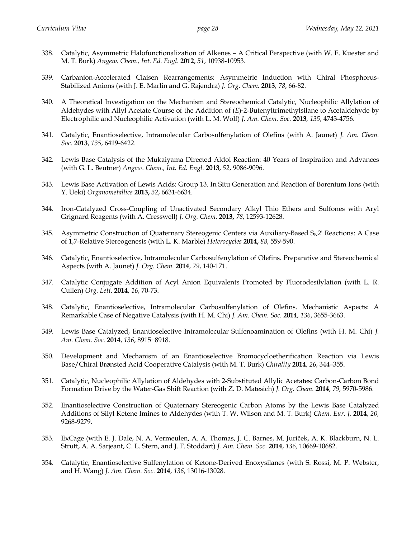- 338. Catalytic, Asymmetric Halofunctionalization of Alkenes A Critical Perspective (with W. E. Kuester and M. T. Burk) *Angew. Chem., Int. Ed*. *Engl.* **2012**, *51*, 10938-10953.
- 339. Carbanion-Accelerated Claisen Rearrangements: Asymmetric Induction with Chiral Phosphorus-Stabilized Anions (with J. E. Marlin and G. Rajendra) *J. Org. Chem.* **2013**, *78*, 66-82.
- 340. A Theoretical Investigation on the Mechanism and Stereochemical Catalytic, Nucleophilic Allylation of Aldehydes with Allyl Acetate Course of the Addition of (*E*)-2-Butenyltrimethylsilane to Acetaldehyde by Electrophilic and Nucleophilic Activation (with L. M. Wolf) *J. Am. Chem. Soc.* **2013***, 135,* 4743-4756.
- 341. Catalytic, Enantioselective, Intramolecular Carbosulfenylation of Olefins (with A. Jaunet) *J. Am. Chem. Soc.* **2013**, *135*, 6419-6422.
- 342. Lewis Base Catalysis of the Mukaiyama Directed Aldol Reaction: 40 Years of Inspiration and Advances (with G. L. Beutner) *Angew. Chem., Int. Ed. Engl.* **2013**, *52*, 9086-9096.
- 343. Lewis Base Activation of Lewis Acids: Group 13. In Situ Generation and Reaction of Borenium Ions (with Y. Ueki) *Organometallics* **2013,** *32*, 6631-6634.
- 344. Iron-Catalyzed Cross-Coupling of Unactivated Secondary Alkyl Thio Ethers and Sulfones with Aryl Grignard Reagents (with A. Cresswell) *J. Org. Chem.* **2013,** *78*, 12593-12628.
- 345. Asymmetric Construction of Quaternary Stereogenic Centers via Auxiliary-Based S<sub>N</sub>2' Reactions: A Case of 1,7-Relative Stereogenesis (with L. K. Marble) *Heterocycles* **2014,** *88,* 559-590.
- 346. Catalytic, Enantioselective, Intramolecular Carbosulfenylation of Olefins. Preparative and Stereochemical Aspects (with A. Jaunet) *J. Org. Chem.* **2014**, *79*, 140-171.
- 347. Catalytic Conjugate Addition of Acyl Anion Equivalents Promoted by Fluorodesilylation (with L. R. Cullen) *Org. Lett.* **2014**, *16*, 70-73.
- 348. Catalytic, Enantioselective, Intramolecular Carbosulfenylation of Olefins. Mechanistic Aspects: A Remarkable Case of Negative Catalysis (with H. M. Chi) *J. Am. Chem. Soc.* **2014**, *136*, 3655-3663.
- 349. Lewis Base Catalyzed, Enantioselective Intramolecular Sulfenoamination of Olefins (with H. M. Chi) *J. Am. Chem. Soc.* **2014**, *136*, 8915−8918.
- 350. Development and Mechanism of an Enantioselective Bromocycloetherification Reaction via Lewis Base/Chiral Brønsted Acid Cooperative Catalysis (with M. T. Burk) *Chirality* **2014**, *26*, 344–355.
- 351. Catalytic, Nucleophilic Allylation of Aldehydes with 2-Substituted Allylic Acetates: Carbon-Carbon Bond Formation Drive by the Water-Gas Shift Reaction (with Z. D. Matesich) *J. Org. Chem.* **2014**, *79,* 5970-5986.
- 352. Enantioselective Construction of Quaternary Stereogenic Carbon Atoms by the Lewis Base Catalyzed Additions of Silyl Ketene Imines to Aldehydes (with T. W. Wilson and M. T. Burk) *Chem. Eur. J.* **2014**, *20,* 9268-9279.
- 353. ExCage (with E. J. Dale, N. A. Vermeulen, A. A. Thomas, J. C. Barnes, M. Juríček, A. K. Blackburn, N. L. Strutt, A. A. Sarjeant, C. L. Stern, and J. F. Stoddart) *J. Am. Chem. Soc.* **2014**, *136,* 10669-10682.
- 354. Catalytic, Enantioselective Sulfenylation of Ketone-Derived Enoxysilanes (with S. Rossi, M. P. Webster, and H. Wang) *J. Am. Chem. Soc.* **2014**, *136*, 13016-13028.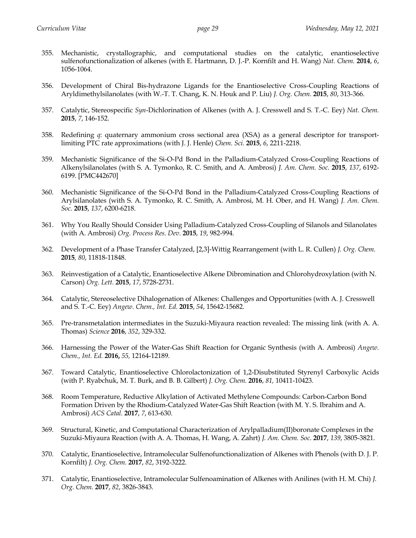- 355. Mechanistic, crystallographic, and computational studies on the catalytic, enantioselective sulfenofunctionalization of alkenes (with E. Hartmann, D. J.-P. Kornfilt and H. Wang) *Nat. Chem.* **2014**, *6*, 1056-1064.
- 356. Development of Chiral Bis-hydrazone Ligands for the Enantioselective Cross-Coupling Reactions of Aryldimethylsilanolates (with W.-T. T. Chang, K. N. Houk and P. Liu) *J. Org. Chem.* **2015**, *80*, 313-366.
- 357. Catalytic, Stereospecific *Syn*-Dichlorination of Alkenes (with A. J. Cresswell and S. T.-C. Eey) *Nat. Chem.* **2015**, *7*, 146-152.
- 358. Redefining *q*: quaternary ammonium cross sectional area (XSA) as a general descriptor for transportlimiting PTC rate approximations (with J. J. Henle) *Chem. Sci.* **2015**, *6*, 2211-2218.
- 359. Mechanistic Significance of the Si-O-Pd Bond in the Palladium-Catalyzed Cross-Coupling Reactions of Alkenylsilanolates (with S. A. Tymonko, R. C. Smith, and A. Ambrosi) *J. Am. Chem. Soc.* **2015**, *137*, 6192- 6199. [PMC442670]
- 360. Mechanistic Significance of the Si-O-Pd Bond in the Palladium-Catalyzed Cross-Coupling Reactions of Arylsilanolates (with S. A. Tymonko, R. C. Smith, A. Ambrosi, M. H. Ober, and H. Wang) *J. Am. Chem. Soc.* **2015**, *137*, 6200-6218.
- 361. Why You Really Should Consider Using Palladium-Catalyzed Cross-Coupling of Silanols and Silanolates (with A. Ambrosi) *Org. Process Res. Dev.* **2015**, *19*, 982-994.
- 362. Development of a Phase Transfer Catalyzed, [2,3]-Wittig Rearrangement (with L. R. Cullen) *J. Org. Chem.* **2015***, 80*, 11818-11848.
- 363. Reinvestigation of a Catalytic, Enantioselective Alkene Dibromination and Chlorohydroxylation (with N. Carson) *Org. Lett.* **2015**, *17*, 5728-2731.
- 364. Catalytic, Stereoselective Dihalogenation of Alkenes: Challenges and Opportunities (with A. J. Cresswell and S. T.-C. Eey) *Angew. Chem., Int. Ed.* **2015**, *54*, 15642-15682.
- 365. Pre-transmetalation intermediates in the Suzuki-Miyaura reaction revealed: The missing link (with A. A. Thomas) *Science* **2016**, *352*, 329-332.
- 366. Harnessing the Power of the Water-Gas Shift Reaction for Organic Synthesis (with A. Ambrosi) *Angew. Chem., Int. Ed.* **2016,** *55,* 12164-12189.
- 367. Toward Catalytic, Enantioselective Chlorolactonization of 1,2-Disubstituted Styrenyl Carboxylic Acids (with P. Ryabchuk, M. T. Burk, and B. B. Gilbert) *J. Org. Chem.* **2016**, *81,* 10411-10423.
- 368. Room Temperature, Reductive Alkylation of Activated Methylene Compounds: Carbon-Carbon Bond Formation Driven by the Rhodium-Catalyzed Water-Gas Shift Reaction (with M. Y. S. Ibrahim and A. Ambrosi) *ACS Catal.* **2017**, *7*, 613-630.
- 369. Structural, Kinetic, and Computational Characterization of Arylpalladium(II)boronate Complexes in the Suzuki-Miyaura Reaction (with A. A. Thomas, H. Wang, A. Zahrt) *J. Am. Chem. Soc.* **2017**, *139*, 3805-3821.
- 370. Catalytic, Enantioselective, Intramolecular Sulfenofunctionalization of Alkenes with Phenols (with D. J. P. Kornfilt) *J. Org. Chem.* **2017**, *82*, 3192-3222.
- 371. Catalytic, Enantioselective, Intramolecular Sulfenoamination of Alkenes with Anilines (with H. M. Chi) *J. Org. Chem.* **2017**, *82*, 3826-3843.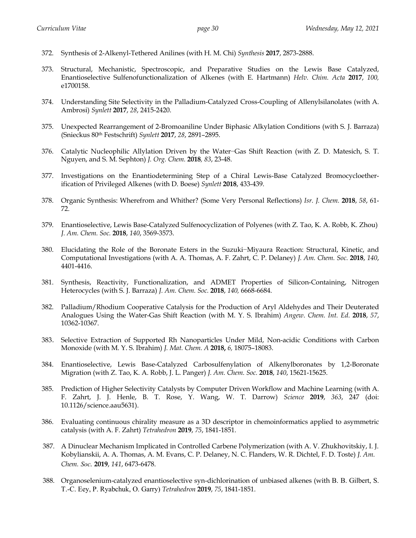- 372. Synthesis of 2-Alkenyl-Tethered Anilines (with H. M. Chi) *Synthesis* **2017**, 2873-2888.
- 373. Structural, Mechanistic, Spectroscopic, and Preparative Studies on the Lewis Base Catalyzed, Enantioselective Sulfenofunctionalization of Alkenes (with E. Hartmann) *Helv. Chim. Acta* **2017**, *100,* e1700158.
- 374. Understanding Site Selectivity in the Palladium-Catalyzed Cross-Coupling of Allenylsilanolates (with A. Ambrosi) *Synlett* **2017**, *28*, 2415-2420.
- 375. Unexpected Rearrangement of 2-Bromoaniline Under Biphasic Alkylation Conditions (with S. J. Barraza) (Snieckus 80th Festschrift) *Synlett* **2017**, *28*, 2891–2895.
- 376. Catalytic Nucleophilic Allylation Driven by the Water−Gas Shift Reaction (with Z. D. Matesich, S. T. Nguyen, and S. M. Sephton) *J. Org. Chem.* **2018***, 83*, 23-48.
- 377. Investigations on the Enantiodetermining Step of a Chiral Lewis-Base Catalyzed Bromocycloetherification of Privileged Alkenes (with D. Boese) *Synlett* **2018**, 433-439.
- 378. Organic Synthesis: Wherefrom and Whither? (Some Very Personal Reflections) *Isr. J. Chem.* **2018**, *58*, 61- 72.
- 379. Enantioselective, Lewis Base-Catalyzed Sulfenocyclization of Polyenes (with Z. Tao, K. A. Robb, K. Zhou) *J. Am. Chem. Soc.* **2018**, *140*, 3569-3573.
- 380. Elucidating the Role of the Boronate Esters in the Suzuki−Miyaura Reaction: Structural, Kinetic, and Computational Investigations (with A. A. Thomas, A. F. Zahrt, C. P. Delaney) *J. Am. Chem. Soc.* **2018**, *140*, 4401-4416.
- 381. Synthesis, Reactivity, Functionalization, and ADMET Properties of Silicon-Containing, Nitrogen Heterocycles (with S. J. Barraza) *J. Am. Chem. Soc.* **2018**, *140,* 6668-6684.
- 382. Palladium/Rhodium Cooperative Catalysis for the Production of Aryl Aldehydes and Their Deuterated Analogues Using the Water-Gas Shift Reaction (with M. Y. S. Ibrahim) *Angew*. *Chem. Int. Ed*. **2018**, *57*, 10362-10367.
- 383. Selective Extraction of Supported Rh Nanoparticles Under Mild, Non-acidic Conditions with Carbon Monoxide (with M. Y. S. Ibrahim) *J. Mat. Chem. A* **2018,** *6,* 18075–18083.
- 384. Enantioselective, Lewis Base-Catalyzed Carbosulfenylation of Alkenylboronates by 1,2-Boronate Migration (with Z. Tao, K. A. Robb, J. L. Panger) *J. Am. Chem. Soc.* **2018**, *140*, 15621-15625.
- 385. Prediction of Higher Selectivity Catalysts by Computer Driven Workflow and Machine Learning (with A. F. Zahrt, J. J. Henle, B. T. Rose, Y. Wang, W. T. Darrow) *Science* **2019**, *363*, 247 (doi: 10.1126/science.aau5631).
- 386. Evaluating continuous chirality measure as a 3D descriptor in chemoinformatics applied to asymmetric catalysis (with A. F. Zahrt) *Tetrahedron* **2019**, *75*, 1841-1851.
- 387. A Dinuclear Mechanism Implicated in Controlled Carbene Polymerization (with A. V. Zhukhovitskiy, I. J. Kobylianskii, A. A. Thomas, A. M. Evans, C. P. Delaney, N. C. Flanders, W. R. Dichtel, F. D. Toste) *J. Am. Chem. Soc.* **2019**, *141*, 6473-6478.
- 388. Organoselenium-catalyzed enantioselective syn-dichlorination of unbiased alkenes (with B. B. Gilbert, S. T.-C. Eey, P. Ryabchuk, O. Garry) *Tetrahedron* **2019**, *75*, 1841-1851.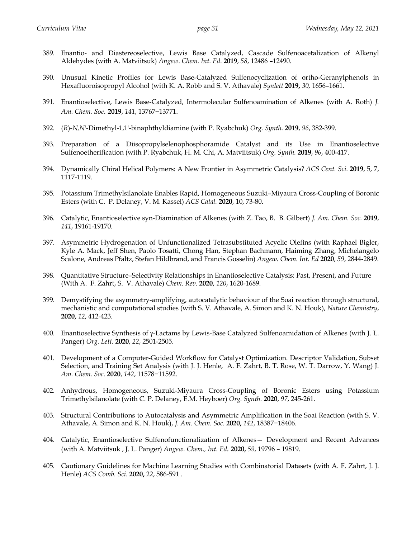- 389. Enantio- and Diastereoselective, Lewis Base Catalyzed, Cascade Sulfenoacetalization of Alkenyl Aldehydes (with A. Matviitsuk) *Angew*. *Chem. Int. Ed*. **2019**, *58*, 12486 –12490.
- 390. Unusual Kinetic Profiles for Lewis Base-Catalyzed Sulfenocyclization of ortho-Geranylphenols in Hexafluoroisopropyl Alcohol (with K. A. Robb and S. V. Athavale) *Synlett* **2019,** *30,* 1656–1661.
- 391. Enantioselective, Lewis Base-Catalyzed, Intermolecular Sulfenoamination of Alkenes (with A. Roth) *J. Am. Chem. Soc.* **2019**, *141*, 13767−13771.
- 392. (*R*)-*N,N*'-Dimethyl-1,1'-binaphthyldiamine (with P. Ryabchuk) *Org. Synth.* **2019**, *96*, 382-399.
- 393. Preparation of a Diisopropylselenophosphoramide Catalyst and its Use in Enantioselective Sulfenoetherification (with P. Ryabchuk, H. M. Chi, A. Matviitsuk) *Org. Synth.* **2019**, *96*, 400-417.
- 394. Dynamically Chiral Helical Polymers: A New Frontier in Asymmetric Catalysis? *ACS Cent. Sci.* **2019**, 5, 7, 1117-1119.
- 395. Potassium Trimethylsilanolate Enables Rapid, Homogeneous Suzuki–Miyaura Cross-Coupling of Boronic Esters (with C. P. Delaney, V. M. Kassel) *ACS Catal.* **2020**, 10, 73-80.
- 396. Catalytic, Enantioselective syn-Diamination of Alkenes (with Z. Tao, B. B. Gilbert) *J. Am. Chem. Soc.* **2019**, *141*, 19161-19170.
- 397. Asymmetric Hydrogenation of Unfunctionalized Tetrasubstituted Acyclic Olefins (with Raphael Bigler, Kyle A. Mack, Jeff Shen, Paolo Tosatti, Chong Han, Stephan Bachmann, Haiming Zhang, Michelangelo Scalone, Andreas Pfaltz, Stefan Hildbrand, and Francis Gosselin) *Angew. Chem. Int. Ed* **2020**, *59*, 2844-2849.
- 398. Quantitative Structure–Selectivity Relationships in Enantioselective Catalysis: Past, Present, and Future (With A. F. Zahrt, S. V. Athavale) *Chem. Rev.* **2020**, *120*, 1620-1689.
- 399. Demystifying the asymmetry-amplifying, autocatalytic behaviour of the Soai reaction through structural, mechanistic and computational studies (with S. V. Athavale, A. Simon and K. N. Houk), *Nature Chemistry*, **2020,** *12*, 412-423.
- 400. Enantioselective Synthesis of  $\gamma$ -Lactams by Lewis-Base Catalyzed Sulfenoamidation of Alkenes (with J. L. Panger) *Org. Lett.* **2020**, *22*, 2501-2505.
- 401. Development of a Computer-Guided Workflow for Catalyst Optimization. Descriptor Validation, Subset Selection, and Training Set Analysis (with J. J. Henle, A. F. Zahrt, B. T. Rose, W. T. Darrow, Y. Wang) J. *Am. Chem. Soc*. **2020**, *142*, 11578−11592.
- 402. Anhydrous, Homogeneous, Suzuki-Miyaura Cross-Coupling of Boronic Esters using Potassium Trimethylsilanolate (with C. P. Delaney, E.M. Heyboer) *Org. Synth.* **2020**, *97*, 245-261.
- 403. Structural Contributions to Autocatalysis and Asymmetric Amplification in the Soai Reaction (with S. V. Athavale, A. Simon and K. N. Houk), *J. Am. Chem. Soc.* **2020,** *142*, 18387−18406.
- 404. Catalytic, Enantioselective Sulfenofunctionalization of Alkenes— Development and Recent Advances (with A. Matviitsuk , J. L. Panger) *Angew. Chem., Int. Ed.* **2020,** *59*, 19796 – 19819.
- 405. Cautionary Guidelines for Machine Learning Studies with Combinatorial Datasets (with A. F. Zahrt, J. J. Henle) *ACS Comb. Sci.* **2020,** 22, 586-591 .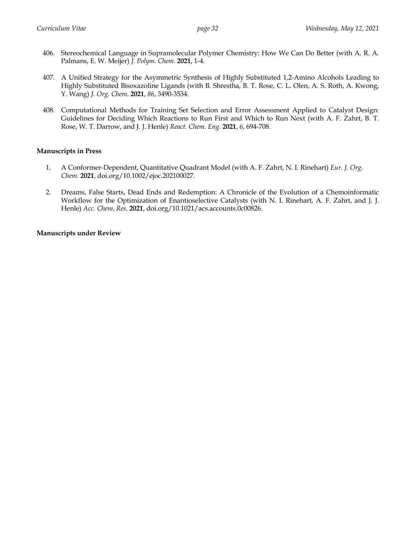- 406. Stereochemical Language in Supramolecular Polymer Chemistry: How We Can Do Better (with A. R. A. Palmans, E. W. Meijer) *J. Polym. Chem.* **2021**, 1-4.
- 407. A Unified Strategy for the Asymmetric Synthesis of Highly Substituted 1,2-Amino Alcohols Leading to Highly Substituted Bisoxazoline Ligands (with B. Shrestha, B. T. Rose, C. L. Olen, A. S. Roth, A. Kwong, Y. Wang) *J. Org. Chem.* **2021**, *86*, 3490-3534.
- 408. Computational Methods for Training Set Selection and Error Assessment Applied to Catalyst Design: Guidelines for Deciding Which Reactions to Run First and Which to Run Next (with A. F. Zahrt, B. T. Rose, W. T. Darrow, and J. J. Henle) *React. Chem. Eng.* **2021**, *6*, 694-708.

# **Manuscripts in Press**

- 1. A Conformer-Dependent, Quantitative Quadrant Model (with A. F. Zahrt, N. I. Rinehart) *Eur. J. Org. Chem.* **2021**, doi.org/10.1002/ejoc.202100027.
- 2. Dreams, False Starts, Dead Ends and Redemption: A Chronicle of the Evolution of a Chemoinformatic Workflow for the Optimization of Enantioselective Catalysts (with N. I. Rinehart, A. F. Zahrt, and J. J. Henle) *Acc. Chem. Res.* **2021**, doi.org/10.1021/acs.accounts.0c00826.

## **Manuscripts under Review**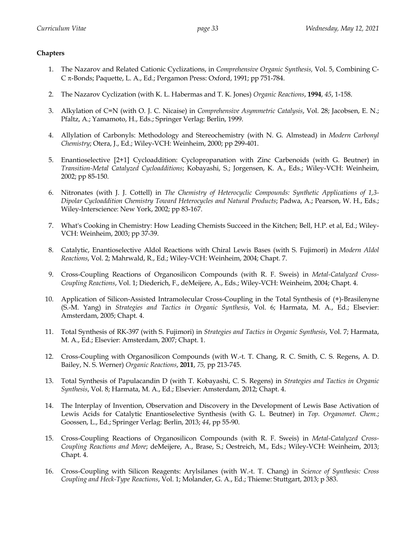# **Chapters**

- 1. The Nazarov and Related Cationic Cyclizations, in *Comprehensive Organic Synthesis,* Vol. 5, Combining C-C p-Bonds; Paquette, L. A., Ed.; Pergamon Press: Oxford, 1991; pp 751-784.
- 2. The Nazarov Cyclization (with K. L. Habermas and T. K. Jones) *Organic Reactions*, **1994**, *45*, 1-158.
- 3. Alkylation of C=N (with O. J. C. Nicaise) in *Comprehensive Asymmetric Catalysis*, Vol. 28; Jacobsen, E. N.; Pfaltz, A.; Yamamoto, H., Eds.; Springer Verlag: Berlin, 1999.
- 4. Allylation of Carbonyls: Methodology and Stereochemistry (with N. G. Almstead) in *Modern Carbonyl Chemistry*; Otera, J., Ed.; Wiley-VCH: Weinheim, 2000; pp 299-401.
- 5. Enantioselective [2+1] Cycloaddition: Cyclopropanation with Zinc Carbenoids (with G. Beutner) in *Transition-Metal Catalyzed Cycloadditions*; Kobayashi, S.; Jorgensen, K. A., Eds.; Wiley-VCH: Weinheim, 2002; pp 85-150.
- 6. Nitronates (with J. J. Cottell) in *The Chemistry of Heterocyclic Compounds: Synthetic Applications of 1,3- Dipolar Cycloaddition Chemistry Toward Heterocycles and Natural Products*; Padwa, A.; Pearson, W. H., Eds.; Wiley-Interscience: New York, 2002; pp 83-167.
- 7. What's Cooking in Chemistry: How Leading Chemists Succeed in the Kitchen; Bell, H.P. et al, Ed.; Wiley-VCH: Weinheim, 2003; pp 37-39.
- 8. Catalytic, Enantioselective Aldol Reactions with Chiral Lewis Bases (with S. Fujimori) in *Modern Aldol Reactions*, Vol. 2; Mahrwald, R., Ed.; Wiley-VCH: Weinheim, 2004; Chapt. 7.
- 9. Cross-Coupling Reactions of Organosilicon Compounds (with R. F. Sweis) in *Metal-Catalyzed Cross-Coupling Reactions*, Vol. 1; Diederich, F., deMeijere, A., Eds.; Wiley-VCH: Weinheim, 2004; Chapt. 4.
- 10. Application of Silicon-Assisted Intramolecular Cross-Coupling in the Total Synthesis of (+)-Brasilenyne (S.-M. Yang) in *Strategies and Tactics in Organic Synthesis*, Vol. 6; Harmata, M. A., Ed.; Elsevier: Amsterdam, 2005; Chapt. 4.
- 11. Total Synthesis of RK-397 (with S. Fujimori) in *Strategies and Tactics in Organic Synthesis*, Vol. 7; Harmata, M. A., Ed.; Elsevier: Amsterdam, 2007; Chapt. 1.
- 12. Cross-Coupling with Organosilicon Compounds (with W.-t. T. Chang, R. C. Smith, C. S. Regens, A. D. Bailey, N. S. Werner) *Organic Reactions*, **2011**, *75,* pp 213-745.
- 13. Total Synthesis of Papulacandin D (with T. Kobayashi, C. S. Regens) in *Strategies and Tactics in Organic Synthesis*, Vol. 8; Harmata, M. A., Ed.; Elsevier: Amsterdam, 2012; Chapt. 4.
- 14. The Interplay of Invention, Observation and Discovery in the Development of Lewis Base Activation of Lewis Acids for Catalytic Enantioselective Synthesis (with G. L. Beutner) in *Top. Organomet. Chem.*; Goossen, L., Ed.; Springer Verlag: Berlin, 2013; *44*, pp 55-90.
- 15. Cross-Coupling Reactions of Organosilicon Compounds (with R. F. Sweis) in *Metal-Catalyzed Cross-Coupling Reactions and More*; deMeijere, A., Brase, S.; Oestreich, M., Eds.; Wiley-VCH: Weinheim, 2013; Chapt. 4.
- 16. Cross-Coupling with Silicon Reagents: Arylsilanes (with W.-t. T. Chang) in *Science of Synthesis: Cross Coupling and Heck-Type Reactions*, Vol. 1; Molander, G. A., Ed.; Thieme: Stuttgart, 2013; p 383.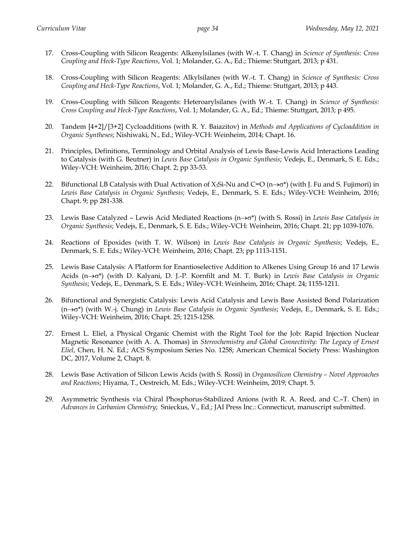- 17. Cross-Coupling with Silicon Reagents: Alkenylsilanes (with W.-t. T. Chang) in *Science of Synthesis: Cross Coupling and Heck-Type Reactions*, Vol. 1; Molander, G. A., Ed.; Thieme: Stuttgart, 2013; p 431.
- 18. Cross-Coupling with Silicon Reagents: Alkylsilanes (with W.-t. T. Chang) in *Science of Synthesis: Cross Coupling and Heck-Type Reactions*, Vol. 1; Molander, G. A., Ed.; Thieme: Stuttgart, 2013; p 443.
- 19. Cross-Coupling with Silicon Reagents: Heteroarylsilanes (with W.-t. T. Chang) in *Science of Synthesis: Cross Coupling and Heck-Type Reactions*, Vol. 1; Molander, G. A., Ed.; Thieme: Stuttgart, 2013; p 495.
- 20. Tandem [4+2]/[3+2] Cycloadditions (with R. Y. Baiazitov) in *Methods and Applications of Cycloaddition in Organic Syntheses*; Nishiwaki, N., Ed.; Wiley-VCH: Weinheim, 2014; Chapt. 16.
- 21. Principles, Definitions, Terminology and Orbital Analysis of Lewis Base-Lewis Acid Interactions Leading to Catalysis (with G. Beutner) in *Lewis Base Catalysis in Organic Synthesis*; Vedejs, E., Denmark, S. E. Eds.; Wiley-VCH: Weinheim, 2016; Chapt. 2; pp 33-53.
- 22. Bifunctional LB Catalysis with Dual Activation of  $X_3S_i-Nu$  and  $C=O(n\rightarrow\sigma^*)$  (with J. Fu and S. Fujimori) in *Lewis Base Catalysis in Organic Synthesis*; Vedejs, E., Denmark, S. E. Eds.; Wiley-VCH: Weinheim, 2016; Chapt. 9; pp 281-338.
- 23. Lewis Base Catalyzed Lewis Acid Mediated Reactions  $(n \rightarrow \sigma^*)$  (with S. Rossi) in *Lewis Base Catalysis in Organic Synthesis*; Vedejs, E., Denmark, S. E. Eds.; Wiley-VCH: Weinheim, 2016; Chapt. 21; pp 1039-1076.
- 24. Reactions of Epoxides (with T. W. Wilson) in *Lewis Base Catalysis in Organic Synthesis*; Vedejs, E., Denmark, S. E. Eds.; Wiley-VCH: Weinheim, 2016; Chapt. 23; pp 1113-1151.
- 25. Lewis Base Catalysis: A Platform for Enantioselective Addition to Alkenes Using Group 16 and 17 Lewis Acids (n $\rightarrow$ o<sup>\*</sup>) (with D. Kalyani, D. J.-P. Kornfilt and M. T. Burk) in *Lewis Base Catalysis in Organic Synthesis*; Vedejs, E., Denmark, S. E. Eds.; Wiley-VCH: Weinheim, 2016; Chapt. 24; 1155-1211.
- 26. Bifunctional and Synergistic Catalysis: Lewis Acid Catalysis and Lewis Base Assisted Bond Polarization (n®s\*) (with W.-j. Chung) in *Lewis Base Catalysis in Organic Synthesis*; Vedejs, E., Denmark, S. E. Eds.; Wiley-VCH: Weinheim, 2016; Chapt. 25; 1215-1258.
- 27. Ernest L. Eliel, a Physical Organic Chemist with the Right Tool for the Job: Rapid Injection Nuclear Magnetic Resonance (with A. A. Thomas) in *Stereochemistry and Global Connectivity: The Legacy of Ernest Eliel*, Chen, H. N. Ed.; ACS Symposium Series No. 1258; American Chemical Society Press: Washington DC, 2017, Volume 2, Chapt. 8.
- 28. Lewis Base Activation of Silicon Lewis Acids (with S. Rossi) in *Organosilicon Chemistry – Novel Approaches and Reactions*; Hiyama, T., Oestreich, M. Eds.; Wiley-VCH: Weinheim, 2019; Chapt. 5.
- 29. Asymmetric Synthesis via Chiral Phosphorus-Stabilized Anions (with R. A. Reed, and C.–T. Chen) in *Advances in Carbanion Chemistry*; Snieckus, V., Ed.; JAI Press Inc.: Connecticut, manuscript submitted.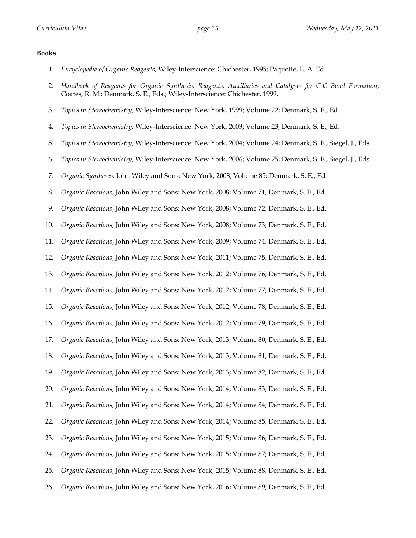# **Books**

1. *Encyclopedia of Organic Reagents,* Wiley-Interscience: Chichester, 1995; Paquette, L. A. Ed.

| 2.  | Handbook of Reagents for Organic Synthesis. Reagents, Auxiliaries and Catalysts for C-C Bond Formation;<br>Coates, R. M.; Denmark, S. E., Eds.; Wiley-Interscience: Chichester, 1999. |
|-----|---------------------------------------------------------------------------------------------------------------------------------------------------------------------------------------|
| 3.  | Topics in Stereochemistry, Wiley-Interscience: New York, 1999; Volume 22; Denmark, S. E., Ed.                                                                                         |
| 4.  | Topics in Stereochemistry, Wiley-Interscience: New York, 2003; Volume 23; Denmark, S. E., Ed.                                                                                         |
| 5.  | Topics in Stereochemistry, Wiley-Interscience: New York, 2004; Volume 24; Denmark, S. E., Siegel, J., Eds.                                                                            |
| 6.  | Topics in Stereochemistry, Wiley-Interscience: New York, 2006; Volume 25; Denmark, S. E., Siegel, J., Eds.                                                                            |
| 7.  | Organic Syntheses, John Wiley and Sons: New York, 2008; Volume 85; Denmark, S. E., Ed.                                                                                                |
| 8.  | Organic Reactions, John Wiley and Sons: New York, 2008; Volume 71; Denmark, S. E., Ed.                                                                                                |
| 9.  | Organic Reactions, John Wiley and Sons: New York, 2008; Volume 72; Denmark, S. E., Ed.                                                                                                |
| 10. | Organic Reactions, John Wiley and Sons: New York, 2008; Volume 73; Denmark, S. E., Ed.                                                                                                |
| 11. | Organic Reactions, John Wiley and Sons: New York, 2009; Volume 74; Denmark, S. E., Ed.                                                                                                |
| 12. | Organic Reactions, John Wiley and Sons: New York, 2011; Volume 75; Denmark, S. E., Ed.                                                                                                |
| 13. | Organic Reactions, John Wiley and Sons: New York, 2012; Volume 76; Denmark, S. E., Ed.                                                                                                |
| 14. | Organic Reactions, John Wiley and Sons: New York, 2012; Volume 77; Denmark, S. E., Ed.                                                                                                |
| 15. | Organic Reactions, John Wiley and Sons: New York, 2012; Volume 78; Denmark, S. E., Ed.                                                                                                |
| 16. | Organic Reactions, John Wiley and Sons: New York, 2012; Volume 79; Denmark, S. E., Ed.                                                                                                |
| 17. | Organic Reactions, John Wiley and Sons: New York, 2013; Volume 80; Denmark, S. E., Ed.                                                                                                |
| 18. | Organic Reactions, John Wiley and Sons: New York, 2013; Volume 81; Denmark, S. E., Ed.                                                                                                |
| 19. | Organic Reactions, John Wiley and Sons: New York, 2013; Volume 82; Denmark, S. E., Ed.                                                                                                |
|     | 20. Organic Reactions, John Wiley and Sons: New York, 2014; Volume 83; Denmark, S. E., Ed.                                                                                            |
| 21. | Organic Reactions, John Wiley and Sons: New York, 2014; Volume 84; Denmark, S. E., Ed.                                                                                                |
| 22. | Organic Reactions, John Wiley and Sons: New York, 2014; Volume 85; Denmark, S. E., Ed.                                                                                                |
| 23. | Organic Reactions, John Wiley and Sons: New York, 2015; Volume 86; Denmark, S. E., Ed.                                                                                                |
| 24. | Organic Reactions, John Wiley and Sons: New York, 2015; Volume 87; Denmark, S. E., Ed.                                                                                                |
| 25. | Organic Reactions, John Wiley and Sons: New York, 2015; Volume 88; Denmark, S. E., Ed.                                                                                                |
| 26. | Organic Reactions, John Wiley and Sons: New York, 2016; Volume 89; Denmark, S. E., Ed.                                                                                                |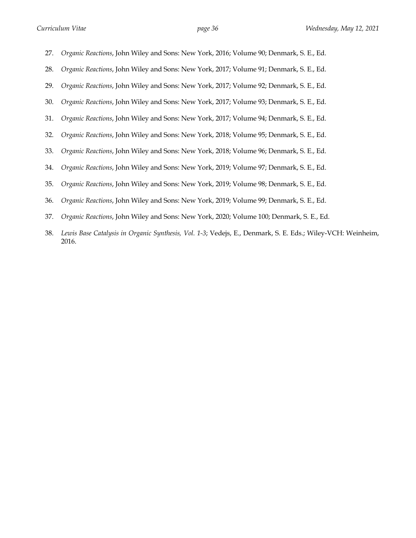27. *Organic Reactions*, John Wiley and Sons: New York, 2016; Volume 90; Denmark, S. E., Ed. 28. *Organic Reactions*, John Wiley and Sons: New York, 2017; Volume 91; Denmark, S. E., Ed. 29. *Organic Reactions*, John Wiley and Sons: New York, 2017; Volume 92; Denmark, S. E., Ed. 30. *Organic Reactions*, John Wiley and Sons: New York, 2017; Volume 93; Denmark, S. E., Ed. 31. *Organic Reactions*, John Wiley and Sons: New York, 2017; Volume 94; Denmark, S. E., Ed. 32. *Organic Reactions*, John Wiley and Sons: New York, 2018; Volume 95; Denmark, S. E., Ed. 33. *Organic Reactions*, John Wiley and Sons: New York, 2018; Volume 96; Denmark, S. E., Ed. 34. *Organic Reactions*, John Wiley and Sons: New York, 2019; Volume 97; Denmark, S. E., Ed. 35. *Organic Reactions*, John Wiley and Sons: New York, 2019; Volume 98; Denmark, S. E., Ed. 36. *Organic Reactions*, John Wiley and Sons: New York, 2019; Volume 99; Denmark, S. E., Ed. 37. *Organic Reactions*, John Wiley and Sons: New York, 2020; Volume 100; Denmark, S. E., Ed.

38. *Lewis Base Catalysis in Organic Synthesis, Vol. 1-3*; Vedejs, E., Denmark, S. E. Eds.; Wiley-VCH: Weinheim, 2016.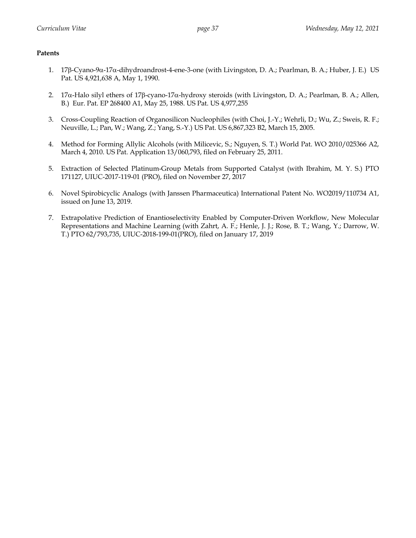# **Patents**

- 1. 17b-Cyano-9a-17a-dihydroandrost-4-ene-3-one (with Livingston, D. A.; Pearlman, B. A.; Huber, J. E.) US Pat. US 4,921,638 A, May 1, 1990.
- 2. 17a-Halo silyl ethers of 17b-cyano-17a-hydroxy steroids (with Livingston, D. A.; Pearlman, B. A.; Allen, B.) Eur. Pat. EP 268400 A1, May 25, 1988. US Pat. US 4,977,255
- 3. Cross-Coupling Reaction of Organosilicon Nucleophiles (with Choi, J.-Y.; Wehrli, D.; Wu, Z.; Sweis, R. F.; Neuville, L.; Pan, W.; Wang, Z.; Yang, S.-Y.) US Pat. US 6,867,323 B2, March 15, 2005.
- 4. Method for Forming Allylic Alcohols (with Milicevic, S.; Nguyen, S. T.) World Pat. WO 2010/025366 A2, March 4, 2010. US Pat. Application 13/060,793, filed on February 25, 2011.
- 5. Extraction of Selected Platinum-Group Metals from Supported Catalyst (with Ibrahim, M. Y. S.) PTO 171127, UIUC-2017-119-01 (PRO), filed on November 27, 2017
- 6. Novel Spirobicyclic Analogs (with Janssen Pharmaceutica) International Patent No. WO2019/110734 A1, issued on June 13, 2019.
- 7. Extrapolative Prediction of Enantioselectivity Enabled by Computer-Driven Workflow, New Molecular Representations and Machine Learning (with Zahrt, A. F.; Henle, J. J.; Rose, B. T.; Wang, Y.; Darrow, W. T.) PTO 62/793,735, UIUC-2018-199-01(PRO), filed on January 17, 2019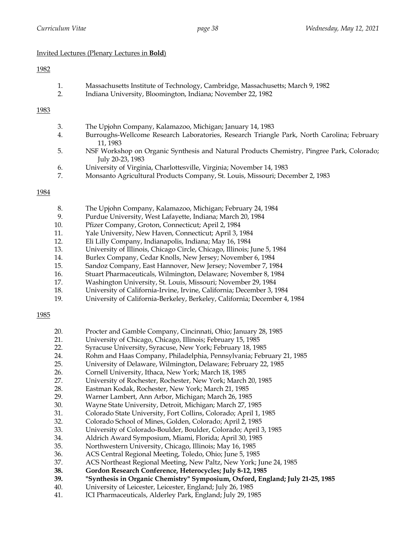# Invited Lectures (Plenary Lectures in **Bold**)

# 1982

| Massachusetts Institute of Technology, Cambridge, Massachusetts; March 9, 1982 |
|--------------------------------------------------------------------------------|
| Indiana University, Bloomington, Indiana; November 22, 1982                    |

# 1983

| 3. | The Upjohn Company, Kalamazoo, Michigan; January 14, 1983                                  |
|----|--------------------------------------------------------------------------------------------|
| 4. | Burroughs-Wellcome Research Laboratories, Research Triangle Park, North Carolina; February |
|    | 11, 1983                                                                                   |
| 5. | NSF Workshop on Organic Synthesis and Natural Products Chemistry, Pingree Park, Colorado;  |
|    | July 20-23, 1983                                                                           |
| 6. | University of Virginia, Charlottesville, Virginia; November 14, 1983                       |
| 7. | Monsanto Agricultural Products Company, St. Louis, Missouri; December 2, 1983              |

# 1984

| The Upjohn Company, Kalamazoo, Michigan; February 24, 1984 | -8. |  |  |  |
|------------------------------------------------------------|-----|--|--|--|
|------------------------------------------------------------|-----|--|--|--|

- 9. Purdue University, West Lafayette, Indiana; March 20, 1984
- 10. Pfizer Company, Groton, Connecticut; April 2, 1984
- 11. Yale University, New Haven, Connecticut; April 3, 1984
- 12. Eli Lilly Company, Indianapolis, Indiana; May 16, 1984
- 13. University of Illinois, Chicago Circle, Chicago, Illinois; June 5, 1984
- 14. Burlex Company, Cedar Knolls, New Jersey; November 6, 1984
- 15. Sandoz Company, East Hannover, New Jersey; November 7, 1984
- 16. Stuart Pharmaceuticals, Wilmington, Delaware; November 8, 1984
- 17. Washington University, St. Louis, Missouri; November 29, 1984
- 18. University of California-Irvine, Irvine, California; December 3, 1984
- 19. University of California-Berkeley, Berkeley, California; December 4, 1984

- 20. Procter and Gamble Company, Cincinnati, Ohio; January 28, 1985
- 21. University of Chicago, Chicago, Illinois; February 15, 1985
- 22. Syracuse University, Syracuse, New York; February 18, 1985
- 24. Rohm and Haas Company, Philadelphia, Pennsylvania; February 21, 1985
- 25. University of Delaware, Wilmington, Delaware; February 22, 1985
- 26. Cornell University, Ithaca, New York; March 18, 1985
- 27. University of Rochester, Rochester, New York; March 20, 1985
- 28. Eastman Kodak, Rochester, New York; March 21, 1985
- 29. Warner Lambert, Ann Arbor, Michigan; March 26, 1985
- 30. Wayne State University, Detroit, Michigan; March 27, 1985
- 31. Colorado State University, Fort Collins, Colorado; April 1, 1985
- 32. Colorado School of Mines, Golden, Colorado; April 2, 1985
- 33. University of Colorado-Boulder, Boulder, Colorado; April 3, 1985
- 34. Aldrich Award Symposium, Miami, Florida; April 30, 1985
- 35. Northwestern University, Chicago, Illinois; May 16, 1985
- 36. ACS Central Regional Meeting, Toledo, Ohio; June 5, 1985
- 37. ACS Northeast Regional Meeting, New Paltz, New York; June 24, 1985
- **38. Gordon Research Conference, Heterocycles; July 8-12, 1985**
- **39. "Synthesis in Organic Chemistry" Symposium, Oxford, England; July 21-25, 1985**
- 40. University of Leicester, Leicester, England; July 26, 1985
- 41. ICI Pharmaceuticals, Alderley Park, England; July 29, 1985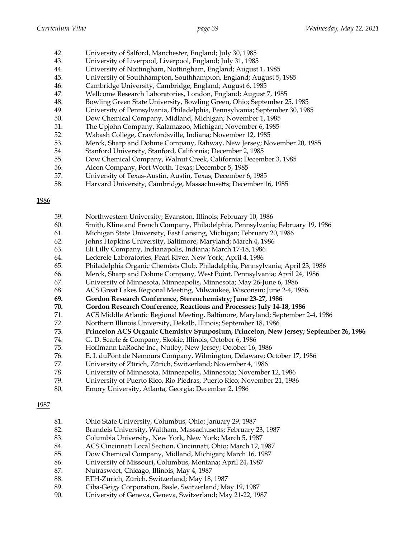- 42. University of Salford, Manchester, England; July 30, 1985
- 43. University of Liverpool, Liverpool, England; July 31, 1985
- 44. University of Nottingham, Nottingham, England; August 1, 1985
- 45. University of Southhampton, Southhampton, England; August 5, 1985
- 46. Cambridge University, Cambridge, England; August 6, 1985
- 47. Wellcome Research Laboratories, London, England; August 7, 1985
- 48. Bowling Green State University, Bowling Green, Ohio; September 25, 1985
- 49. University of Pennsylvania, Philadelphia, Pennsylvania; September 30, 1985
- 50. Dow Chemical Company, Midland, Michigan; November 1, 1985
- 51. The Upjohn Company, Kalamazoo, Michigan; November 6, 1985
- 52. Wabash College, Crawfordsville, Indiana; November 12, 1985
- 53. Merck, Sharp and Dohme Company, Rahway, New Jersey; November 20, 1985
- 54. Stanford University, Stanford, California; December 2, 1985
- 55. Dow Chemical Company, Walnut Creek, California; December 3, 1985
- 56. Alcon Company, Fort Worth, Texas; December 5, 1985
- 57. University of Texas-Austin, Austin, Texas; December 6, 1985
- 58. Harvard University, Cambridge, Massachusetts; December 16, 1985

- 59. Northwestern University, Evanston, Illinois; February 10, 1986
- 60. Smith, Kline and French Company, Philadelphia, Pennsylvania; February 19, 1986
- 61. Michigan State University, East Lansing, Michigan; February 20, 1986
- 62. Johns Hopkins University, Baltimore, Maryland; March 4, 1986
- 63. Eli Lilly Company, Indianapolis, Indiana; March 17-18, 1986
- 64. Lederele Laboratories, Pearl River, New York; April 4, 1986
- 65. Philadelphia Organic Chemists Club, Philadelphia, Pennsylvania; April 23, 1986
- 66. Merck, Sharp and Dohme Company, West Point, Pennsylvania; April 24, 1986
- 67. University of Minnesota, Minneapolis, Minnesota; May 26-June 6, 1986
- 68. ACS Great Lakes Regional Meeting, Milwaukee, Wisconsin; June 2-4, 1986
- **69. Gordon Research Conference, Stereochemistry; June 23-27, 1986**
- **70. Gordon Research Conference, Reactions and Processes; July 14-18, 1986**
- 71. ACS Middle Atlantic Regional Meeting, Baltimore, Maryland; September 2-4, 1986
- 72. Northern Illinois University, Dekalb, Illinois; September 18, 1986
- **73. Princeton ACS Organic Chemistry Symposium, Princeton, New Jersey; September 26, 1986**
- 74. G. D. Searle & Company, Skokie, Illinois; October 6, 1986
- 75. Hoffmann LaRoche Inc., Nutley, New Jersey; October 16, 1986
- 76. E. I. duPont de Nemours Company, Wilmington, Delaware; October 17, 1986
- 77. University of Zürich, Zürich, Switzerland; November 4, 1986
- 78. University of Minnesota, Minneapolis, Minnesota; November 12, 1986
- 79. University of Puerto Rico, Rio Piedras, Puerto Rico; November 21, 1986
- 80. Emory University, Atlanta, Georgia; December 2, 1986

- 81. Ohio State University, Columbus, Ohio; January 29, 1987
- 82. Brandeis University, Waltham, Massachusetts; February 23, 1987
- 83. Columbia University, New York, New York; March 5, 1987
- 84. ACS Cincinnati Local Section, Cincinnati, Ohio; March 12, 1987
- 85. Dow Chemical Company, Midland, Michigan; March 16, 1987
- 86. University of Missouri, Columbus, Montana; April 24, 1987
- 87. Nutrasweet, Chicago, Illinois; May 4, 1987
- 88. ETH-Zürich, Zürich, Switzerland; May 18, 1987
- 89. Ciba-Geigy Corporation, Basle, Switzerland; May 19, 1987
- 90. University of Geneva, Geneva, Switzerland; May 21-22, 1987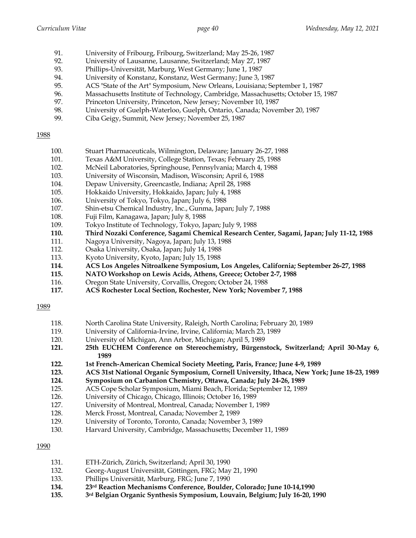- 91. University of Fribourg, Fribourg, Switzerland; May 25-26, 1987
- 92. University of Lausanne, Lausanne, Switzerland; May 27, 1987
- 93. Phillips-Universität, Marburg, West Germany; June 1, 1987
- 94. University of Konstanz, Konstanz, West Germany; June 3, 1987
- 95. ACS "State of the Art" Symposium, New Orleans, Louisiana; September 1, 1987
- 96. Massachusetts Institute of Technology, Cambridge, Massachusetts; October 15, 1987
- 97. Princeton University, Princeton, New Jersey; November 10, 1987
- 98. University of Guelph-Waterloo, Guelph, Ontario, Canada; November 20, 1987
- 99. Ciba Geigy, Summit, New Jersey; November 25, 1987

- 100. Stuart Pharmaceuticals, Wilmington, Delaware; January 26-27, 1988
- 101. Texas A&M University, College Station, Texas; February 25, 1988
- 102. McNeil Laboratories, Springhouse, Pennsylvania; March 4, 1988
- 103. University of Wisconsin, Madison, Wisconsin; April 6, 1988
- 104. Depaw University, Greencastle, Indiana; April 28, 1988
- 105. Hokkaido University, Hokkaido, Japan; July 4, 1988
- 106. University of Tokyo, Tokyo, Japan; July 6, 1988
- 107. Shin-etsu Chemical Industry, Inc., Gunma, Japan; July 7, 1988
- 108. Fuji Film, Kanagawa, Japan; July 8, 1988
- 109. Tokyo Institute of Technology, Tokyo, Japan; July 9, 1988
- **110. Third Nozaki Conference, Sagami Chemical Research Center, Sagami, Japan; July 11-12, 1988**
- 111. Nagoya University, Nagoya, Japan; July 13, 1988
- 112. Osaka University, Osaka, Japan; July 14, 1988
- 113. Kyoto University, Kyoto, Japan; July 15, 1988
- **114. ACS Los Angeles Nitroalkene Symposium, Los Angeles, California; September 26-27, 1988**
- **115. NATO Workshop on Lewis Acids, Athens, Greece; October 2-7, 1988**
- 116. Oregon State University, Corvallis, Oregon; October 24, 1988
- **117. ACS Rochester Local Section, Rochester, New York; November 7, 1988**

#### 1989

- 118. North Carolina State University, Raleigh, North Carolina; February 20, 1989
- 119. University of California-Irvine, Irvine, California; March 23, 1989
- 120. University of Michigan, Ann Arbor, Michigan; April 5, 1989
- **121. 25th EUCHEM Conference on Stereochemistry, Bürgenstock, Switzerland; April 30-May 6, 1989**
- **122. 1st French-American Chemical Society Meeting, Paris, France; June 4-9, 1989**
- **123. ACS 31st National Organic Symposium, Cornell University, Ithaca, New York; June 18-23, 1989**
- **124. Symposium on Carbanion Chemistry, Ottawa, Canada; July 24-26, 1989**
- 125. ACS Cope Scholar Symposium, Miami Beach, Florida; September 12, 1989
- 126. University of Chicago, Chicago, Illinois; October 16, 1989
- 127. University of Montreal, Montreal, Canada; November 1, 1989
- 128. Merck Frosst, Montreal, Canada; November 2, 1989
- 129. University of Toronto, Toronto, Canada; November 3, 1989
- 130. Harvard University, Cambridge, Massachusetts; December 11, 1989

- 131. ETH-Zürich, Zürich, Switzerland; April 30, 1990
- 132. Georg-August Universität, Göttingen, FRG; May 21, 1990
- 133. Phillips Universität, Marburg, FRG; June 7, 1990
- **134. 23rd Reaction Mechanisms Conference, Boulder, Colorado; June 10-14,1990**
- **135. 3rd Belgian Organic Synthesis Symposium, Louvain, Belgium; July 16-20, 1990**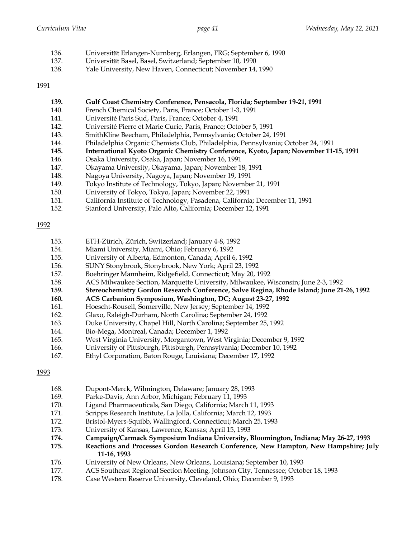- 136. Universität Erlangen-Nurnberg, Erlangen, FRG; September 6, 1990
- 137. Universität Basel, Basel, Switzerland; September 10, 1990
- 138. Yale University, New Haven, Connecticut; November 14, 1990

- **139. Gulf Coast Chemistry Conference, Pensacola, Florida; September 19-21, 1991**
- 140. French Chemical Society, Paris, France; October 1-3, 1991
- 141. Université Paris Sud, Paris, France; October 4, 1991
- 142. Université Pierre et Marie Curie, Paris, France; October 5, 1991
- 143. SmithKline Beecham, Philadelphia, Pennsylvania; October 24, 1991
- 144. Philadelphia Organic Chemists Club, Philadelphia, Pennsylvania; October 24, 1991
- **145. International Kyoto Organic Chemistry Conference, Kyoto, Japan; November 11-15, 1991**
- 146. Osaka University, Osaka, Japan; November 16, 1991
- 147. Okayama University, Okayama, Japan; November 18, 1991
- 148. Nagoya University, Nagoya, Japan; November 19, 1991
- 149. Tokyo Institute of Technology, Tokyo, Japan; November 21, 1991
- 150. University of Tokyo, Tokyo, Japan; November 22, 1991
- 151. California Institute of Technology, Pasadena, California; December 11, 1991
- 152. Stanford University, Palo Alto, California; December 12, 1991

## 1992

- 153. ETH-Zürich, Zürich, Switzerland; January 4-8, 1992
- 154. Miami University, Miami, Ohio; February 6, 1992
- 155. University of Alberta, Edmonton, Canada; April 6, 1992
- 156. SUNY Stonybrook, Stonybrook, New York; April 23, 1992
- 157. Boehringer Mannheim, Ridgefield, Connecticut; May 20, 1992
- 158. ACS Milwaukee Section, Marquette University, Milwaukee, Wisconsin; June 2-3, 1992
- **159. Stereochemistry Gordon Research Conference, Salve Regina, Rhode Island; June 21-26, 1992**
- **160. ACS Carbanion Symposium, Washington, DC; August 23-27, 1992**
- 161. Hoescht-Rousell, Somerville, New Jersey; September 14, 1992
- 162. Glaxo, Raleigh-Durham, North Carolina; September 24, 1992
- 163. Duke University, Chapel Hill, North Carolina; September 25, 1992
- 164. Bio-Mega, Montreal, Canada; December 1, 1992
- 165. West Virginia University, Morgantown, West Virginia; December 9, 1992
- 166. University of Pittsburgh, Pittsburgh, Pennsylvania; December 10, 1992
- 167. Ethyl Corporation, Baton Rouge, Louisiana; December 17, 1992

- 168. Dupont-Merck, Wilmington, Delaware; January 28, 1993
- 169. Parke-Davis, Ann Arbor, Michigan; February 11, 1993
- 170. Ligand Pharmaceuticals, San Diego, California; March 11, 1993
- 171. Scripps Research Institute, La Jolla, California; March 12, 1993
- 172. Bristol-Myers-Squibb, Wallingford, Connecticut; March 25, 1993
- 173. University of Kansas, Lawrence, Kansas; April 15, 1993
- **174. Campaign/Carmack Symposium Indiana University, Bloomington, Indiana; May 26-27, 1993**
- **175. Reactions and Processes Gordon Research Conference, New Hampton, New Hampshire; July 11-16, 1993**
- 176. University of New Orleans, New Orleans, Louisiana; September 10, 1993
- 177. ACS Southeast Regional Section Meeting, Johnson City, Tennessee; October 18, 1993
- 178. Case Western Reserve University, Cleveland, Ohio; December 9, 1993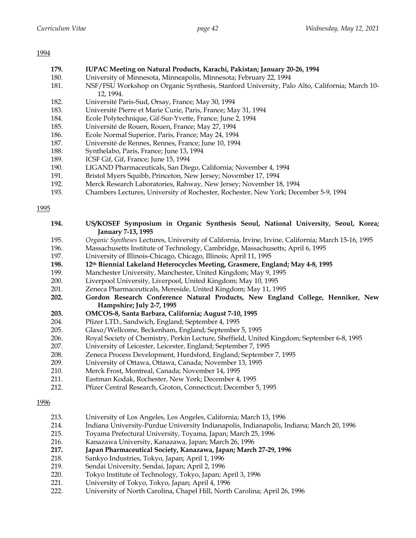- **179. IUPAC Meeting on Natural Products, Karachi, Pakistan; January 20-26, 1994**
- 180. University of Minnesota, Minneapolis, Minnesota; February 22, 1994
- 181. NSF/FSU Workshop on Organic Synthesis, Stanford University, Palo Alto, California; March 10- 12, 1994.
- 182. Université Paris-Sud, Orsay, France; May 30, 1994
- 183. Université Pierre et Marie Curie, Paris, France; May 31, 1994
- 184. Ecole Polytechnique, Gif-Sur-Yvette, France; June 2, 1994
- 185. Université de Rouen, Rouen, France; May 27, 1994
- 186. Ecole Normal Superior, Paris, France; May 24, 1994
- 187. Université de Rennes, Rennes, France; June 10, 1994
- 188. Synthelabo, Paris, France; June 13, 1994
- 189. ICSF Gif, Gif, France; June 15, 1994
- 190. LIGAND Pharmaceuticals, San Diego, California; November 4, 1994
- 191. Bristol Myers Squibb, Princeton, New Jersey; November 17, 1994
- 192. Merck Research Laboratories, Rahway, New Jersey; November 18, 1994
- 193. Chambers Lectures, University of Rochester, Rochester, New York; December 5-9, 1994

| 194.        | US/KOSEF Symposium in Organic Synthesis Seoul, National University, Seoul, Korea;<br>January 7-13, 1995 |
|-------------|---------------------------------------------------------------------------------------------------------|
| 195.        | Organic Syntheses Lectures, University of California, Irvine, Irvine, California; March 15-16, 1995     |
| 196.        | Massachusetts Institute of Technology, Cambridge, Massachusetts; April 6, 1995                          |
| 197.        | University of Illinois-Chicago, Chicago, Illinois; April 11, 1995                                       |
| 198.        | 12th Biennial Lakeland Heterocycles Meeting, Grasmere, England; May 4-8, 1995                           |
| 199.        | Manchester University, Manchester, United Kingdom; May 9, 1995                                          |
| 200.        | Liverpool University, Liverpool, United Kingdom; May 10, 1995                                           |
| 201.        | Zeneca Pharmaceuticals, Mereside, United Kingdom; May 11, 1995                                          |
| 202.        | Gordon Research Conference Natural Products, New England College, Henniker, New                         |
|             | Hampshire; July 2-7, 1995                                                                               |
| 203.        | OMCOS-8, Santa Barbara, California; August 7-10, 1995                                                   |
| 204.        | Pfizer LTD., Sandwich, England; September 4, 1995                                                       |
| 205.        | Glaxo/Wellcome, Beckenham, England; September 5, 1995                                                   |
| 206.        | Royal Society of Chemistry, Perkin Lecture, Sheffield, United Kingdom; September 6-8, 1995              |
| 207.        | University of Leicester, Leicester, England; September 7, 1995                                          |
| 208.        | Zeneca Process Development, Hurdsford, England; September 7, 1995                                       |
| 209.        | University of Ottawa, Ottawa, Canada; November 13, 1995                                                 |
| 210.        | Merck Frost, Montreal, Canada; November 14, 1995                                                        |
| 211.        | Eastman Kodak, Rochester, New York; December 4, 1995                                                    |
| 212.        | Pfizer Central Research, Groton, Connecticut; December 5, 1995                                          |
| <u>1996</u> |                                                                                                         |

- 213. University of Los Angeles, Los Angeles, California; March 13, 1996
- 214. Indiana University-Purdue University Indianapolis, Indianapolis, Indiana; March 20, 1996
- 215. Toyama Prefectural University, Toyama, Japan; March 25, 1996
- 216. Kanazawa University, Kanazawa, Japan; March 26, 1996
- **217. Japan Pharmaceutical Society, Kanazawa, Japan; March 27-29, 1996**
- 218. Sankyo Industries, Tokyo, Japan; April 1, 1996
- 219. Sendai University, Sendai, Japan; April 2, 1996
- 220. Tokyo Institute of Technology, Tokyo, Japan; April 3, 1996
- 221. University of Tokyo, Tokyo, Japan; April 4, 1996<br>222. University of North Carolina. Chapel Hill. North
- 222. University of North Carolina, Chapel Hill, North Carolina; April 26, 1996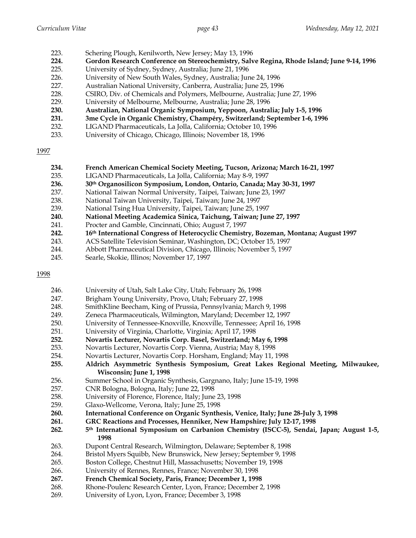- 223. Schering Plough, Kenilworth, New Jersey; May 13, 1996
- **224. Gordon Research Conference on Stereochemistry, Salve Regina, Rhode Island; June 9-14, 1996**
- 225. University of Sydney, Sydney, Australia; June 21, 1996
- 226. University of New South Wales, Sydney, Australia; June 24, 1996
- 227. Australian National University, Canberra, Australia; June 25, 1996
- 228. CSIRO, Div. of Chemicals and Polymers, Melbourne, Australia; June 27, 1996
- 229. University of Melbourne, Melbourne, Australia; June 28, 1996
- **230. Australian, National Organic Symposium, Yeppoon, Australia; July 1-5, 1996**
- **231. 3me Cycle in Organic Chemistry, Champéry, Switzerland; September 1-6, 1996**
- 232. LIGAND Pharmaceuticals, La Jolla, California; October 10, 1996
- 233. University of Chicago, Chicago, Illinois; November 18, 1996

| 234. | French American Chemical Society Meeting, Tucson, Arizona; March 16-21, 1997 |  |  |  |
|------|------------------------------------------------------------------------------|--|--|--|
|------|------------------------------------------------------------------------------|--|--|--|

- 235. LIGAND Pharmaceuticals, La Jolla, California; May 8-9, 1997<br>236. 30<sup>th</sup> Organosilicon Symposium, London, Ontario, Canada; N
- **236. 30th Organosilicon Symposium, London, Ontario, Canada; May 30-31, 1997**
- 237. National Taiwan Normal University, Taipei, Taiwan; June 23, 1997
- 238. National Taiwan University, Taipei, Taiwan; June 24, 1997
- 239. National Tsing Hua University, Taipei, Taiwan; June 25, 1997
- **240. National Meeting Academica Sinica, Taichung, Taiwan; June 27, 1997**
- 241. Procter and Gamble, Cincinnati, Ohio; August 7, 1997
- **242. 16th International Congress of Heterocyclic Chemistry, Bozeman, Montana; August 1997**
- 243. ACS Satellite Television Seminar, Washington, DC; October 15, 1997
- 244. Abbott Pharmaceutical Division, Chicago, Illinois; November 5, 1997
- 245. Searle, Skokie, Illinos; November 17, 1997

- 246. University of Utah, Salt Lake City, Utah; February 26, 1998
- 247. Brigham Young University, Provo, Utah; February 27, 1998
- 248. SmithKline Beecham, King of Prussia, Pennsylvania; March 9, 1998
- 249. Zeneca Pharmaceuticals, Wilmington, Maryland; December 12, 1997
- 250. University of Tennessee-Knoxville, Knoxville, Tennessee; April 16, 1998
- 251. University of Virginia, Charlotte, Virginia; April 17, 1998
- **252. Novartis Lecturer, Novartis Corp. Basel, Switzerland; May 6, 1998**
- 253. Novartis Lecturer, Novartis Corp. Vienna, Austria; May 8, 1998
- 254. Novartis Lecturer, Novartis Corp. Horsham, England; May 11, 1998
- **255. Aldrich Asymmetric Synthesis Symposium, Great Lakes Regional Meeting, Milwaukee, Wisconsin; June 1, 1998**
- 256. Summer School in Organic Synthesis, Gargnano, Italy; June 15-19, 1998
- 257. CNR Bologna, Bologna, Italy; June 22, 1998
- 258. University of Florence, Florence, Italy; June 23, 1998
- 259. Glaxo-Wellcome, Verona, Italy; June 25, 1998
- **260. International Conference on Organic Synthesis, Venice, Italy; June 28-July 3, 1998**
- **261. GRC Reactions and Processes, Henniker, New Hampshire; July 12-17, 1998**
- **262. 5th International Symposium on Carbanion Chemistry (ISCC-5), Sendai, Japan; August 1-5, 1998**
- 263. Dupont Central Research, Wilmington, Delaware; September 8, 1998
- 264. Bristol Myers Squibb, New Brunswick, New Jersey; September 9, 1998
- 265. Boston College, Chestnut Hill, Massachusetts; November 19, 1998
- 266. University of Rennes, Rennes, France; November 30, 1998
- **267. French Chemical Society, Paris, France; December 1, 1998**
- 268. Rhone-Poulenc Research Center, Lyon, France; December 2, 1998
- 269. University of Lyon, Lyon, France; December 3, 1998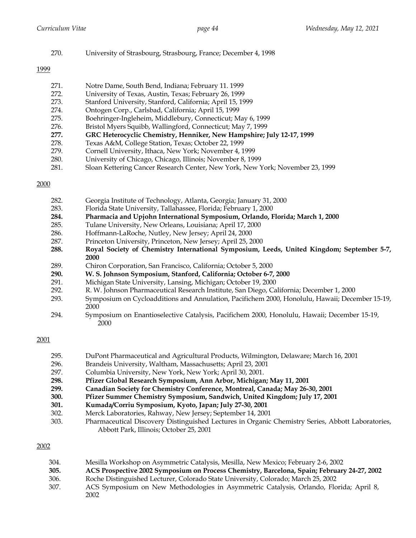270. University of Strasbourg, Strasbourg, France; December 4, 1998

## 1999

| 271.     | Notre Dame, South Bend, Indiana; February 11. 1999                                                                                                                                                                                                                                                          |
|----------|-------------------------------------------------------------------------------------------------------------------------------------------------------------------------------------------------------------------------------------------------------------------------------------------------------------|
| 272.     | University of Texas, Austin, Texas; February 26, 1999                                                                                                                                                                                                                                                       |
| 273.     | Stanford University, Stanford, California; April 15, 1999                                                                                                                                                                                                                                                   |
| 274.     | Ontogen Corp., Carlsbad, California; April 15, 1999                                                                                                                                                                                                                                                         |
| 275.     | Boehringer-Ingleheim, Middlebury, Connecticut; May 6, 1999                                                                                                                                                                                                                                                  |
| 276.     | Bristol Myers Squibb, Wallingford, Connecticut; May 7, 1999                                                                                                                                                                                                                                                 |
| 277.     | GRC Heterocyclic Chemistry, Henniker, New Hampshire; July 12-17, 1999                                                                                                                                                                                                                                       |
| 278.     | Texas A&M, College Station, Texas; October 22, 1999                                                                                                                                                                                                                                                         |
| 279.     | Cornell University, Ithaca, New York; November 4, 1999                                                                                                                                                                                                                                                      |
| $\Omega$ | $\mathbf{I}$ . $\mathbf{I}$ . $\mathbf{I}$ . $\mathbf{I}$ . $\mathbf{I}$ . $\mathbf{I}$ . $\mathbf{I}$ . $\mathbf{I}$ . $\mathbf{I}$ . $\mathbf{I}$ . $\mathbf{I}$ . $\mathbf{I}$ . $\mathbf{I}$ . $\mathbf{I}$ . $\mathbf{I}$ . $\mathbf{I}$ . $\mathbf{I}$ . $\mathbf{I}$ . $\mathbf{I}$ . $\mathbf{I}$ . |

- 280. University of Chicago, Chicago, Illinois; November 8, 1999
- 281. Sloan Kettering Cancer Research Center, New York, New York; November 23, 1999

# 2000

| 282. | Georgia Institute of Technology, Atlanta, Georgia; January 31, 2000                            |
|------|------------------------------------------------------------------------------------------------|
| 283. | Florida State University, Tallahassee, Florida; February 1, 2000                               |
| 284. | Pharmacia and Upjohn International Symposium, Orlando, Florida; March 1, 2000                  |
| 285. | Tulane University, New Orleans, Louisiana; April 17, 2000                                      |
| 286. | Hoffmann-LaRoche, Nutley, New Jersey; April 24, 2000                                           |
| 287. | Princeton University, Princeton, New Jersey; April 25, 2000                                    |
| 288. | Royal Society of Chemistry International Symposium, Leeds, United Kingdom; September 5-7,      |
|      | 2000                                                                                           |
| 289. | Chiron Corporation, San Francisco, California; October 5, 2000                                 |
| 290. | W. S. Johnson Symposium, Stanford, California; October 6-7, 2000                               |
| 291. | Michigan State University, Lansing, Michigan; October 19, 2000                                 |
| 292. | R. W. Johnson Pharmaceutical Research Institute, San Diego, California; December 1, 2000       |
| 293. | Symposium on Cycloadditions and Annulation, Pacifichem 2000, Honolulu, Hawaii; December 15-19, |
|      | 2000                                                                                           |
| 294. | Symposium on Enantioselective Catalysis, Pacifichem 2000, Honolulu, Hawaii; December 15-19,    |
|      | 2000                                                                                           |

# 2001

| 295. | DuPont Pharmaceutical and Agricultural Products, Wilmington, Delaware; March 16, 2001             |  |  |  |  |  |  |
|------|---------------------------------------------------------------------------------------------------|--|--|--|--|--|--|
| 296. | Brandeis University, Waltham, Massachusetts; April 23, 2001                                       |  |  |  |  |  |  |
| 297. | Columbia University, New York, New York; April 30, 2001.                                          |  |  |  |  |  |  |
| 298. | Pfizer Global Research Symposium, Ann Arbor, Michigan; May 11, 2001                               |  |  |  |  |  |  |
| 299. | Canadian Society for Chemistry Conference, Montreal, Canada; May 26-30, 2001                      |  |  |  |  |  |  |
| 300. | Pfizer Summer Chemistry Symposium, Sandwich, United Kingdom; July 17, 2001                        |  |  |  |  |  |  |
| 301. | Kumada/Corriu Symposium, Kyoto, Japan; July 27-30, 2001                                           |  |  |  |  |  |  |
| 302. | Merck Laboratories, Rahway, New Jersey; September 14, 2001                                        |  |  |  |  |  |  |
| 303. | Pharmaceutical Discovery Distinguished Lectures in Organic Chemistry Series, Abbott Laboratories, |  |  |  |  |  |  |
|      | Abbott Park, Illinois; October 25, 2001                                                           |  |  |  |  |  |  |

| 304. | Mesilla Workshop on Asymmetric Catalysis, Mesilla, New Mexico; February 2-6, 2002           |
|------|---------------------------------------------------------------------------------------------|
| 305. | ACS Prospective 2002 Symposium on Process Chemistry, Barcelona, Spain; February 24-27, 2002 |
| 306. | Roche Distinguished Lecturer, Colorado State University, Colorado; March 25, 2002           |
| 307. | ACS Symposium on New Methodologies in Asymmetric Catalysis, Orlando, Florida; April 8,      |
|      | 2002                                                                                        |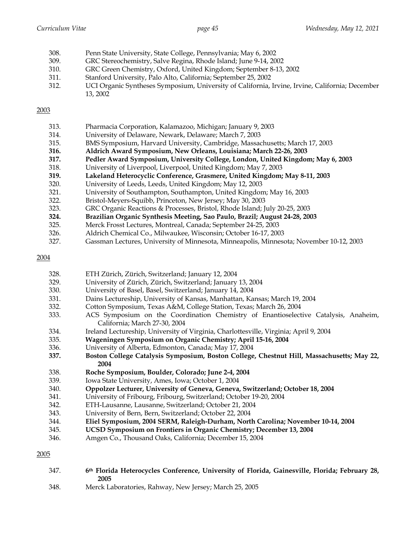| 308. | Penn State University, State College, Pennsylvania; May 6, 2002                                 |
|------|-------------------------------------------------------------------------------------------------|
| 309. | GRC Stereochemistry, Salve Regina, Rhode Island; June 9-14, 2002                                |
| 310. | GRC Green Chemistry, Oxford, United Kingdom; September 8-13, 2002                               |
| 311. | Stanford University, Palo Alto, California; September 25, 2002                                  |
| 312. | UCI Organic Syntheses Symposium, University of California, Irvine, Irvine, California; December |
|      | 13, 2002                                                                                        |

| 313. | Pharmacia Corporation, Kalamazoo, Michigan; January 9, 2003                     |
|------|---------------------------------------------------------------------------------|
| 314. | University of Delaware, Newark, Delaware; March 7, 2003                         |
| 315. | BMS Symposium, Harvard University, Cambridge, Massachusetts; March 17, 2003     |
| 316. | Aldrich Award Symposium, New Orleans, Louisiana; March 22-26, 2003              |
| 317. | Pedler Award Symposium, University College, London, United Kingdom; May 6, 2003 |
| 318. | University of Liverpool, Liverpool, United Kingdom; May 7, 2003                 |
| 319. | Lakeland Heterocyclic Conference, Grasmere, United Kingdom; May 8-11, 2003      |
| 320. | University of Leeds, Leeds, United Kingdom; May 12, 2003                        |
| 321. | University of Southampton, Southampton, United Kingdom; May 16, 2003            |
| 222  | Briefel Moyare Squibb Dripegton Now Jorean: May 20, 2003                        |

- 322. Bristol-Meyers-Squibb, Princeton, New Jersey; May 30, 2003
- 323. GRC Organic Reactions & Processes, Bristol, Rhode Island; July 20-25, 2003
- **324. Brazilian Organic Synthesis Meeting, Sao Paulo, Brazil; August 24-28, 2003**
- 325. Merck Frosst Lectures, Montreal, Canada; September 24-25, 2003
- 326. Aldrich Chemical Co., Milwaukee, Wisconsin; October 16-17, 2003
- 327. Gassman Lectures, University of Minnesota, Minneapolis, Minnesota; November 10-12, 2003

#### 2004

328. ETH Zürich, Zürich, Switzerland; January 12, 2004 329. University of Zürich, Zürich, Switzerland; January 13, 2004 330. University of Basel, Basel, Switzerland; January 14, 2004 331. Dains Lectureship, University of Kansas, Manhattan, Kansas; March 19, 2004 332. Cotton Symposium, Texas A&M, College Station, Texas; March 26, 2004 333. ACS Symposium on the Coordination Chemistry of Enantioselective Catalysis, Anaheim, California; March 27-30, 2004 334. Ireland Lectureship, University of Virginia, Charlottesville, Virginia; April 9, 2004 335. **Wageningen Symposium on Organic Chemistry; April 15-16, 2004** 336. University of Alberta, Edmonton, Canada; May 17, 2004 **337. Boston College Catalysis Symposium, Boston College, Chestnut Hill, Massachusetts; May 22, 2004** 338. **Roche Symposium, Boulder, Colorado; June 2-4, 2004** 339. Iowa State University, Ames, Iowa; October 1, 2004 340. **Oppolzer Lecturer, University of Geneva, Geneva, Switzerland; October 18, 2004** 341. University of Fribourg, Fribourg, Switzerland; October 19-20, 2004 342. ETH-Lausanne, Lausanne, Switzerland; October 21, 2004 343. University of Bern, Bern, Switzerland; October 22, 2004 344. **Eliel Symposium, 2004 SERM, Raleigh-Durham, North Carolina; November 10-14, 2004** 345. **UCSD Symposium on Frontiers in Organic Chemistry; December 13, 2004** 346. Amgen Co., Thousand Oaks, California; December 15, 2004

- 347. **6th Florida Heterocycles Conference, University of Florida, Gainesville, Florida; February 28, 2005**
- 348. Merck Laboratories, Rahway, New Jersey; March 25, 2005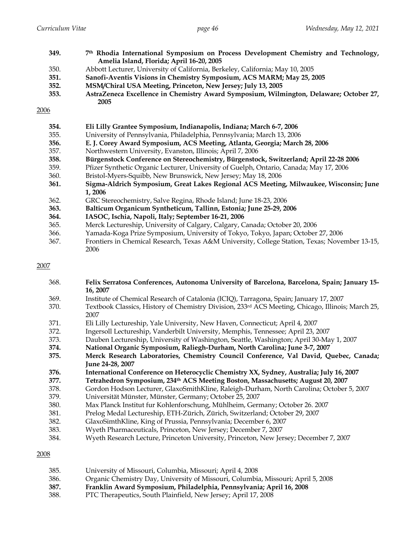| 349. | 7th Rhodia International Symposium on Process Development Chemistry and Technology,<br>Amelia Island, Florida; April 16-20, 2005 |  |  |  |  |  |  |  |  |
|------|----------------------------------------------------------------------------------------------------------------------------------|--|--|--|--|--|--|--|--|
| 350. | Abbott Lecturer, University of California, Berkeley, California; May 10, 2005                                                    |  |  |  |  |  |  |  |  |
| 351. | Sanofi-Aventis Visions in Chemistry Symposium, ACS MARM; May 25, 2005                                                            |  |  |  |  |  |  |  |  |
| 352. | MSM/Chiral USA Meeting, Princeton, New Jersey; July 13, 2005                                                                     |  |  |  |  |  |  |  |  |
| 353. | AstraZeneca Excellence in Chemistry Award Symposium, Wilmington, Delaware; October 27,<br>2005                                   |  |  |  |  |  |  |  |  |
| 2006 |                                                                                                                                  |  |  |  |  |  |  |  |  |
| 354. | Eli Lilly Grantee Symposium, Indianapolis, Indiana; March 6-7, 2006                                                              |  |  |  |  |  |  |  |  |
| 355. | University of Pennsylvania, Philadelphia, Pennsylvania; March 13, 2006                                                           |  |  |  |  |  |  |  |  |
| 356. | E. J. Corey Award Symposium, ACS Meeting, Atlanta, Georgia; March 28, 2006                                                       |  |  |  |  |  |  |  |  |
| 357. | Northwestern University, Evanston, Illinois; April 7, 2006                                                                       |  |  |  |  |  |  |  |  |
| 358. | Bürgenstock Conference on Stereochemistry, Bürgenstock, Switzerland; April 22-28 2006                                            |  |  |  |  |  |  |  |  |
| 359. | Pfizer Synthetic Organic Lecturer, University of Guelph, Ontario, Canada; May 17, 2006                                           |  |  |  |  |  |  |  |  |
| 360. | Bristol-Myers-Squibb, New Brunswick, New Jersey; May 18, 2006                                                                    |  |  |  |  |  |  |  |  |
| 361. | Sigma-Aldrich Symposium, Great Lakes Regional ACS Meeting, Milwaukee, Wisconsin; June                                            |  |  |  |  |  |  |  |  |
|      | 1,2006                                                                                                                           |  |  |  |  |  |  |  |  |
| 362. | GRC Stereochemistry, Salve Regina, Rhode Island; June 18-23, 2006                                                                |  |  |  |  |  |  |  |  |
| 363. | Balticum Organicum Syntheticum, Tallinn, Estonia; June 25-29, 2006                                                               |  |  |  |  |  |  |  |  |
| 364. | IASOC, Ischia, Napoli, Italy; September 16-21, 2006                                                                              |  |  |  |  |  |  |  |  |
| 365. | Merck Lectureship, University of Calgary, Calgary, Canada; October 20, 2006                                                      |  |  |  |  |  |  |  |  |
| 366. | Yamada-Koga Prize Symposium, University of Tokyo, Tokyo, Japan; October 27, 2006                                                 |  |  |  |  |  |  |  |  |
| 367. | Frontiers in Chemical Research, Texas A&M University, College Station, Texas; November 13-15,                                    |  |  |  |  |  |  |  |  |
|      | 2006                                                                                                                             |  |  |  |  |  |  |  |  |

| 368. | Felix Serratosa Conferences, Autonoma University of Barcelona, Barcelona, Spain; January 15-      |  |  |  |  |  |  |
|------|---------------------------------------------------------------------------------------------------|--|--|--|--|--|--|
|      | 16, 2007                                                                                          |  |  |  |  |  |  |
| 369. | Institute of Chemical Research of Catalonia (ICIQ), Tarragona, Spain; January 17, 2007            |  |  |  |  |  |  |
| 370. | Textbook Classics, History of Chemistry Division, 233rd ACS Meeting, Chicago, Illinois; March 25, |  |  |  |  |  |  |
|      | 2007                                                                                              |  |  |  |  |  |  |
| 371. | Eli Lilly Lectureship, Yale University, New Haven, Connecticut; April 4, 2007                     |  |  |  |  |  |  |
| 372. | Ingersoll Lectureship, Vanderbilt University, Memphis, Tennessee; April 23, 2007                  |  |  |  |  |  |  |
| 373. | Dauben Lectureship, University of Washington, Seattle, Washington; April 30-May 1, 2007           |  |  |  |  |  |  |
| 374. | National Organic Symposium, Raliegh-Durham, North Carolina; June 3-7, 2007                        |  |  |  |  |  |  |
| 375. | Merck Research Laboratories, Chemistry Council Conference, Val David, Quebec, Canada;             |  |  |  |  |  |  |
|      | June 24-28, 2007                                                                                  |  |  |  |  |  |  |
| 376. | International Conference on Heterocyclic Chemistry XX, Sydney, Australia; July 16, 2007           |  |  |  |  |  |  |
| 377. | Tetrahedron Symposium, 234th ACS Meeting Boston, Massachusetts; August 20, 2007                   |  |  |  |  |  |  |
| 378. | Gordon Hodson Lecturer, GlaxoSmithKline, Raleigh-Durham, North Carolina; October 5, 2007          |  |  |  |  |  |  |
| 379. | Universität Münster, Münster, Germany; October 25, 2007                                           |  |  |  |  |  |  |
| 380. | Max Planck Institut fur Kohlenforschung, Mühlheim, Germany; October 26. 2007                      |  |  |  |  |  |  |
| 381. | Prelog Medal Lectureship, ETH-Zürich, Zürich, Switzerland; October 29, 2007                       |  |  |  |  |  |  |
| 382. | GlaxoSimthKline, King of Prussia, Pennsylvania; December 6, 2007                                  |  |  |  |  |  |  |
| 383. | Wyeth Pharmaceuticals, Princeton, New Jersey; December 7, 2007                                    |  |  |  |  |  |  |
| 384. | Wyeth Research Lecture, Princeton University, Princeton, New Jersey; December 7, 2007             |  |  |  |  |  |  |

| 385. | University of Missouri, Columbia, Missouri; April 4, 2008 |
|------|-----------------------------------------------------------|
|------|-----------------------------------------------------------|

- 386. Organic Chemistry Day, University of Missouri, Columbia, Missouri; April 5, 2008<br>387. **Franklin Award Symposium, Philadelphia, Pennsylvania; April 16, 2008**
- **387. Franklin Award Symposium, Philadelphia, Pennsylvania; April 16, 2008**
- 388. PTC Therapeutics, South Plainfield, New Jersey; April 17, 2008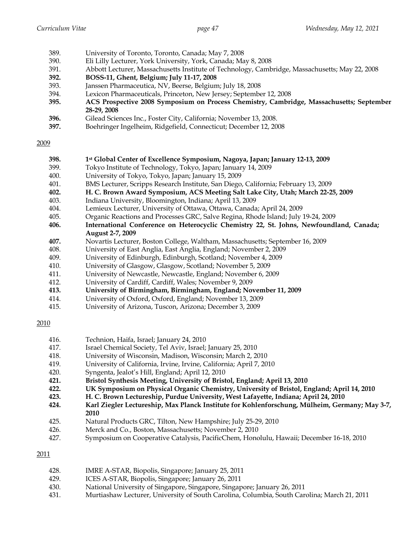- 389. University of Toronto, Toronto, Canada; May 7, 2008
- 390. Eli Lilly Lecturer, York University, York, Canada; May 8, 2008
- 391. Abbott Lecturer, Massachusetts Institute of Technology, Cambridge, Massachusetts; May 22, 2008
- **392. BOSS-11, Ghent, Belgium; July 11-17, 2008**
- 393. Janssen Pharmaceutica, NV, Beerse, Belgium; July 18, 2008
- 394. Lexicon Pharmaceuticals, Princeton, New Jersey; September 12, 2008
- **395. ACS Prospective 2008 Symposium on Process Chemistry, Cambridge, Massachusetts; September 28-29, 2008**
- **396.** Gilead Sciences Inc., Foster City, California; November 13, 2008.
- **397.** Boehringer Ingelheim, Ridgefield, Connecticut; December 12, 2008

- **398. 1st Global Center of Excellence Symposium, Nagoya, Japan; January 12-13, 2009**
- 399. Tokyo Institute of Technology, Tokyo, Japan; January 14, 2009
- 400. University of Tokyo, Tokyo, Japan; January 15, 2009
- 401. BMS Lecturer, Scripps Research Institute, San Diego, California; February 13, 2009
- **402. H. C. Brown Award Symposium, ACS Meeting Salt Lake City, Utah; March 22-25, 2009**
- 403. Indiana University, Bloomington, Indiana; April 13, 2009
- 404. Lemieux Lecturer, University of Ottawa, Ottawa, Canada; April 24, 2009
- 405. Organic Reactions and Processes GRC, Salve Regina, Rhode Island; July 19-24, 2009
- **406. International Conference on Heterocyclic Chemistry 22, St. Johns, Newfoundland, Canada; August 2-7, 2009**
- **407.** Novartis Lecturer, Boston College, Waltham, Massachusetts; September 16, 2009
- 408. University of East Anglia, East Anglia, England; November 2, 2009
- 409. University of Edinburgh, Edinburgh, Scotland; November 4, 2009
- 410. University of Glasgow, Glasgow, Scotland; November 5, 2009
- 411. University of Newcastle, Newcastle, England; November 6, 2009
- 412. University of Cardiff, Cardiff, Wales; November 9, 2009
- **413. University of Birmingham, Birmingham, England; November 11, 2009**
- 414. University of Oxford, Oxford, England; November 13, 2009
- 415. University of Arizona, Tuscon, Arizona; December 3, 2009

2010

- 416. Technion, Haifa, Israel; January 24, 2010
- 417. Israel Chemical Society, Tel Aviv, Israel; January 25, 2010
- 418. University of Wisconsin, Madison, Wisconsin; March 2, 2010
- 419. University of California, Irvine, Irvine, California; April 7, 2010
- 420. Syngenta, Jealot's Hill, England; April 12, 2010
- **421. Bristol Synthesis Meeting, University of Bristol, England; April 13, 2010**
- **422. UK Symposium on Physical Organic Chemistry, University of Bristol, England; April 14, 2010**
- **423. H. C. Brown Lectureship, Purdue University, West Lafayette, Indiana; April 24, 2010**
- **424. Karl Ziegler Lectureship, Max Planck Institute for Kohlenforschung, Mülheim, Germany; May 3-7, 2010**
- 425. Natural Products GRC, Tilton, New Hampshire; July 25-29, 2010
- 426. Merck and Co., Boston, Massachusetts; November 2, 2010
- 427. Symposium on Cooperative Catalysis, PacificChem, Honolulu, Hawaii; December 16-18, 2010

- 428. IMRE A-STAR, Biopolis, Singapore; January 25, 2011
- 429. ICES A-STAR, Biopolis, Singapore; January 26, 2011
- 430. National University of Singapore, Singapore, Singapore; January 26, 2011
- 431. Murtiashaw Lecturer, University of South Carolina, Columbia, South Carolina; March 21, 2011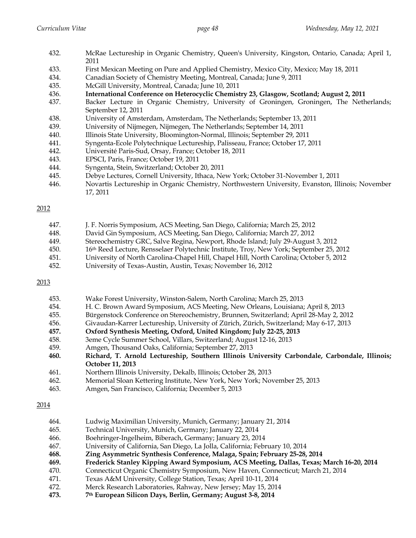| 432. | McRae Lectureship in Organic Chemistry, Queen's University, Kingston, Ontario, Canada; April 1, |  |  |  |  |  |  |
|------|-------------------------------------------------------------------------------------------------|--|--|--|--|--|--|
|      | 2011                                                                                            |  |  |  |  |  |  |
| 433. | First Mexican Meeting on Pure and Applied Chemistry, Mexico City, Mexico; May 18, 2011          |  |  |  |  |  |  |
| 434. | Canadian Society of Chemistry Meeting, Montreal, Canada; June 9, 2011                           |  |  |  |  |  |  |
| 435. | McGill University, Montreal, Canada; June 10, 2011                                              |  |  |  |  |  |  |
| 436. | International Conference on Heterocyclic Chemistry 23, Glasgow, Scotland; August 2, 2011        |  |  |  |  |  |  |
| 437. | Backer Lecture in Organic Chemistry, University of Groningen, Groningen, The Netherlands;       |  |  |  |  |  |  |
|      | September 12, 2011                                                                              |  |  |  |  |  |  |
| 438. | University of Amsterdam, Amsterdam, The Netherlands; September 13, 2011                         |  |  |  |  |  |  |
| 439. | University of Nijmegen, Nijmegen, The Netherlands; September 14, 2011                           |  |  |  |  |  |  |
| 440. | Illinois State University, Bloomington-Normal, Illinois; September 29, 2011                     |  |  |  |  |  |  |
|      |                                                                                                 |  |  |  |  |  |  |

- 441. Syngenta-Ecole Polytechnique Lectureship, Palisseau, France; October 17, 2011
- 442. Université Paris-Sud, Orsay, France; October 18, 2011
- 443. EPSCI, Paris, France; October 19, 2011
- 444. Syngenta, Stein, Switzerland; October 20, 2011
- 445. Debye Lectures, Cornell University, Ithaca, New York; October 31-November 1, 2011
- 446. Novartis Lectureship in Organic Chemistry, Northwestern University, Evanston, Illinois; November 17, 2011

| 447.     |  | J. F. Norris Symposium, ACS Meeting, San Diego, California; March 25, 2012 |  |  |  |  |                                    |
|----------|--|----------------------------------------------------------------------------|--|--|--|--|------------------------------------|
| $\cdots$ |  |                                                                            |  |  |  |  | $\sim$ $\sim$ $\sim$ $\sim$ $\sim$ |

- 448. David Gin Symposium, ACS Meeting, San Diego, California; March 27, 2012
- 449. Stereochemistry GRC, Salve Regina, Newport, Rhode Island; July 29-August 3, 2012
- 450. 16th Reed Lecture, Rensselaer Polytechnic Institute, Troy, New York; September 25, 2012
- 451. University of North Carolina-Chapel Hill, Chapel Hill, North Carolina; October 5, 2012
- 452. University of Texas-Austin, Austin, Texas; November 16, 2012

#### 2013

| 453. | Wake Forest University, Winston-Salem, North Carolina; March 25, 2013 |
|------|-----------------------------------------------------------------------|
|------|-----------------------------------------------------------------------|

- 454. H. C. Brown Award Symposium, ACS Meeting, New Orleans, Louisiana; April 8, 2013
- 455. Bürgenstock Conference on Stereochemistry, Brunnen, Switzerland; April 28-May 2, 2012
- 456. Givaudan-Karrer Lectureship, University of Zürich, Zürich, Switzerland; May 6-17, 2013
- **457. Oxford Synthesis Meeting, Oxford, United Kingdom; July 22-25, 2013**
- 458. 3eme Cycle Summer School, Villars, Switzerland; August 12-16, 2013
- 459. Amgen, Thousand Oaks, California; September 27, 2013
- **460. Richard, T. Arnold Lectureship, Southern Illinois University Carbondale, Carbondale, Illinois; October 11, 2013**
- 461. Northern Illinois University, Dekalb, Illinois; October 28, 2013
- 462. Memorial Sloan Kettering Institute, New York, New York; November 25, 2013
- 463. Amgen, San Francisco, California; December 5, 2013

- 464. Ludwig Maximilian University, Munich, Germany; January 21, 2014
- 465. Technical University, Munich, Germany; January 22, 2014
- 466. Boehringer-Ingelheim, Biberach, Germany; January 23, 2014
- 467. University of California, San Diego, La Jolla, California; February 10, 2014
- **468. Zing Asymmetric Synthesis Conference, Malaga, Spain; February 25-28, 2014**
- **469. Frederick Stanley Kipping Award Symposium, ACS Meeting, Dallas, Texas; March 16-20, 2014**
- 470. Connecticut Organic Chemistry Symposium, New Haven, Connecticut; March 21, 2014
- 471. Texas A&M University, College Station, Texas; April 10-11, 2014
- 472. Merck Research Laboratories, Rahway, New Jersey; May 15, 2014
- **473. 7th European Silicon Days, Berlin, Germany; August 3-8, 2014**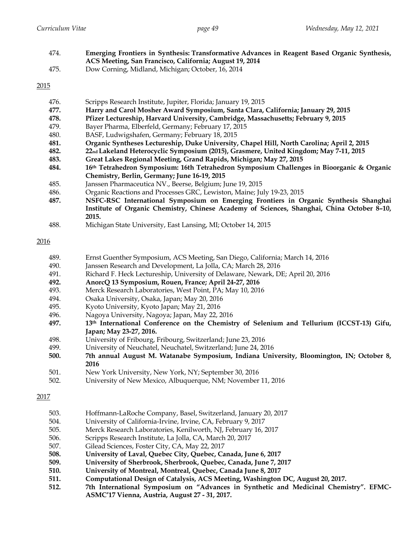| 474. | Emerging Frontiers in Synthesis: Transformative Advances in Reagent Based Organic Synthesis, |
|------|----------------------------------------------------------------------------------------------|
|      | ACS Meeting, San Francisco, California; August 19, 2014                                      |
| 475. | Dow Corning, Midland, Michigan; October, 16, 2014                                            |

| 476. | Scripps Research Institute, Jupiter, Florida; January 19, 2015 |  |
|------|----------------------------------------------------------------|--|
|------|----------------------------------------------------------------|--|

- **477. Harry and Carol Mosher Award Symposium, Santa Clara, California; January 29, 2015**
- **478. Pfizer Lectureship, Harvard University, Cambridge, Massachusetts; February 9, 2015**
- 479. Bayer Pharma, Elberfeld, Germany; February 17, 2015
- 480. BASF, Ludwigshafen, Germany; February 18, 2015
- **481. Organic Syntheses Lectureship, Duke University, Chapel Hill, North Carolina; April 2, 2015**
- **482. 22nd Lakeland Heterocyclic Symposium (2015), Grasmere, United Kingdom; May 7-11, 2015**
- **483. Great Lakes Regional Meeting, Grand Rapids, Michigan; May 27, 2015**
- **484. 16th Tetrahedron Symposium: 16th Tetrahedron Symposium Challenges in Bioorganic & Organic Chemistry, Berlin, Germany; June 16-19, 2015**
- 485. Janssen Pharmaceutica NV., Beerse, Belgium; June 19, 2015
- 486. Organic Reactions and Processes GRC, Lewiston, Maine; July 19-23, 2015
- **487. NSFC-RSC International Symposium on Emerging Frontiers in Organic Synthesis Shanghai Institute of Organic Chemistry, Chinese Academy of Sciences, Shanghai, China October 8–10, 2015.**
- 488. Michigan State University, East Lansing, MI; October 14, 2015

## 2016

- 489. Ernst Guenther Symposium, ACS Meeting, San Diego, California; March 14, 2016
- 490. Janssen Research and Development, La Jolla, CA; March 28, 2016
- 491. Richard F. Heck Lectureship, University of Delaware, Newark, DE; April 20, 2016
- **492. AnorcQ 13 Symposium, Rouen, France; April 24-27, 2016**
- 493. Merck Research Laboratories, West Point, PA; May 10, 2016
- 494. Osaka University, Osaka, Japan; May 20, 2016
- 495. Kyoto University, Kyoto Japan; May 21, 2016
- 496. Nagoya University, Nagoya; Japan, May 22, 2016
- **497. 13th International Conference on the Chemistry of Selenium and Tellurium (ICCST-13) Gifu, Japan; May 23-27, 2016.**
- 498. University of Fribourg, Fribourg, Switzerland; June 23, 2016
- 499. University of Neuchatel, Neuchatel, Switzerland; June 24, 2016
- **500. 7th annual August M. Watanabe Symposium, Indiana University, Bloomington, IN; October 8, 2016**
- 501. New York University, New York, NY; September 30, 2016
- 502. University of New Mexico, Albuquerque, NM; November 11, 2016

- 503. Hoffmann-LaRoche Company, Basel, Switzerland, January 20, 2017
- 504. University of California-Irvine, Irvine, CA, February 9, 2017
- 505. Merck Research Laboratories, Kenilworth, NJ, February 16, 2017
- 506. Scripps Research Institute, La Jolla, CA, March 20, 2017
- 507. Gilead Sciences, Foster City, CA, May 22, 2017
- **508. University of Laval, Quebec City, Quebec, Canada, June 6, 2017**
- **509. University of Sherbrook, Sherbrook, Quebec, Canada, June 7, 2017**
- **510. University of Montreal, Montreal, Quebec, Canada June 8, 2017**
- **511. Computational Design of Catalysis, ACS Meeting, Washington DC, August 20, 2017.**
- **512. 7th International Symposium on "Advances in Synthetic and Medicinal Chemistry". EFMC-ASMC'17 Vienna, Austria, August 27 - 31, 2017.**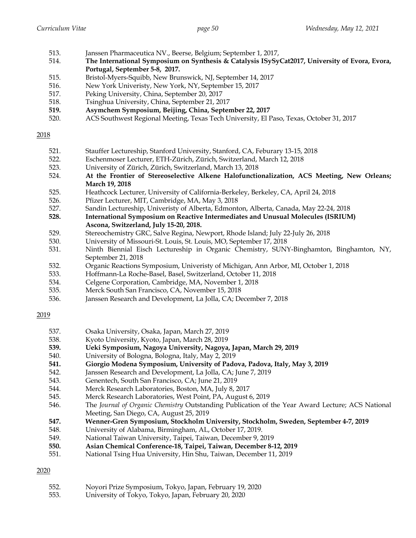- 513. Janssen Pharmaceutica NV., Beerse, Belgium; September 1, 2017,
- 514. **The International Symposium on Synthesis & Catalysis ISySyCat2017, University of Evora, Evora, Portugal, September 5-8, 2017.**
- 515. Bristol-Myers-Squibb, New Brunswick, NJ, September 14, 2017
- 516. New York Univeristy, New York, NY, September 15, 2017
- 517. Peking University, China, September 20, 2017
- 518. Tsinghua University, China, September 21, 2017
- **519. Asymchem Symposium, Beijing, China, September 22, 2017**
- 520. ACS Southwest Regional Meeting, Texas Tech University, El Paso, Texas, October 31, 2017

- 521. Stauffer Lectureship, Stanford University, Stanford, CA, Feburary 13-15, 2018
- 522. Eschenmoser Lecturer, ETH-Zürich, Zürich, Switzerland, March 12, 2018
- 523. University of Zürich, Zürich, Switzerland, March 13, 2018
- 524. **At the Frontier of Stereoselective Alkene Halofunctionalization, ACS Meeting, New Orleans; March 19, 2018**
- 525. Heathcock Lecturer, University of California-Berkeley, Berkeley, CA, April 24, 2018
- 526. Pfizer Lecturer, MIT, Cambridge, MA, May 3, 2018
- 527. Sandin Lectureship, Univeristy of Alberta, Edmonton, Alberta, Canada, May 22-24, 2018
- **528. International Symposium on Reactive Intermediates and Unusual Molecules (ISRIUM) Ascona, Switzerland, July 15-20, 2018.**
- 529. Stereochemistry GRC, Salve Regina, Newport, Rhode Island; July 22-July 26, 2018
- 530. University of Missouri-St. Louis, St. Louis, MO, September 17, 2018
- 531. Ninth Biennial Eisch Lectureship in Organic Chemistry, SUNY-Binghamton, Binghamton, NY, September 21, 2018
- 532. Organic Reactions Symposium, Univeristy of Michigan, Ann Arbor, MI, October 1, 2018
- 533. Hoffmann-La Roche-Basel, Basel, Switzerland, October 11, 2018
- 534. Celgene Corporation, Cambridge, MA, November 1, 2018
- 535. Merck South San Francisco, CA, November 15, 2018
- 536. Janssen Research and Development, La Jolla, CA; December 7, 2018

# 2019

- 537. Osaka University, Osaka, Japan, March 27, 2019
- 538. Kyoto University, Kyoto, Japan, March 28, 2019
- **539. Ueki Symposium, Nagoya University, Nagoya, Japan, March 29, 2019**
- 540. University of Bologna, Bologna, Italy, May 2, 2019
- **541. Giorgio Modena Symposium, University of Padova, Padova, Italy, May 3, 2019**
- 542. Janssen Research and Development, La Jolla, CA; June 7, 2019
- 543. Genentech, South San Francisco, CA; June 21, 2019
- 544. Merck Research Laboratories, Boston, MA, July 8, 2017
- 545. Merck Research Laboratories, West Point, PA, August 6, 2019
- 546. The *Journal of Organic Chemistry* Outstanding Publication of the Year Award Lecture; ACS National Meeting, San Diego, CA, August 25, 2019
- **547. Wenner-Gren Symposium, Stockholm University, Stockholm, Sweden, September 4-7, 2019**
- 548. University of Alabama, Birmingham, AL, October 17, 2019.
- 549. National Taiwan University, Taipei, Taiwan, December 9, 2019
- **550. Asian Chemical Conference-18, Taipei, Taiwan, December 8-12, 2019**
- 551. National Tsing Hua University, Hin Shu, Taiwan, December 11, 2019

- 552. Noyori Prize Symposium, Tokyo, Japan, February 19, 2020
- 553. University of Tokyo, Tokyo, Japan, February 20, 2020